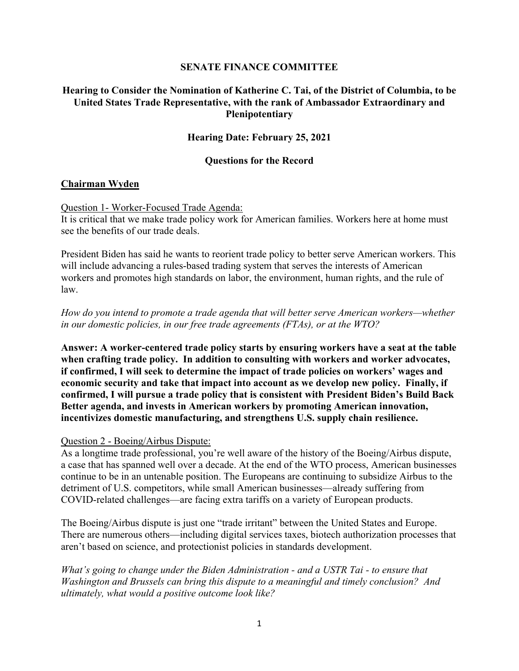### **SENATE FINANCE COMMITTEE**

# **Hearing to Consider the Nomination of Katherine C. Tai, of the District of Columbia, to be United States Trade Representative, with the rank of Ambassador Extraordinary and Plenipotentiary**

### **Hearing Date: February 25, 2021**

#### **Questions for the Record**

#### **Chairman Wyden**

Question 1- Worker-Focused Trade Agenda:

It is critical that we make trade policy work for American families. Workers here at home must see the benefits of our trade deals.

President Biden has said he wants to reorient trade policy to better serve American workers. This will include advancing a rules-based trading system that serves the interests of American workers and promotes high standards on labor, the environment, human rights, and the rule of law.

*How do you intend to promote a trade agenda that will better serve American workers—whether in our domestic policies, in our free trade agreements (FTAs), or at the WTO?*

**Answer: A worker-centered trade policy starts by ensuring workers have a seat at the table when crafting trade policy. In addition to consulting with workers and worker advocates, if confirmed, I will seek to determine the impact of trade policies on workers' wages and economic security and take that impact into account as we develop new policy. Finally, if confirmed, I will pursue a trade policy that is consistent with President Biden's Build Back Better agenda, and invests in American workers by promoting American innovation, incentivizes domestic manufacturing, and strengthens U.S. supply chain resilience.**

#### Question 2 - Boeing/Airbus Dispute:

As a longtime trade professional, you're well aware of the history of the Boeing/Airbus dispute, a case that has spanned well over a decade. At the end of the WTO process, American businesses continue to be in an untenable position. The Europeans are continuing to subsidize Airbus to the detriment of U.S. competitors, while small American businesses—already suffering from COVID-related challenges—are facing extra tariffs on a variety of European products.

The Boeing/Airbus dispute is just one "trade irritant" between the United States and Europe. There are numerous others—including digital services taxes, biotech authorization processes that aren't based on science, and protectionist policies in standards development.

*What's going to change under the Biden Administration - and a USTR Tai - to ensure that Washington and Brussels can bring this dispute to a meaningful and timely conclusion? And ultimately, what would a positive outcome look like?*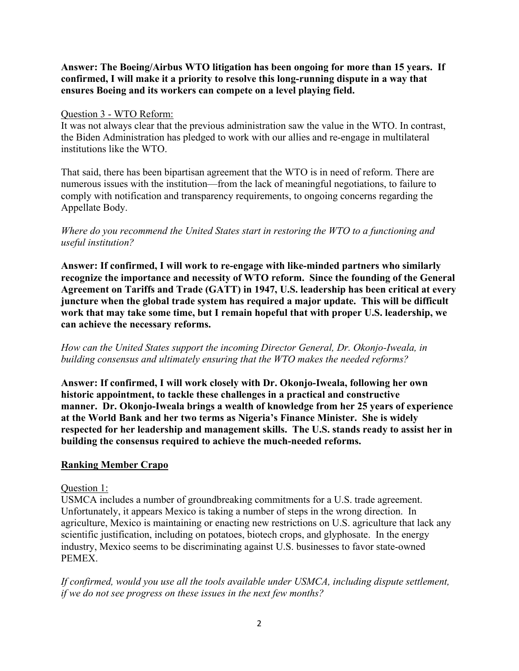# **Answer: The Boeing/Airbus WTO litigation has been ongoing for more than 15 years. If confirmed, I will make it a priority to resolve this long-running dispute in a way that ensures Boeing and its workers can compete on a level playing field.**

### Question 3 - WTO Reform:

It was not always clear that the previous administration saw the value in the WTO. In contrast, the Biden Administration has pledged to work with our allies and re-engage in multilateral institutions like the WTO.

That said, there has been bipartisan agreement that the WTO is in need of reform. There are numerous issues with the institution—from the lack of meaningful negotiations, to failure to comply with notification and transparency requirements, to ongoing concerns regarding the Appellate Body.

# *Where do you recommend the United States start in restoring the WTO to a functioning and useful institution?*

**Answer: If confirmed, I will work to re-engage with like-minded partners who similarly recognize the importance and necessity of WTO reform. Since the founding of the General Agreement on Tariffs and Trade (GATT) in 1947, U.S. leadership has been critical at every juncture when the global trade system has required a major update. This will be difficult work that may take some time, but I remain hopeful that with proper U.S. leadership, we can achieve the necessary reforms.**

*How can the United States support the incoming Director General, Dr. Okonjo-Iweala, in building consensus and ultimately ensuring that the WTO makes the needed reforms?*

**Answer: If confirmed, I will work closely with Dr. Okonjo-Iweala, following her own historic appointment, to tackle these challenges in a practical and constructive manner. Dr. Okonjo-Iweala brings a wealth of knowledge from her 25 years of experience at the World Bank and her two terms as Nigeria's Finance Minister. She is widely respected for her leadership and management skills. The U.S. stands ready to assist her in building the consensus required to achieve the much-needed reforms.**

# **Ranking Member Crapo**

### Question 1:

USMCA includes a number of groundbreaking commitments for a U.S. trade agreement. Unfortunately, it appears Mexico is taking a number of steps in the wrong direction. In agriculture, Mexico is maintaining or enacting new restrictions on U.S. agriculture that lack any scientific justification, including on potatoes, biotech crops, and glyphosate. In the energy industry, Mexico seems to be discriminating against U.S. businesses to favor state-owned PEMEX.

*If confirmed, would you use all the tools available under USMCA, including dispute settlement, if we do not see progress on these issues in the next few months?*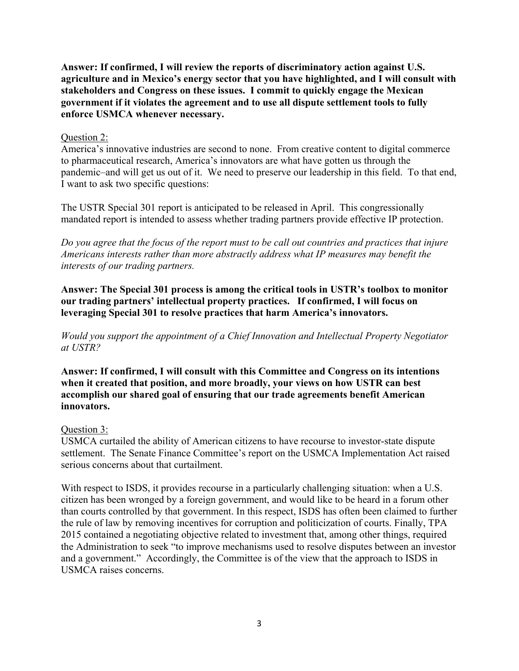**Answer: If confirmed, I will review the reports of discriminatory action against U.S. agriculture and in Mexico's energy sector that you have highlighted, and I will consult with stakeholders and Congress on these issues. I commit to quickly engage the Mexican government if it violates the agreement and to use all dispute settlement tools to fully enforce USMCA whenever necessary.**

### Question 2:

America's innovative industries are second to none. From creative content to digital commerce to pharmaceutical research, America's innovators are what have gotten us through the pandemic–and will get us out of it. We need to preserve our leadership in this field. To that end, I want to ask two specific questions:

The USTR Special 301 report is anticipated to be released in April. This congressionally mandated report is intended to assess whether trading partners provide effective IP protection.

*Do you agree that the focus of the report must to be call out countries and practices that injure Americans interests rather than more abstractly address what IP measures may benefit the interests of our trading partners.* 

**Answer: The Special 301 process is among the critical tools in USTR's toolbox to monitor our trading partners' intellectual property practices. If confirmed, I will focus on leveraging Special 301 to resolve practices that harm America's innovators.**

*Would you support the appointment of a Chief Innovation and Intellectual Property Negotiator at USTR?*

**Answer: If confirmed, I will consult with this Committee and Congress on its intentions when it created that position, and more broadly, your views on how USTR can best accomplish our shared goal of ensuring that our trade agreements benefit American innovators.**

# Question 3:

USMCA curtailed the ability of American citizens to have recourse to investor-state dispute settlement. The Senate Finance Committee's report on the USMCA Implementation Act raised serious concerns about that curtailment.

With respect to ISDS, it provides recourse in a particularly challenging situation: when a U.S. citizen has been wronged by a foreign government, and would like to be heard in a forum other than courts controlled by that government. In this respect, ISDS has often been claimed to further the rule of law by removing incentives for corruption and politicization of courts. Finally, TPA 2015 contained a negotiating objective related to investment that, among other things, required the Administration to seek "to improve mechanisms used to resolve disputes between an investor and a government." Accordingly, the Committee is of the view that the approach to ISDS in USMCA raises concerns.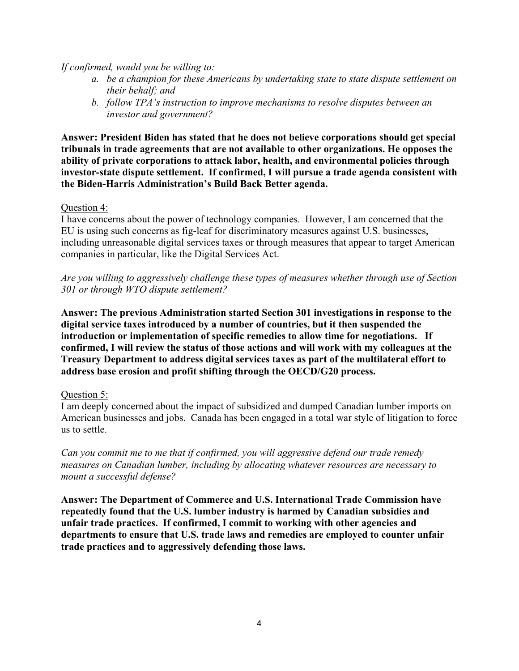### *If confirmed, would you be willing to:*

- *a. be a champion for these Americans by undertaking state to state dispute settlement on their behalf; and*
- *b. follow TPA's instruction to improve mechanisms to resolve disputes between an investor and government?*

**Answer: President Biden has stated that he does not believe corporations should get special tribunals in trade agreements that are not available to other organizations. He opposes the ability of private corporations to attack labor, health, and environmental policies through investor-state dispute settlement. If confirmed, I will pursue a trade agenda consistent with the Biden-Harris Administration's Build Back Better agenda.**

#### Question 4:

I have concerns about the power of technology companies. However, I am concerned that the EU is using such concerns as fig-leaf for discriminatory measures against U.S. businesses, including unreasonable digital services taxes or through measures that appear to target American companies in particular, like the Digital Services Act.

*Are you willing to aggressively challenge these types of measures whether through use of Section 301 or through WTO dispute settlement?*

**Answer: The previous Administration started Section 301 investigations in response to the digital service taxes introduced by a number of countries, but it then suspended the introduction or implementation of specific remedies to allow time for negotiations. If confirmed, I will review the status of those actions and will work with my colleagues at the Treasury Department to address digital services taxes as part of the multilateral effort to address base erosion and profit shifting through the OECD/G20 process.**

### Question 5:

I am deeply concerned about the impact of subsidized and dumped Canadian lumber imports on American businesses and jobs. Canada has been engaged in a total war style of litigation to force us to settle.

*Can you commit me to me that if confirmed, you will aggressive defend our trade remedy measures on Canadian lumber, including by allocating whatever resources are necessary to mount a successful defense?*

**Answer: The Department of Commerce and U.S. International Trade Commission have repeatedly found that the U.S. lumber industry is harmed by Canadian subsidies and unfair trade practices. If confirmed, I commit to working with other agencies and departments to ensure that U.S. trade laws and remedies are employed to counter unfair trade practices and to aggressively defending those laws.**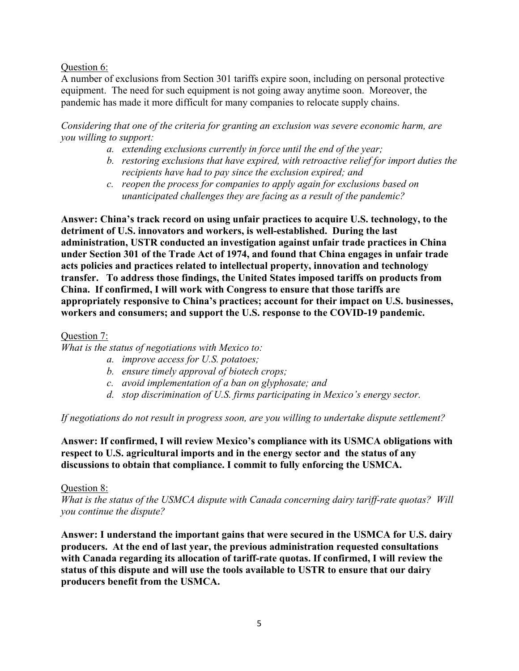### Question 6:

A number of exclusions from Section 301 tariffs expire soon, including on personal protective equipment. The need for such equipment is not going away anytime soon. Moreover, the pandemic has made it more difficult for many companies to relocate supply chains.

*Considering that one of the criteria for granting an exclusion was severe economic harm, are you willing to support:*

- *a. extending exclusions currently in force until the end of the year;*
- *b. restoring exclusions that have expired, with retroactive relief for import duties the recipients have had to pay since the exclusion expired; and*
- *c. reopen the process for companies to apply again for exclusions based on unanticipated challenges they are facing as a result of the pandemic?*

**Answer: China's track record on using unfair practices to acquire U.S. technology, to the detriment of U.S. innovators and workers, is well-established. During the last administration, USTR conducted an investigation against unfair trade practices in China under Section 301 of the Trade Act of 1974, and found that China engages in unfair trade acts policies and practices related to intellectual property, innovation and technology transfer. To address those findings, the United States imposed tariffs on products from China. If confirmed, I will work with Congress to ensure that those tariffs are appropriately responsive to China's practices; account for their impact on U.S. businesses, workers and consumers; and support the U.S. response to the COVID-19 pandemic.**

### Question 7:

*What is the status of negotiations with Mexico to:*

- *a. improve access for U.S. potatoes;*
- *b. ensure timely approval of biotech crops;*
- *c. avoid implementation of a ban on glyphosate; and*
- *d. stop discrimination of U.S. firms participating in Mexico's energy sector.*

*If negotiations do not result in progress soon, are you willing to undertake dispute settlement?*

**Answer: If confirmed, I will review Mexico's compliance with its USMCA obligations with respect to U.S. agricultural imports and in the energy sector and the status of any discussions to obtain that compliance. I commit to fully enforcing the USMCA.**

### Question 8:

*What is the status of the USMCA dispute with Canada concerning dairy tariff-rate quotas? Will you continue the dispute?*

**Answer: I understand the important gains that were secured in the USMCA for U.S. dairy producers. At the end of last year, the previous administration requested consultations with Canada regarding its allocation of tariff-rate quotas. If confirmed, I will review the status of this dispute and will use the tools available to USTR to ensure that our dairy producers benefit from the USMCA.**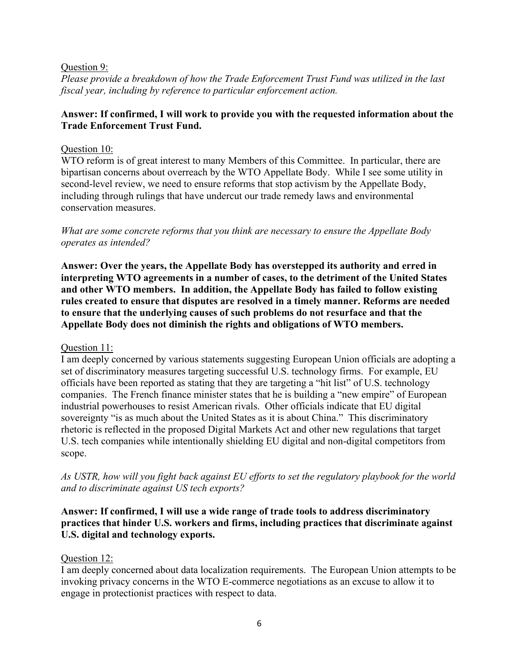### Question 9:

*Please provide a breakdown of how the Trade Enforcement Trust Fund was utilized in the last fiscal year, including by reference to particular enforcement action.*

# **Answer: If confirmed, I will work to provide you with the requested information about the Trade Enforcement Trust Fund.**

# Question 10:

WTO reform is of great interest to many Members of this Committee. In particular, there are bipartisan concerns about overreach by the WTO Appellate Body. While I see some utility in second-level review, we need to ensure reforms that stop activism by the Appellate Body, including through rulings that have undercut our trade remedy laws and environmental conservation measures.

*What are some concrete reforms that you think are necessary to ensure the Appellate Body operates as intended?*

**Answer: Over the years, the Appellate Body has overstepped its authority and erred in interpreting WTO agreements in a number of cases, to the detriment of the United States and other WTO members. In addition, the Appellate Body has failed to follow existing rules created to ensure that disputes are resolved in a timely manner. Reforms are needed to ensure that the underlying causes of such problems do not resurface and that the Appellate Body does not diminish the rights and obligations of WTO members.**

Question 11:

I am deeply concerned by various statements suggesting European Union officials are adopting a set of discriminatory measures targeting successful U.S. technology firms. For example, EU officials have been reported as stating that they are targeting a "hit list" of U.S. technology companies. The French finance minister states that he is building a "new empire" of European industrial powerhouses to resist American rivals. Other officials indicate that EU digital sovereignty "is as much about the United States as it is about China." This discriminatory rhetoric is reflected in the proposed Digital Markets Act and other new regulations that target U.S. tech companies while intentionally shielding EU digital and non-digital competitors from scope.

*As USTR, how will you fight back against EU efforts to set the regulatory playbook for the world and to discriminate against US tech exports?*

# **Answer: If confirmed, I will use a wide range of trade tools to address discriminatory practices that hinder U.S. workers and firms, including practices that discriminate against U.S. digital and technology exports.**

# Question 12:

I am deeply concerned about data localization requirements. The European Union attempts to be invoking privacy concerns in the WTO E-commerce negotiations as an excuse to allow it to engage in protectionist practices with respect to data.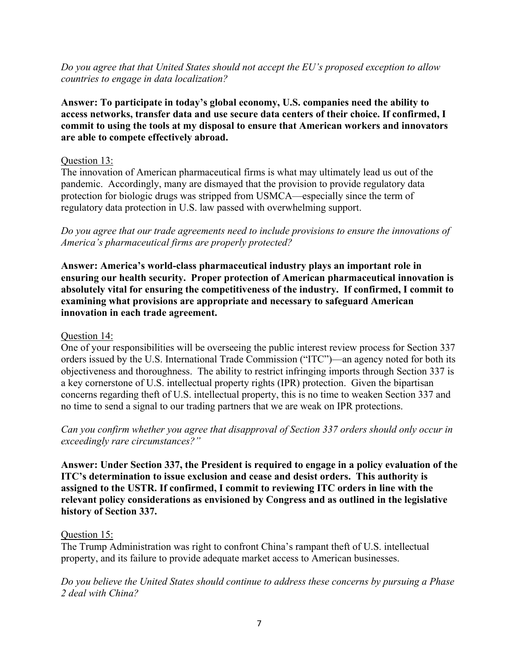*Do you agree that that United States should not accept the EU's proposed exception to allow countries to engage in data localization?*

**Answer: To participate in today's global economy, U.S. companies need the ability to access networks, transfer data and use secure data centers of their choice. If confirmed, I commit to using the tools at my disposal to ensure that American workers and innovators are able to compete effectively abroad.** 

### Question 13:

The innovation of American pharmaceutical firms is what may ultimately lead us out of the pandemic. Accordingly, many are dismayed that the provision to provide regulatory data protection for biologic drugs was stripped from USMCA—especially since the term of regulatory data protection in U.S. law passed with overwhelming support.

*Do you agree that our trade agreements need to include provisions to ensure the innovations of America's pharmaceutical firms are properly protected?*

**Answer: America's world-class pharmaceutical industry plays an important role in ensuring our health security. Proper protection of American pharmaceutical innovation is absolutely vital for ensuring the competitiveness of the industry. If confirmed, I commit to examining what provisions are appropriate and necessary to safeguard American innovation in each trade agreement.**

### Question 14:

One of your responsibilities will be overseeing the public interest review process for Section 337 orders issued by the U.S. International Trade Commission ("ITC")—an agency noted for both its objectiveness and thoroughness. The ability to restrict infringing imports through Section 337 is a key cornerstone of U.S. intellectual property rights (IPR) protection. Given the bipartisan concerns regarding theft of U.S. intellectual property, this is no time to weaken Section 337 and no time to send a signal to our trading partners that we are weak on IPR protections.

*Can you confirm whether you agree that disapproval of Section 337 orders should only occur in exceedingly rare circumstances?"*

**Answer: Under Section 337, the President is required to engage in a policy evaluation of the ITC's determination to issue exclusion and cease and desist orders. This authority is assigned to the USTR. If confirmed, I commit to reviewing ITC orders in line with the relevant policy considerations as envisioned by Congress and as outlined in the legislative history of Section 337.**

### Question 15:

The Trump Administration was right to confront China's rampant theft of U.S. intellectual property, and its failure to provide adequate market access to American businesses.

*Do you believe the United States should continue to address these concerns by pursuing a Phase 2 deal with China?*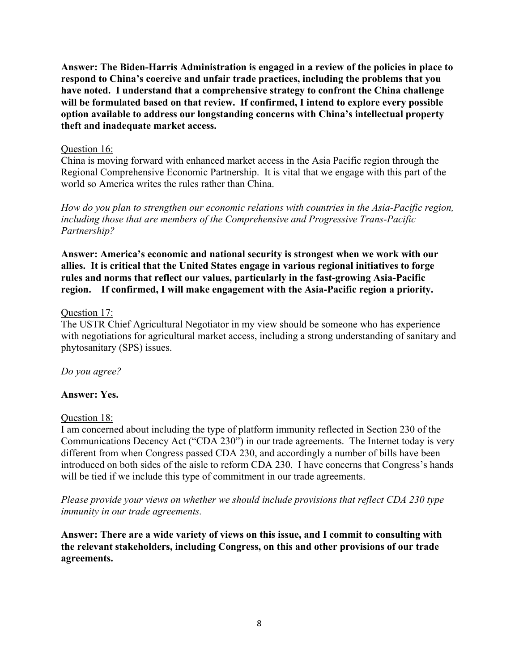**Answer: The Biden-Harris Administration is engaged in a review of the policies in place to respond to China's coercive and unfair trade practices, including the problems that you have noted. I understand that a comprehensive strategy to confront the China challenge will be formulated based on that review. If confirmed, I intend to explore every possible option available to address our longstanding concerns with China's intellectual property theft and inadequate market access.**

### Question 16:

China is moving forward with enhanced market access in the Asia Pacific region through the Regional Comprehensive Economic Partnership. It is vital that we engage with this part of the world so America writes the rules rather than China.

*How do you plan to strengthen our economic relations with countries in the Asia-Pacific region, including those that are members of the Comprehensive and Progressive Trans-Pacific Partnership?*

**Answer: America's economic and national security is strongest when we work with our allies. It is critical that the United States engage in various regional initiatives to forge rules and norms that reflect our values, particularly in the fast-growing Asia-Pacific region. If confirmed, I will make engagement with the Asia-Pacific region a priority.**

# Question 17:

The USTR Chief Agricultural Negotiator in my view should be someone who has experience with negotiations for agricultural market access, including a strong understanding of sanitary and phytosanitary (SPS) issues.

*Do you agree?*

# **Answer: Yes.**

### Question 18:

I am concerned about including the type of platform immunity reflected in Section 230 of the Communications Decency Act ("CDA 230") in our trade agreements. The Internet today is very different from when Congress passed CDA 230, and accordingly a number of bills have been introduced on both sides of the aisle to reform CDA 230. I have concerns that Congress's hands will be tied if we include this type of commitment in our trade agreements.

*Please provide your views on whether we should include provisions that reflect CDA 230 type immunity in our trade agreements.*

**Answer: There are a wide variety of views on this issue, and I commit to consulting with the relevant stakeholders, including Congress, on this and other provisions of our trade agreements.**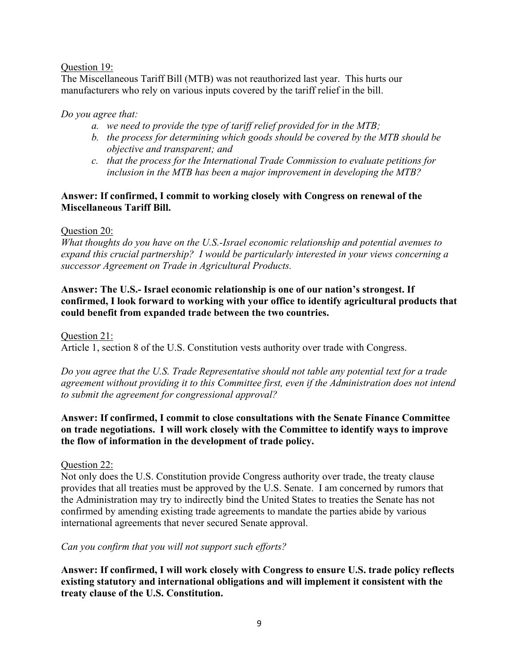### Question 19:

The Miscellaneous Tariff Bill (MTB) was not reauthorized last year. This hurts our manufacturers who rely on various inputs covered by the tariff relief in the bill.

# *Do you agree that:*

- *a. we need to provide the type of tariff relief provided for in the MTB;*
- *b. the process for determining which goods should be covered by the MTB should be objective and transparent; and*
- *c. that the process for the International Trade Commission to evaluate petitions for inclusion in the MTB has been a major improvement in developing the MTB?*

# **Answer: If confirmed, I commit to working closely with Congress on renewal of the Miscellaneous Tariff Bill.**

# Question 20:

*What thoughts do you have on the U.S.-Israel economic relationship and potential avenues to expand this crucial partnership? I would be particularly interested in your views concerning a successor Agreement on Trade in Agricultural Products.*

# **Answer: The U.S.- Israel economic relationship is one of our nation's strongest. If confirmed, I look forward to working with your office to identify agricultural products that could benefit from expanded trade between the two countries.**

### Question 21:

Article 1, section 8 of the U.S. Constitution vests authority over trade with Congress.

*Do you agree that the U.S. Trade Representative should not table any potential text for a trade agreement without providing it to this Committee first, even if the Administration does not intend to submit the agreement for congressional approval?*

# **Answer: If confirmed, I commit to close consultations with the Senate Finance Committee on trade negotiations. I will work closely with the Committee to identify ways to improve the flow of information in the development of trade policy.**

### Question 22:

Not only does the U.S. Constitution provide Congress authority over trade, the treaty clause provides that all treaties must be approved by the U.S. Senate. I am concerned by rumors that the Administration may try to indirectly bind the United States to treaties the Senate has not confirmed by amending existing trade agreements to mandate the parties abide by various international agreements that never secured Senate approval.

### *Can you confirm that you will not support such efforts?*

**Answer: If confirmed, I will work closely with Congress to ensure U.S. trade policy reflects existing statutory and international obligations and will implement it consistent with the treaty clause of the U.S. Constitution.**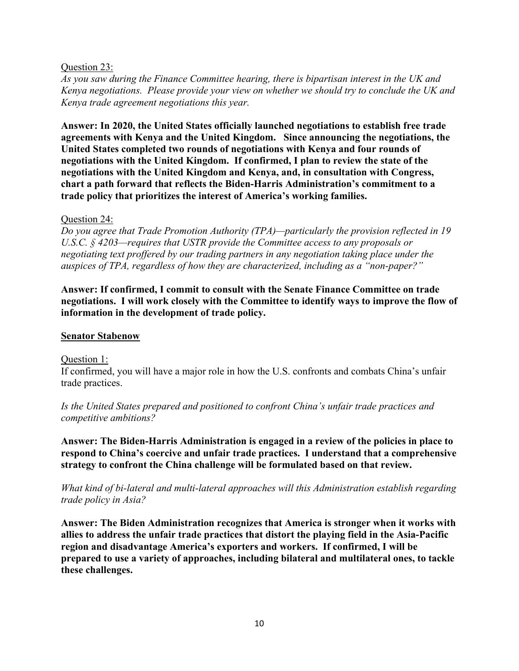### Question 23:

*As you saw during the Finance Committee hearing, there is bipartisan interest in the UK and Kenya negotiations. Please provide your view on whether we should try to conclude the UK and Kenya trade agreement negotiations this year.*

**Answer: In 2020, the United States officially launched negotiations to establish free trade agreements with Kenya and the United Kingdom. Since announcing the negotiations, the United States completed two rounds of negotiations with Kenya and four rounds of negotiations with the United Kingdom. If confirmed, I plan to review the state of the negotiations with the United Kingdom and Kenya, and, in consultation with Congress, chart a path forward that reflects the Biden-Harris Administration's commitment to a trade policy that prioritizes the interest of America's working families.** 

#### Question 24:

*Do you agree that Trade Promotion Authority (TPA)—particularly the provision reflected in 19 U.S.C. § 4203—requires that USTR provide the Committee access to any proposals or negotiating text proffered by our trading partners in any negotiation taking place under the auspices of TPA, regardless of how they are characterized, including as a "non-paper?"*

**Answer: If confirmed, I commit to consult with the Senate Finance Committee on trade negotiations. I will work closely with the Committee to identify ways to improve the flow of information in the development of trade policy.**

#### **Senator Stabenow**

Question 1:

If confirmed, you will have a major role in how the U.S. confronts and combats China's unfair trade practices.

*Is the United States prepared and positioned to confront China's unfair trade practices and competitive ambitions?* 

**Answer: The Biden-Harris Administration is engaged in a review of the policies in place to respond to China's coercive and unfair trade practices. I understand that a comprehensive strategy to confront the China challenge will be formulated based on that review.**

*What kind of bi-lateral and multi-lateral approaches will this Administration establish regarding trade policy in Asia?* 

**Answer: The Biden Administration recognizes that America is stronger when it works with allies to address the unfair trade practices that distort the playing field in the Asia-Pacific region and disadvantage America's exporters and workers. If confirmed, I will be prepared to use a variety of approaches, including bilateral and multilateral ones, to tackle these challenges.**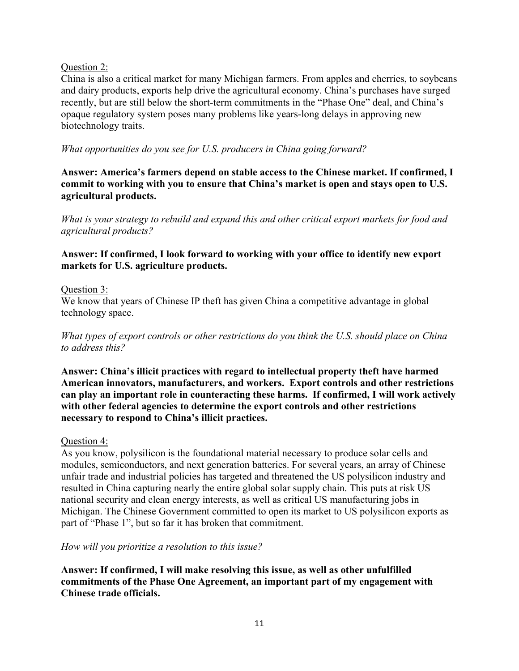# Question 2:

China is also a critical market for many Michigan farmers. From apples and cherries, to soybeans and dairy products, exports help drive the agricultural economy. China's purchases have surged recently, but are still below the short-term commitments in the "Phase One" deal, and China's opaque regulatory system poses many problems like years-long delays in approving new biotechnology traits.

*What opportunities do you see for U.S. producers in China going forward?*

**Answer: America's farmers depend on stable access to the Chinese market. If confirmed, I commit to working with you to ensure that China's market is open and stays open to U.S. agricultural products.**

*What is your strategy to rebuild and expand this and other critical export markets for food and agricultural products?* 

# **Answer: If confirmed, I look forward to working with your office to identify new export markets for U.S. agriculture products.**

# Question 3:

We know that years of Chinese IP theft has given China a competitive advantage in global technology space.

*What types of export controls or other restrictions do you think the U.S. should place on China to address this?*

**Answer: China's illicit practices with regard to intellectual property theft have harmed American innovators, manufacturers, and workers. Export controls and other restrictions can play an important role in counteracting these harms. If confirmed, I will work actively with other federal agencies to determine the export controls and other restrictions necessary to respond to China's illicit practices.**

### Question 4:

As you know, polysilicon is the foundational material necessary to produce solar cells and modules, semiconductors, and next generation batteries. For several years, an array of Chinese unfair trade and industrial policies has targeted and threatened the US polysilicon industry and resulted in China capturing nearly the entire global solar supply chain. This puts at risk US national security and clean energy interests, as well as critical US manufacturing jobs in Michigan. The Chinese Government committed to open its market to US polysilicon exports as part of "Phase 1", but so far it has broken that commitment.

### *How will you prioritize a resolution to this issue?*

**Answer: If confirmed, I will make resolving this issue, as well as other unfulfilled commitments of the Phase One Agreement, an important part of my engagement with Chinese trade officials.**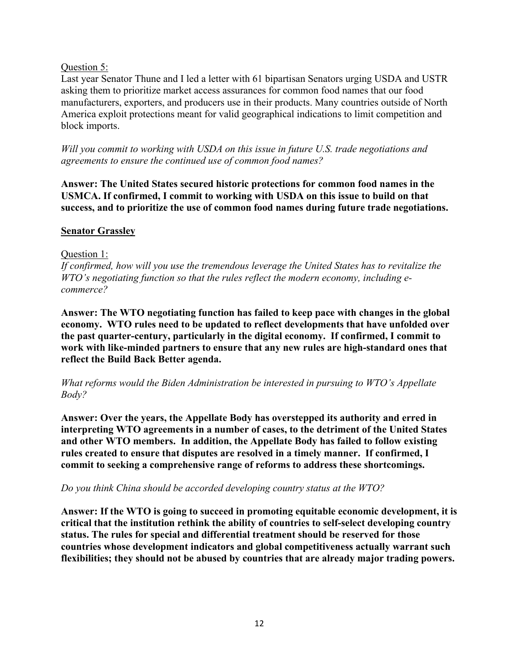# Question 5:

Last year Senator Thune and I led a letter with 61 bipartisan Senators urging USDA and USTR asking them to prioritize market access assurances for common food names that our food manufacturers, exporters, and producers use in their products. Many countries outside of North America exploit protections meant for valid geographical indications to limit competition and block imports.

*Will you commit to working with USDA on this issue in future U.S. trade negotiations and agreements to ensure the continued use of common food names?*

**Answer: The United States secured historic protections for common food names in the USMCA. If confirmed, I commit to working with USDA on this issue to build on that success, and to prioritize the use of common food names during future trade negotiations.**

# **Senator Grassley**

# Question 1:

*If confirmed, how will you use the tremendous leverage the United States has to revitalize the WTO's negotiating function so that the rules reflect the modern economy, including ecommerce?*

**Answer: The WTO negotiating function has failed to keep pace with changes in the global economy. WTO rules need to be updated to reflect developments that have unfolded over the past quarter-century, particularly in the digital economy. If confirmed, I commit to work with like-minded partners to ensure that any new rules are high-standard ones that reflect the Build Back Better agenda.**

*What reforms would the Biden Administration be interested in pursuing to WTO's Appellate Body?*

**Answer: Over the years, the Appellate Body has overstepped its authority and erred in interpreting WTO agreements in a number of cases, to the detriment of the United States and other WTO members. In addition, the Appellate Body has failed to follow existing rules created to ensure that disputes are resolved in a timely manner. If confirmed, I commit to seeking a comprehensive range of reforms to address these shortcomings.**

### *Do you think China should be accorded developing country status at the WTO?*

**Answer: If the WTO is going to succeed in promoting equitable economic development, it is critical that the institution rethink the ability of countries to self-select developing country status. The rules for special and differential treatment should be reserved for those countries whose development indicators and global competitiveness actually warrant such flexibilities; they should not be abused by countries that are already major trading powers.**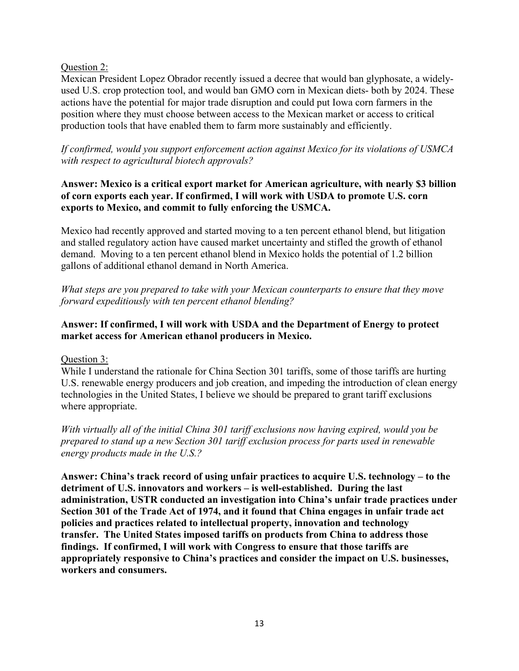# Question 2:

Mexican President Lopez Obrador recently issued a decree that would ban glyphosate, a widelyused U.S. crop protection tool, and would ban GMO corn in Mexican diets- both by 2024. These actions have the potential for major trade disruption and could put Iowa corn farmers in the position where they must choose between access to the Mexican market or access to critical production tools that have enabled them to farm more sustainably and efficiently.

*If confirmed, would you support enforcement action against Mexico for its violations of USMCA with respect to agricultural biotech approvals?*

# **Answer: Mexico is a critical export market for American agriculture, with nearly \$3 billion of corn exports each year. If confirmed, I will work with USDA to promote U.S. corn exports to Mexico, and commit to fully enforcing the USMCA.**

Mexico had recently approved and started moving to a ten percent ethanol blend, but litigation and stalled regulatory action have caused market uncertainty and stifled the growth of ethanol demand. Moving to a ten percent ethanol blend in Mexico holds the potential of 1.2 billion gallons of additional ethanol demand in North America.

*What steps are you prepared to take with your Mexican counterparts to ensure that they move forward expeditiously with ten percent ethanol blending?*

# **Answer: If confirmed, I will work with USDA and the Department of Energy to protect market access for American ethanol producers in Mexico.**

Question 3:

While I understand the rationale for China Section 301 tariffs, some of those tariffs are hurting U.S. renewable energy producers and job creation, and impeding the introduction of clean energy technologies in the United States, I believe we should be prepared to grant tariff exclusions where appropriate.

*With virtually all of the initial China 301 tariff exclusions now having expired, would you be prepared to stand up a new Section 301 tariff exclusion process for parts used in renewable energy products made in the U.S.?*

**Answer: China's track record of using unfair practices to acquire U.S. technology – to the detriment of U.S. innovators and workers – is well-established. During the last administration, USTR conducted an investigation into China's unfair trade practices under Section 301 of the Trade Act of 1974, and it found that China engages in unfair trade act policies and practices related to intellectual property, innovation and technology transfer. The United States imposed tariffs on products from China to address those findings. If confirmed, I will work with Congress to ensure that those tariffs are appropriately responsive to China's practices and consider the impact on U.S. businesses, workers and consumers.**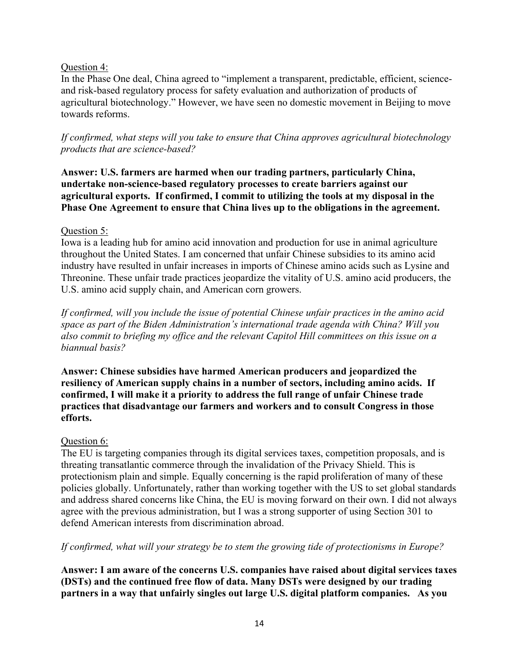# Question 4:

In the Phase One deal, China agreed to "implement a transparent, predictable, efficient, scienceand risk-based regulatory process for safety evaluation and authorization of products of agricultural biotechnology." However, we have seen no domestic movement in Beijing to move towards reforms.

*If confirmed, what steps will you take to ensure that China approves agricultural biotechnology products that are science-based?*

**Answer: U.S. farmers are harmed when our trading partners, particularly China, undertake non-science-based regulatory processes to create barriers against our agricultural exports. If confirmed, I commit to utilizing the tools at my disposal in the Phase One Agreement to ensure that China lives up to the obligations in the agreement.**

# Question 5:

Iowa is a leading hub for amino acid innovation and production for use in animal agriculture throughout the United States. I am concerned that unfair Chinese subsidies to its amino acid industry have resulted in unfair increases in imports of Chinese amino acids such as Lysine and Threonine. These unfair trade practices jeopardize the vitality of U.S. amino acid producers, the U.S. amino acid supply chain, and American corn growers.

*If confirmed, will you include the issue of potential Chinese unfair practices in the amino acid space as part of the Biden Administration's international trade agenda with China? Will you also commit to briefing my office and the relevant Capitol Hill committees on this issue on a biannual basis?*

**Answer: Chinese subsidies have harmed American producers and jeopardized the resiliency of American supply chains in a number of sectors, including amino acids. If confirmed, I will make it a priority to address the full range of unfair Chinese trade practices that disadvantage our farmers and workers and to consult Congress in those efforts.**

# Question 6:

The EU is targeting companies through its digital services taxes, competition proposals, and is threating transatlantic commerce through the invalidation of the Privacy Shield. This is protectionism plain and simple. Equally concerning is the rapid proliferation of many of these policies globally. Unfortunately, rather than working together with the US to set global standards and address shared concerns like China, the EU is moving forward on their own. I did not always agree with the previous administration, but I was a strong supporter of using Section 301 to defend American interests from discrimination abroad.

### *If confirmed, what will your strategy be to stem the growing tide of protectionisms in Europe?*

**Answer: I am aware of the concerns U.S. companies have raised about digital services taxes (DSTs) and the continued free flow of data. Many DSTs were designed by our trading partners in a way that unfairly singles out large U.S. digital platform companies. As you**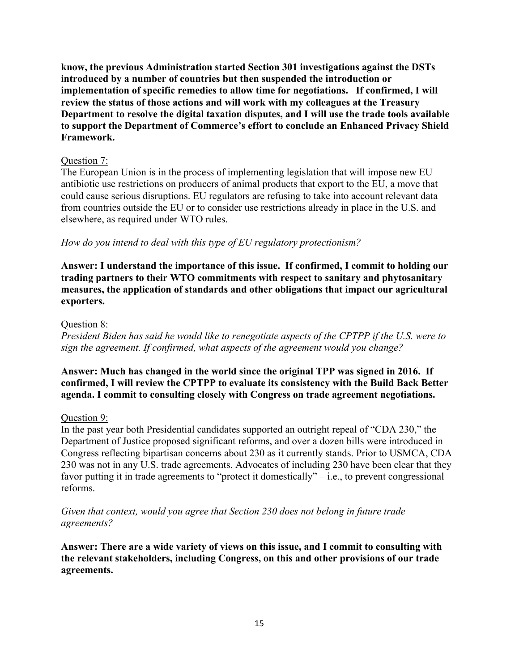**know, the previous Administration started Section 301 investigations against the DSTs introduced by a number of countries but then suspended the introduction or implementation of specific remedies to allow time for negotiations. If confirmed, I will review the status of those actions and will work with my colleagues at the Treasury Department to resolve the digital taxation disputes, and I will use the trade tools available to support the Department of Commerce's effort to conclude an Enhanced Privacy Shield Framework.**

# Question 7:

The European Union is in the process of implementing legislation that will impose new EU antibiotic use restrictions on producers of animal products that export to the EU, a move that could cause serious disruptions. EU regulators are refusing to take into account relevant data from countries outside the EU or to consider use restrictions already in place in the U.S. and elsewhere, as required under WTO rules.

# *How do you intend to deal with this type of EU regulatory protectionism?*

**Answer: I understand the importance of this issue. If confirmed, I commit to holding our trading partners to their WTO commitments with respect to sanitary and phytosanitary measures, the application of standards and other obligations that impact our agricultural exporters.**

### Question 8:

*President Biden has said he would like to renegotiate aspects of the CPTPP if the U.S. were to sign the agreement. If confirmed, what aspects of the agreement would you change?*

# **Answer: Much has changed in the world since the original TPP was signed in 2016. If confirmed, I will review the CPTPP to evaluate its consistency with the Build Back Better agenda. I commit to consulting closely with Congress on trade agreement negotiations.**

### Question 9:

In the past year both Presidential candidates supported an outright repeal of "CDA 230," the Department of Justice proposed significant reforms, and over a dozen bills were introduced in Congress reflecting bipartisan concerns about 230 as it currently stands. Prior to USMCA, CDA 230 was not in any U.S. trade agreements. Advocates of including 230 have been clear that they favor putting it in trade agreements to "protect it domestically" $-$  i.e., to prevent congressional reforms.

*Given that context, would you agree that Section 230 does not belong in future trade agreements?*

**Answer: There are a wide variety of views on this issue, and I commit to consulting with the relevant stakeholders, including Congress, on this and other provisions of our trade agreements.**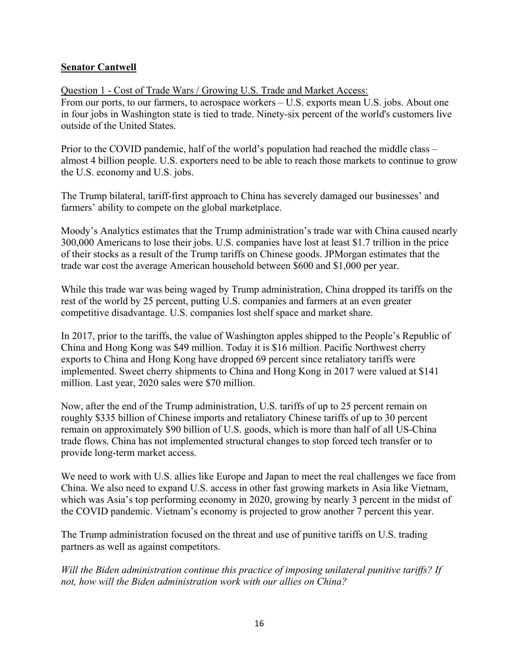# **Senator Cantwell**

Question 1 - Cost of Trade Wars / Growing U.S. Trade and Market Access: From our ports, to our farmers, to aerospace workers – U.S. exports mean U.S. jobs. About one in four jobs in Washington state is tied to trade. Ninety-six percent of the world's customers live outside of the United States.

Prior to the COVID pandemic, half of the world's population had reached the middle class – almost 4 billion people. U.S. exporters need to be able to reach those markets to continue to grow the U.S. economy and U.S. jobs.

The Trump bilateral, tariff-first approach to China has severely damaged our businesses' and farmers' ability to compete on the global marketplace.

Moody's Analytics estimates that the Trump administration's trade war with China caused nearly 300,000 Americans to lose their jobs. U.S. companies have lost at least \$1.7 trillion in the price of their stocks as a result of the Trump tariffs on Chinese goods. JPMorgan estimates that the trade war cost the average American household between \$600 and \$1,000 per year.

While this trade war was being waged by Trump administration, China dropped its tariffs on the rest of the world by 25 percent, putting U.S. companies and farmers at an even greater competitive disadvantage. U.S. companies lost shelf space and market share.

In 2017, prior to the tariffs, the value of Washington apples shipped to the People's Republic of China and Hong Kong was \$49 million. Today it is \$16 million. Pacific Northwest cherry exports to China and Hong Kong have dropped 69 percent since retaliatory tariffs were implemented. Sweet cherry shipments to China and Hong Kong in 2017 were valued at \$141 million. Last year, 2020 sales were \$70 million.

Now, after the end of the Trump administration, U.S. tariffs of up to 25 percent remain on roughly \$335 billion of Chinese imports and retaliatory Chinese tariffs of up to 30 percent remain on approximately \$90 billion of U.S. goods, which is more than half of all US-China trade flows. China has not implemented structural changes to stop forced tech transfer or to provide long-term market access.

We need to work with U.S. allies like Europe and Japan to meet the real challenges we face from China. We also need to expand U.S. access in other fast growing markets in Asia like Vietnam, which was Asia's top performing economy in 2020, growing by nearly 3 percent in the midst of the COVID pandemic. Vietnam's economy is projected to grow another 7 percent this year.

The Trump administration focused on the threat and use of punitive tariffs on U.S. trading partners as well as against competitors.

*Will the Biden administration continue this practice of imposing unilateral punitive tariffs? If not, how will the Biden administration work with our allies on China?*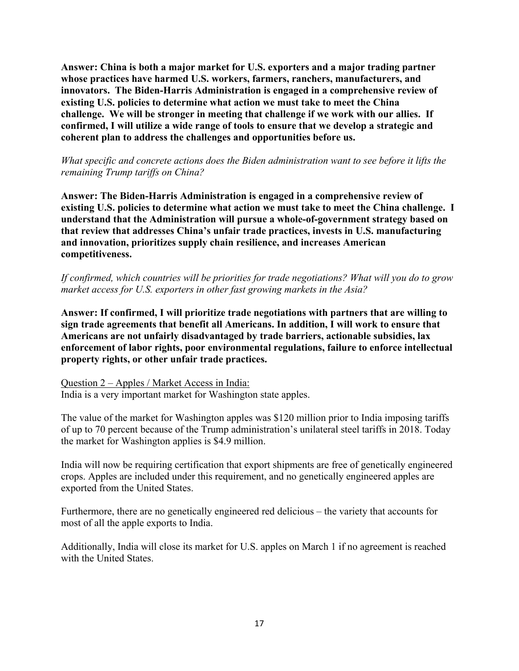**Answer: China is both a major market for U.S. exporters and a major trading partner whose practices have harmed U.S. workers, farmers, ranchers, manufacturers, and innovators. The Biden-Harris Administration is engaged in a comprehensive review of existing U.S. policies to determine what action we must take to meet the China challenge. We will be stronger in meeting that challenge if we work with our allies. If confirmed, I will utilize a wide range of tools to ensure that we develop a strategic and coherent plan to address the challenges and opportunities before us.**

*What specific and concrete actions does the Biden administration want to see before it lifts the remaining Trump tariffs on China?*

**Answer: The Biden-Harris Administration is engaged in a comprehensive review of existing U.S. policies to determine what action we must take to meet the China challenge. I understand that the Administration will pursue a whole-of-government strategy based on that review that addresses China's unfair trade practices, invests in U.S. manufacturing and innovation, prioritizes supply chain resilience, and increases American competitiveness.**

*If confirmed, which countries will be priorities for trade negotiations? What will you do to grow market access for U.S. exporters in other fast growing markets in the Asia?*

**Answer: If confirmed, I will prioritize trade negotiations with partners that are willing to sign trade agreements that benefit all Americans. In addition, I will work to ensure that Americans are not unfairly disadvantaged by trade barriers, actionable subsidies, lax enforcement of labor rights, poor environmental regulations, failure to enforce intellectual property rights, or other unfair trade practices.**

Question 2 – Apples / Market Access in India: India is a very important market for Washington state apples.

The value of the market for Washington apples was \$120 million prior to India imposing tariffs of up to 70 percent because of the Trump administration's unilateral steel tariffs in 2018. Today the market for Washington applies is \$4.9 million.

India will now be requiring certification that export shipments are free of genetically engineered crops. Apples are included under this requirement, and no genetically engineered apples are exported from the United States.

Furthermore, there are no genetically engineered red delicious – the variety that accounts for most of all the apple exports to India.

Additionally, India will close its market for U.S. apples on March 1 if no agreement is reached with the United States.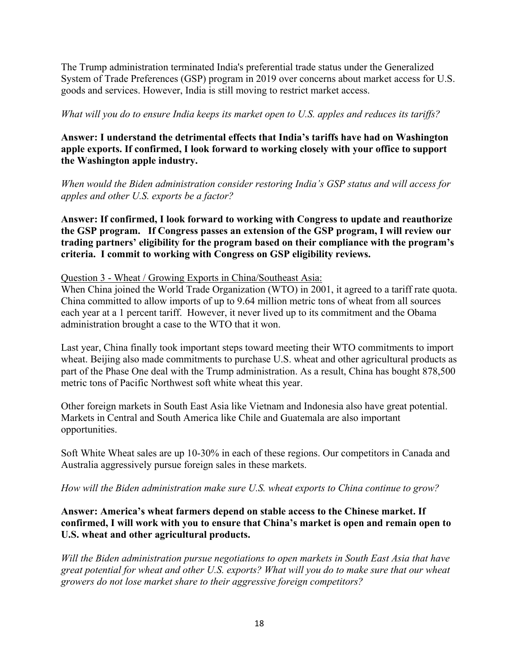The Trump administration terminated India's preferential trade status under the Generalized System of Trade Preferences (GSP) program in 2019 over concerns about market access for U.S. goods and services. However, India is still moving to restrict market access.

*What will you do to ensure India keeps its market open to U.S. apples and reduces its tariffs?*

# **Answer: I understand the detrimental effects that India's tariffs have had on Washington apple exports. If confirmed, I look forward to working closely with your office to support the Washington apple industry.**

*When would the Biden administration consider restoring India's GSP status and will access for apples and other U.S. exports be a factor?*

**Answer: If confirmed, I look forward to working with Congress to update and reauthorize the GSP program. If Congress passes an extension of the GSP program, I will review our trading partners' eligibility for the program based on their compliance with the program's criteria. I commit to working with Congress on GSP eligibility reviews.**

Question 3 - Wheat / Growing Exports in China/Southeast Asia:

When China joined the World Trade Organization (WTO) in 2001, it agreed to a tariff rate quota. China committed to allow imports of up to 9.64 million metric tons of wheat from all sources each year at a 1 percent tariff. However, it never lived up to its commitment and the Obama administration brought a case to the WTO that it won.

Last year, China finally took important steps toward meeting their WTO commitments to import wheat. Beijing also made commitments to purchase U.S. wheat and other agricultural products as part of the Phase One deal with the Trump administration. As a result, China has bought 878,500 metric tons of Pacific Northwest soft white wheat this year.

Other foreign markets in South East Asia like Vietnam and Indonesia also have great potential. Markets in Central and South America like Chile and Guatemala are also important opportunities.

Soft White Wheat sales are up 10-30% in each of these regions. Our competitors in Canada and Australia aggressively pursue foreign sales in these markets.

*How will the Biden administration make sure U.S. wheat exports to China continue to grow?*

# **Answer: America's wheat farmers depend on stable access to the Chinese market. If confirmed, I will work with you to ensure that China's market is open and remain open to U.S. wheat and other agricultural products.**

*Will the Biden administration pursue negotiations to open markets in South East Asia that have great potential for wheat and other U.S. exports? What will you do to make sure that our wheat growers do not lose market share to their aggressive foreign competitors?*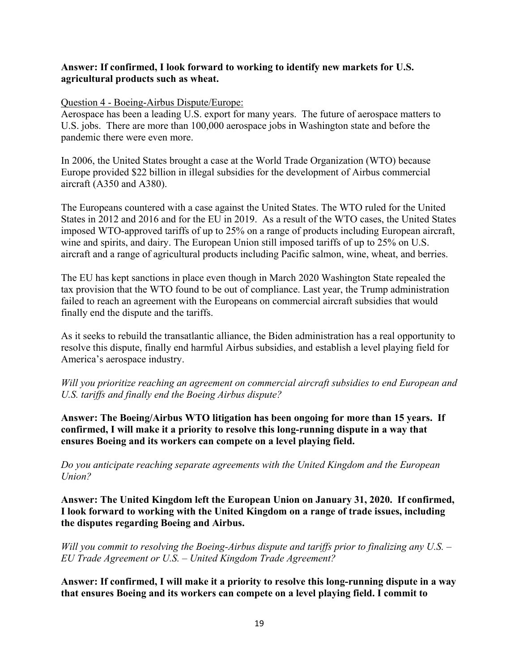# **Answer: If confirmed, I look forward to working to identify new markets for U.S. agricultural products such as wheat.**

### Question 4 - Boeing-Airbus Dispute/Europe:

Aerospace has been a leading U.S. export for many years. The future of aerospace matters to U.S. jobs. There are more than 100,000 aerospace jobs in Washington state and before the pandemic there were even more.

In 2006, the United States brought a case at the World Trade Organization (WTO) because Europe provided \$22 billion in illegal subsidies for the development of Airbus commercial aircraft (A350 and A380).

The Europeans countered with a case against the United States. The WTO ruled for the United States in 2012 and 2016 and for the EU in 2019. As a result of the WTO cases, the United States imposed WTO-approved tariffs of up to 25% on a range of products including European aircraft, wine and spirits, and dairy. The European Union still imposed tariffs of up to 25% on U.S. aircraft and a range of agricultural products including Pacific salmon, wine, wheat, and berries.

The EU has kept sanctions in place even though in March 2020 Washington State repealed the tax provision that the WTO found to be out of compliance. Last year, the Trump administration failed to reach an agreement with the Europeans on commercial aircraft subsidies that would finally end the dispute and the tariffs.

As it seeks to rebuild the transatlantic alliance, the Biden administration has a real opportunity to resolve this dispute, finally end harmful Airbus subsidies, and establish a level playing field for America's aerospace industry.

*Will you prioritize reaching an agreement on commercial aircraft subsidies to end European and U.S. tariffs and finally end the Boeing Airbus dispute?*

**Answer: The Boeing/Airbus WTO litigation has been ongoing for more than 15 years. If confirmed, I will make it a priority to resolve this long-running dispute in a way that ensures Boeing and its workers can compete on a level playing field.**

*Do you anticipate reaching separate agreements with the United Kingdom and the European Union?*

**Answer: The United Kingdom left the European Union on January 31, 2020. If confirmed, I look forward to working with the United Kingdom on a range of trade issues, including the disputes regarding Boeing and Airbus.**

*Will you commit to resolving the Boeing-Airbus dispute and tariffs prior to finalizing any U.S. – EU Trade Agreement or U.S. – United Kingdom Trade Agreement?*

**Answer: If confirmed, I will make it a priority to resolve this long-running dispute in a way that ensures Boeing and its workers can compete on a level playing field. I commit to**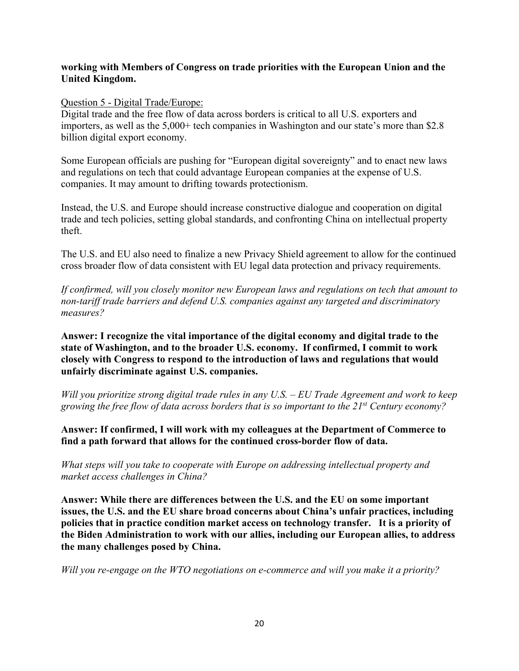# **working with Members of Congress on trade priorities with the European Union and the United Kingdom.**

### Question 5 - Digital Trade/Europe:

Digital trade and the free flow of data across borders is critical to all U.S. exporters and importers, as well as the 5,000+ tech companies in Washington and our state's more than \$2.8 billion digital export economy.

Some European officials are pushing for "European digital sovereignty" and to enact new laws and regulations on tech that could advantage European companies at the expense of U.S. companies. It may amount to drifting towards protectionism.

Instead, the U.S. and Europe should increase constructive dialogue and cooperation on digital trade and tech policies, setting global standards, and confronting China on intellectual property theft.

The U.S. and EU also need to finalize a new Privacy Shield agreement to allow for the continued cross broader flow of data consistent with EU legal data protection and privacy requirements.

*If confirmed, will you closely monitor new European laws and regulations on tech that amount to non-tariff trade barriers and defend U.S. companies against any targeted and discriminatory measures?* 

**Answer: I recognize the vital importance of the digital economy and digital trade to the state of Washington, and to the broader U.S. economy. If confirmed, I commit to work closely with Congress to respond to the introduction of laws and regulations that would unfairly discriminate against U.S. companies.**

*Will you prioritize strong digital trade rules in any U.S. – EU Trade Agreement and work to keep growing the free flow of data across borders that is so important to the 21st Century economy?*

**Answer: If confirmed, I will work with my colleagues at the Department of Commerce to find a path forward that allows for the continued cross-border flow of data.**

*What steps will you take to cooperate with Europe on addressing intellectual property and market access challenges in China?*

**Answer: While there are differences between the U.S. and the EU on some important issues, the U.S. and the EU share broad concerns about China's unfair practices, including policies that in practice condition market access on technology transfer. It is a priority of the Biden Administration to work with our allies, including our European allies, to address the many challenges posed by China.**

*Will you re-engage on the WTO negotiations on e-commerce and will you make it a priority?*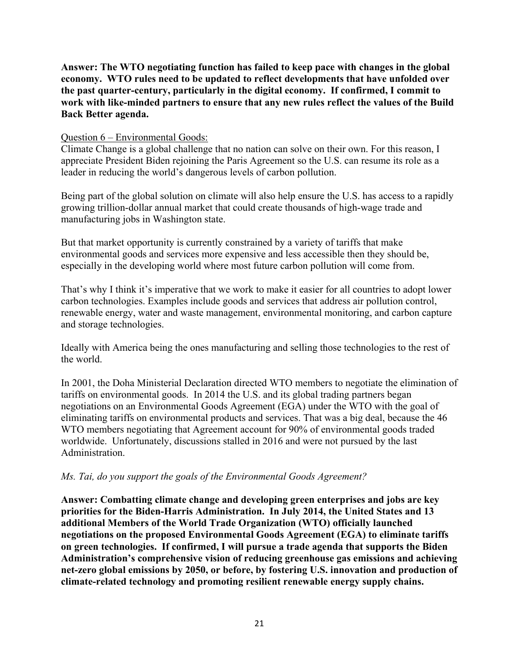**Answer: The WTO negotiating function has failed to keep pace with changes in the global economy. WTO rules need to be updated to reflect developments that have unfolded over the past quarter-century, particularly in the digital economy. If confirmed, I commit to work with like-minded partners to ensure that any new rules reflect the values of the Build Back Better agenda.**

#### Question 6 – Environmental Goods:

Climate Change is a global challenge that no nation can solve on their own. For this reason, I appreciate President Biden rejoining the Paris Agreement so the U.S. can resume its role as a leader in reducing the world's dangerous levels of carbon pollution.

Being part of the global solution on climate will also help ensure the U.S. has access to a rapidly growing trillion-dollar annual market that could create thousands of high-wage trade and manufacturing jobs in Washington state.

But that market opportunity is currently constrained by a variety of tariffs that make environmental goods and services more expensive and less accessible then they should be, especially in the developing world where most future carbon pollution will come from.

That's why I think it's imperative that we work to make it easier for all countries to adopt lower carbon technologies. Examples include goods and services that address air pollution control, renewable energy, water and waste management, environmental monitoring, and carbon capture and storage technologies.

Ideally with America being the ones manufacturing and selling those technologies to the rest of the world.

In 2001, the Doha Ministerial Declaration directed WTO members to negotiate the elimination of tariffs on environmental goods. In 2014 the U.S. and its global trading partners began negotiations on an Environmental Goods Agreement (EGA) under the WTO with the goal of eliminating tariffs on environmental products and services. That was a big deal, because the 46 WTO members negotiating that Agreement account for 90% of environmental goods traded worldwide. Unfortunately, discussions stalled in 2016 and were not pursued by the last Administration.

### *Ms. Tai, do you support the goals of the Environmental Goods Agreement?*

**Answer: Combatting climate change and developing green enterprises and jobs are key priorities for the Biden-Harris Administration. In July 2014, the United States and 13 additional Members of the World Trade Organization (WTO) officially launched negotiations on the proposed Environmental Goods Agreement (EGA) to eliminate tariffs on green technologies. If confirmed, I will pursue a trade agenda that supports the Biden Administration's comprehensive vision of reducing greenhouse gas emissions and achieving net-zero global emissions by 2050, or before, by fostering U.S. innovation and production of climate-related technology and promoting resilient renewable energy supply chains.**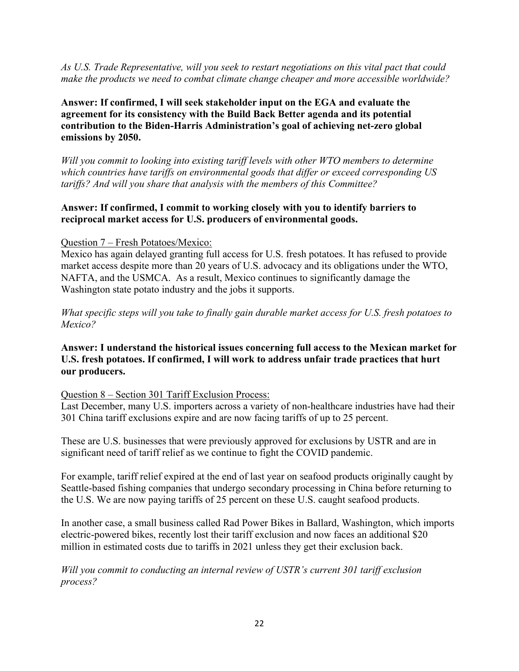*As U.S. Trade Representative, will you seek to restart negotiations on this vital pact that could make the products we need to combat climate change cheaper and more accessible worldwide?*

**Answer: If confirmed, I will seek stakeholder input on the EGA and evaluate the agreement for its consistency with the Build Back Better agenda and its potential contribution to the Biden-Harris Administration's goal of achieving net-zero global emissions by 2050.**

*Will you commit to looking into existing tariff levels with other WTO members to determine which countries have tariffs on environmental goods that differ or exceed corresponding US tariffs? And will you share that analysis with the members of this Committee?*

# **Answer: If confirmed, I commit to working closely with you to identify barriers to reciprocal market access for U.S. producers of environmental goods.**

# Question 7 – Fresh Potatoes/Mexico:

Mexico has again delayed granting full access for U.S. fresh potatoes. It has refused to provide market access despite more than 20 years of U.S. advocacy and its obligations under the WTO, NAFTA, and the USMCA. As a result, Mexico continues to significantly damage the Washington state potato industry and the jobs it supports.

*What specific steps will you take to finally gain durable market access for U.S. fresh potatoes to Mexico?*

# **Answer: I understand the historical issues concerning full access to the Mexican market for U.S. fresh potatoes. If confirmed, I will work to address unfair trade practices that hurt our producers.**

### Question 8 – Section 301 Tariff Exclusion Process:

Last December, many U.S. importers across a variety of non-healthcare industries have had their 301 China tariff exclusions expire and are now facing tariffs of up to 25 percent.

These are U.S. businesses that were previously approved for exclusions by USTR and are in significant need of tariff relief as we continue to fight the COVID pandemic.

For example, tariff relief expired at the end of last year on seafood products originally caught by Seattle-based fishing companies that undergo secondary processing in China before returning to the U.S. We are now paying tariffs of 25 percent on these U.S. caught seafood products.

In another case, a small business called Rad Power Bikes in Ballard, Washington, which imports electric-powered bikes, recently lost their tariff exclusion and now faces an additional \$20 million in estimated costs due to tariffs in 2021 unless they get their exclusion back.

*Will you commit to conducting an internal review of USTR's current 301 tariff exclusion process?*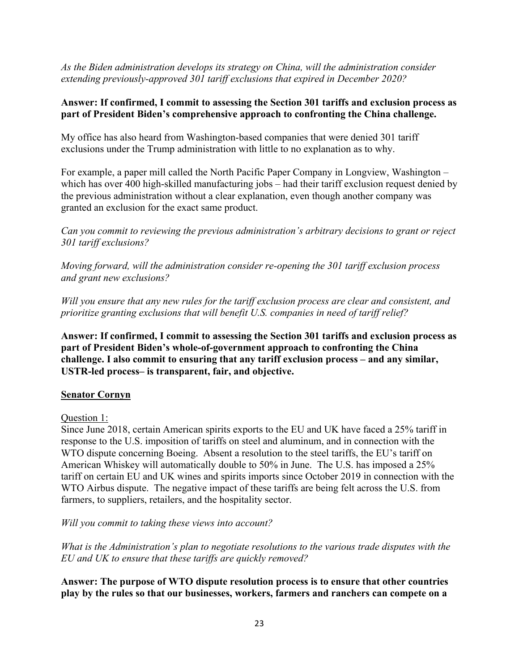*As the Biden administration develops its strategy on China, will the administration consider extending previously-approved 301 tariff exclusions that expired in December 2020?*

# **Answer: If confirmed, I commit to assessing the Section 301 tariffs and exclusion process as part of President Biden's comprehensive approach to confronting the China challenge.**

My office has also heard from Washington-based companies that were denied 301 tariff exclusions under the Trump administration with little to no explanation as to why.

For example, a paper mill called the North Pacific Paper Company in Longview, Washington – which has over 400 high-skilled manufacturing jobs – had their tariff exclusion request denied by the previous administration without a clear explanation, even though another company was granted an exclusion for the exact same product.

*Can you commit to reviewing the previous administration's arbitrary decisions to grant or reject 301 tariff exclusions?*

*Moving forward, will the administration consider re-opening the 301 tariff exclusion process and grant new exclusions?*

*Will you ensure that any new rules for the tariff exclusion process are clear and consistent, and prioritize granting exclusions that will benefit U.S. companies in need of tariff relief?*

**Answer: If confirmed, I commit to assessing the Section 301 tariffs and exclusion process as part of President Biden's whole-of-government approach to confronting the China challenge. I also commit to ensuring that any tariff exclusion process – and any similar, USTR-led process– is transparent, fair, and objective.**

# **Senator Cornyn**

Question 1:

Since June 2018, certain American spirits exports to the EU and UK have faced a 25% tariff in response to the U.S. imposition of tariffs on steel and aluminum, and in connection with the WTO dispute concerning Boeing. Absent a resolution to the steel tariffs, the EU's tariff on American Whiskey will automatically double to 50% in June. The U.S. has imposed a 25% tariff on certain EU and UK wines and spirits imports since October 2019 in connection with the WTO Airbus dispute. The negative impact of these tariffs are being felt across the U.S. from farmers, to suppliers, retailers, and the hospitality sector.

*Will you commit to taking these views into account?*

*What is the Administration's plan to negotiate resolutions to the various trade disputes with the EU and UK to ensure that these tariffs are quickly removed?*

**Answer: The purpose of WTO dispute resolution process is to ensure that other countries play by the rules so that our businesses, workers, farmers and ranchers can compete on a**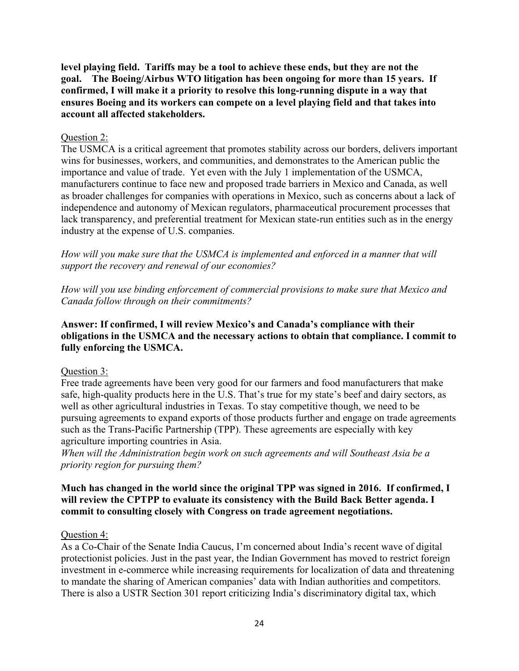**level playing field. Tariffs may be a tool to achieve these ends, but they are not the goal. The Boeing/Airbus WTO litigation has been ongoing for more than 15 years. If confirmed, I will make it a priority to resolve this long-running dispute in a way that ensures Boeing and its workers can compete on a level playing field and that takes into account all affected stakeholders.** 

#### Question 2:

The USMCA is a critical agreement that promotes stability across our borders, delivers important wins for businesses, workers, and communities, and demonstrates to the American public the importance and value of trade. Yet even with the July 1 implementation of the USMCA, manufacturers continue to face new and proposed trade barriers in Mexico and Canada, as well as broader challenges for companies with operations in Mexico, such as concerns about a lack of independence and autonomy of Mexican regulators, pharmaceutical procurement processes that lack transparency, and preferential treatment for Mexican state-run entities such as in the energy industry at the expense of U.S. companies.

*How will you make sure that the USMCA is implemented and enforced in a manner that will support the recovery and renewal of our economies?* 

*How will you use binding enforcement of commercial provisions to make sure that Mexico and Canada follow through on their commitments?*

# **Answer: If confirmed, I will review Mexico's and Canada's compliance with their obligations in the USMCA and the necessary actions to obtain that compliance. I commit to fully enforcing the USMCA.**

### Question 3:

Free trade agreements have been very good for our farmers and food manufacturers that make safe, high-quality products here in the U.S. That's true for my state's beef and dairy sectors, as well as other agricultural industries in Texas. To stay competitive though, we need to be pursuing agreements to expand exports of those products further and engage on trade agreements such as the Trans-Pacific Partnership (TPP). These agreements are especially with key agriculture importing countries in Asia.

*When will the Administration begin work on such agreements and will Southeast Asia be a priority region for pursuing them?*

### **Much has changed in the world since the original TPP was signed in 2016. If confirmed, I will review the CPTPP to evaluate its consistency with the Build Back Better agenda. I commit to consulting closely with Congress on trade agreement negotiations.**

### Question 4:

As a Co-Chair of the Senate India Caucus, I'm concerned about India's recent wave of digital protectionist policies. Just in the past year, the Indian Government has moved to restrict foreign investment in e-commerce while increasing requirements for localization of data and threatening to mandate the sharing of American companies' data with Indian authorities and competitors. There is also a USTR Section 301 report criticizing India's discriminatory digital tax, which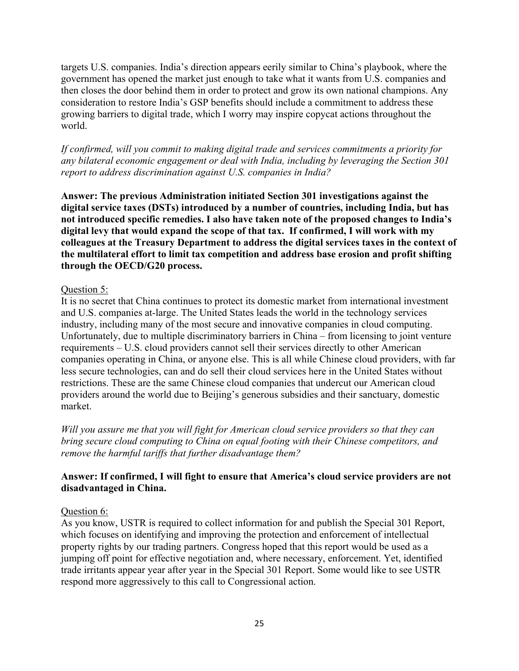targets U.S. companies. India's direction appears eerily similar to China's playbook, where the government has opened the market just enough to take what it wants from U.S. companies and then closes the door behind them in order to protect and grow its own national champions. Any consideration to restore India's GSP benefits should include a commitment to address these growing barriers to digital trade, which I worry may inspire copycat actions throughout the world.

*If confirmed, will you commit to making digital trade and services commitments a priority for any bilateral economic engagement or deal with India, including by leveraging the Section 301 report to address discrimination against U.S. companies in India?*

**Answer: The previous Administration initiated Section 301 investigations against the digital service taxes (DSTs) introduced by a number of countries, including India, but has not introduced specific remedies. I also have taken note of the proposed changes to India's digital levy that would expand the scope of that tax. If confirmed, I will work with my colleagues at the Treasury Department to address the digital services taxes in the context of the multilateral effort to limit tax competition and address base erosion and profit shifting through the OECD/G20 process.** 

# Question 5:

It is no secret that China continues to protect its domestic market from international investment and U.S. companies at-large. The United States leads the world in the technology services industry, including many of the most secure and innovative companies in cloud computing. Unfortunately, due to multiple discriminatory barriers in China – from licensing to joint venture requirements – U.S. cloud providers cannot sell their services directly to other American companies operating in China, or anyone else. This is all while Chinese cloud providers, with far less secure technologies, can and do sell their cloud services here in the United States without restrictions. These are the same Chinese cloud companies that undercut our American cloud providers around the world due to Beijing's generous subsidies and their sanctuary, domestic market.

*Will you assure me that you will fight for American cloud service providers so that they can bring secure cloud computing to China on equal footing with their Chinese competitors, and remove the harmful tariffs that further disadvantage them?*

# **Answer: If confirmed, I will fight to ensure that America's cloud service providers are not disadvantaged in China.**

# Question 6:

As you know, USTR is required to collect information for and publish the Special 301 Report, which focuses on identifying and improving the protection and enforcement of intellectual property rights by our trading partners. Congress hoped that this report would be used as a jumping off point for effective negotiation and, where necessary, enforcement. Yet, identified trade irritants appear year after year in the Special 301 Report. Some would like to see USTR respond more aggressively to this call to Congressional action.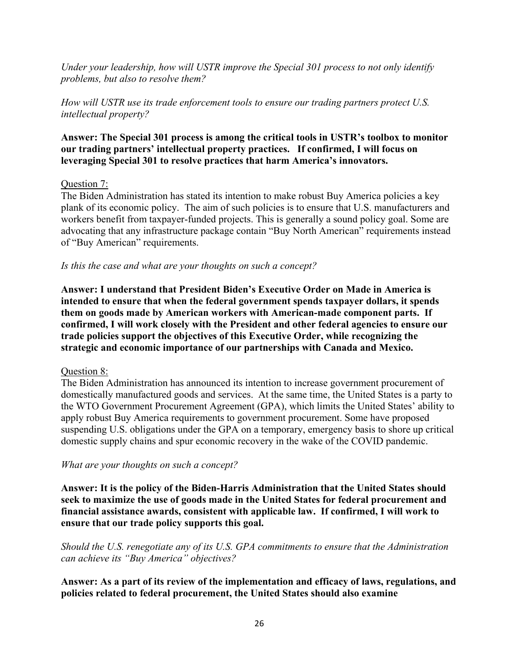*Under your leadership, how will USTR improve the Special 301 process to not only identify problems, but also to resolve them?*

# *How will USTR use its trade enforcement tools to ensure our trading partners protect U.S. intellectual property?*

# **Answer: The Special 301 process is among the critical tools in USTR's toolbox to monitor our trading partners' intellectual property practices. If confirmed, I will focus on leveraging Special 301 to resolve practices that harm America's innovators.**

### Question 7:

The Biden Administration has stated its intention to make robust Buy America policies a key plank of its economic policy. The aim of such policies is to ensure that U.S. manufacturers and workers benefit from taxpayer-funded projects. This is generally a sound policy goal. Some are advocating that any infrastructure package contain "Buy North American" requirements instead of "Buy American" requirements.

# *Is this the case and what are your thoughts on such a concept?*

**Answer: I understand that President Biden's Executive Order on Made in America is intended to ensure that when the federal government spends taxpayer dollars, it spends them on goods made by American workers with American-made component parts. If confirmed, I will work closely with the President and other federal agencies to ensure our trade policies support the objectives of this Executive Order, while recognizing the strategic and economic importance of our partnerships with Canada and Mexico.** 

### Question 8:

The Biden Administration has announced its intention to increase government procurement of domestically manufactured goods and services. At the same time, the United States is a party to the WTO Government Procurement Agreement (GPA), which limits the United States' ability to apply robust Buy America requirements to government procurement. Some have proposed suspending U.S. obligations under the GPA on a temporary, emergency basis to shore up critical domestic supply chains and spur economic recovery in the wake of the COVID pandemic.

### *What are your thoughts on such a concept?*

**Answer: It is the policy of the Biden-Harris Administration that the United States should seek to maximize the use of goods made in the United States for federal procurement and financial assistance awards, consistent with applicable law. If confirmed, I will work to ensure that our trade policy supports this goal.**

*Should the U.S. renegotiate any of its U.S. GPA commitments to ensure that the Administration can achieve its "Buy America" objectives?*

# **Answer: As a part of its review of the implementation and efficacy of laws, regulations, and policies related to federal procurement, the United States should also examine**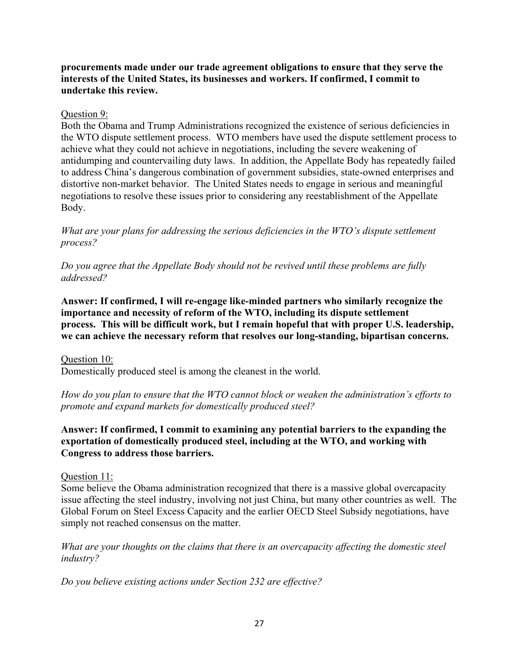# **procurements made under our trade agreement obligations to ensure that they serve the interests of the United States, its businesses and workers. If confirmed, I commit to undertake this review.**

# Question 9:

Both the Obama and Trump Administrations recognized the existence of serious deficiencies in the WTO dispute settlement process. WTO members have used the dispute settlement process to achieve what they could not achieve in negotiations, including the severe weakening of antidumping and countervailing duty laws. In addition, the Appellate Body has repeatedly failed to address China's dangerous combination of government subsidies, state-owned enterprises and distortive non-market behavior. The United States needs to engage in serious and meaningful negotiations to resolve these issues prior to considering any reestablishment of the Appellate Body.

*What are your plans for addressing the serious deficiencies in the WTO's dispute settlement process?* 

*Do you agree that the Appellate Body should not be revived until these problems are fully addressed?*

**Answer: If confirmed, I will re-engage like-minded partners who similarly recognize the importance and necessity of reform of the WTO, including its dispute settlement process. This will be difficult work, but I remain hopeful that with proper U.S. leadership, we can achieve the necessary reform that resolves our long-standing, bipartisan concerns.** 

Question 10: Domestically produced steel is among the cleanest in the world.

*How do you plan to ensure that the WTO cannot block or weaken the administration's efforts to promote and expand markets for domestically produced steel?*

# **Answer: If confirmed, I commit to examining any potential barriers to the expanding the exportation of domestically produced steel, including at the WTO, and working with Congress to address those barriers.**

### Question 11:

Some believe the Obama administration recognized that there is a massive global overcapacity issue affecting the steel industry, involving not just China, but many other countries as well. The Global Forum on Steel Excess Capacity and the earlier OECD Steel Subsidy negotiations, have simply not reached consensus on the matter.

*What are your thoughts on the claims that there is an overcapacity affecting the domestic steel industry?* 

*Do you believe existing actions under Section 232 are effective?*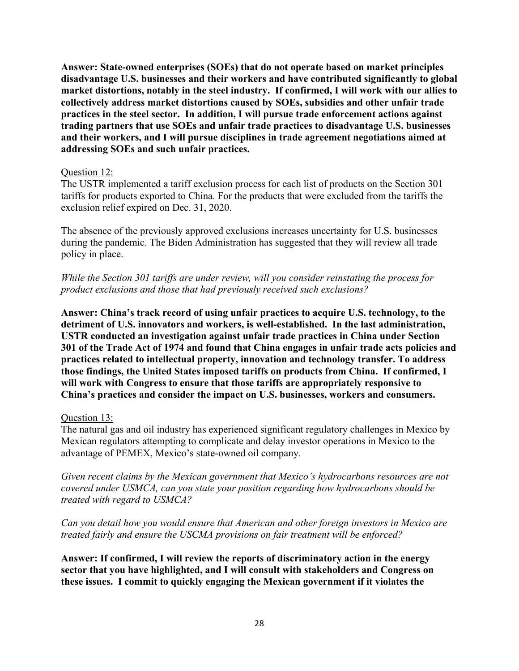**Answer: State-owned enterprises (SOEs) that do not operate based on market principles disadvantage U.S. businesses and their workers and have contributed significantly to global market distortions, notably in the steel industry. If confirmed, I will work with our allies to collectively address market distortions caused by SOEs, subsidies and other unfair trade practices in the steel sector. In addition, I will pursue trade enforcement actions against trading partners that use SOEs and unfair trade practices to disadvantage U.S. businesses and their workers, and I will pursue disciplines in trade agreement negotiations aimed at addressing SOEs and such unfair practices.**

### Question 12:

The USTR implemented a tariff exclusion process for each list of products on the Section 301 tariffs for products exported to China. For the products that were excluded from the tariffs the exclusion relief expired on Dec. 31, 2020.

The absence of the previously approved exclusions increases uncertainty for U.S. businesses during the pandemic. The Biden Administration has suggested that they will review all trade policy in place.

*While the Section 301 tariffs are under review, will you consider reinstating the process for product exclusions and those that had previously received such exclusions?*

**Answer: China's track record of using unfair practices to acquire U.S. technology, to the detriment of U.S. innovators and workers, is well-established. In the last administration, USTR conducted an investigation against unfair trade practices in China under Section 301 of the Trade Act of 1974 and found that China engages in unfair trade acts policies and practices related to intellectual property, innovation and technology transfer. To address those findings, the United States imposed tariffs on products from China. If confirmed, I will work with Congress to ensure that those tariffs are appropriately responsive to China's practices and consider the impact on U.S. businesses, workers and consumers.**

# Question 13:

The natural gas and oil industry has experienced significant regulatory challenges in Mexico by Mexican regulators attempting to complicate and delay investor operations in Mexico to the advantage of PEMEX, Mexico's state-owned oil company*.* 

*Given recent claims by the Mexican government that Mexico's hydrocarbons resources are not covered under USMCA, can you state your position regarding how hydrocarbons should be treated with regard to USMCA?*

*Can you detail how you would ensure that American and other foreign investors in Mexico are treated fairly and ensure the USCMA provisions on fair treatment will be enforced?*

**Answer: If confirmed, I will review the reports of discriminatory action in the energy sector that you have highlighted, and I will consult with stakeholders and Congress on these issues. I commit to quickly engaging the Mexican government if it violates the**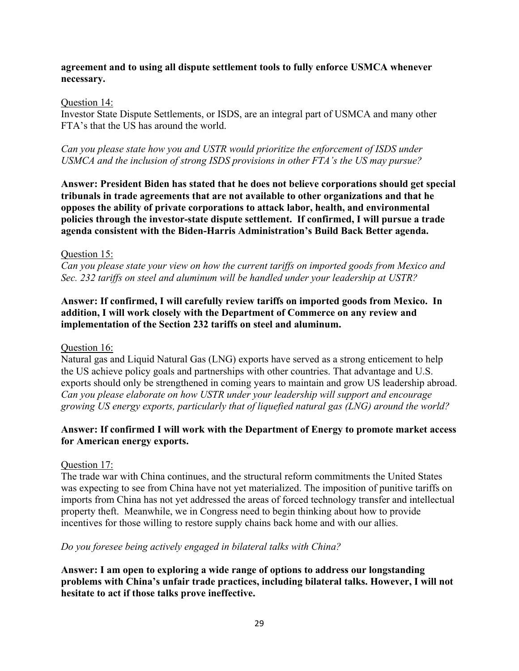# **agreement and to using all dispute settlement tools to fully enforce USMCA whenever necessary.**

### Question 14:

Investor State Dispute Settlements, or ISDS, are an integral part of USMCA and many other FTA's that the US has around the world.

*Can you please state how you and USTR would prioritize the enforcement of ISDS under USMCA and the inclusion of strong ISDS provisions in other FTA's the US may pursue?*

**Answer: President Biden has stated that he does not believe corporations should get special tribunals in trade agreements that are not available to other organizations and that he opposes the ability of private corporations to attack labor, health, and environmental policies through the investor-state dispute settlement. If confirmed, I will pursue a trade agenda consistent with the Biden-Harris Administration's Build Back Better agenda.**

# Question 15:

*Can you please state your view on how the current tariffs on imported goods from Mexico and Sec. 232 tariffs on steel and aluminum will be handled under your leadership at USTR?* 

**Answer: If confirmed, I will carefully review tariffs on imported goods from Mexico. In addition, I will work closely with the Department of Commerce on any review and implementation of the Section 232 tariffs on steel and aluminum.**

### Question 16:

Natural gas and Liquid Natural Gas (LNG) exports have served as a strong enticement to help the US achieve policy goals and partnerships with other countries. That advantage and U.S. exports should only be strengthened in coming years to maintain and grow US leadership abroad. *Can you please elaborate on how USTR under your leadership will support and encourage growing US energy exports, particularly that of liquefied natural gas (LNG) around the world?* 

# **Answer: If confirmed I will work with the Department of Energy to promote market access for American energy exports.**

# Question 17:

The trade war with China continues, and the structural reform commitments the United States was expecting to see from China have not yet materialized. The imposition of punitive tariffs on imports from China has not yet addressed the areas of forced technology transfer and intellectual property theft. Meanwhile, we in Congress need to begin thinking about how to provide incentives for those willing to restore supply chains back home and with our allies.

# *Do you foresee being actively engaged in bilateral talks with China?*

**Answer: I am open to exploring a wide range of options to address our longstanding problems with China's unfair trade practices, including bilateral talks. However, I will not hesitate to act if those talks prove ineffective.**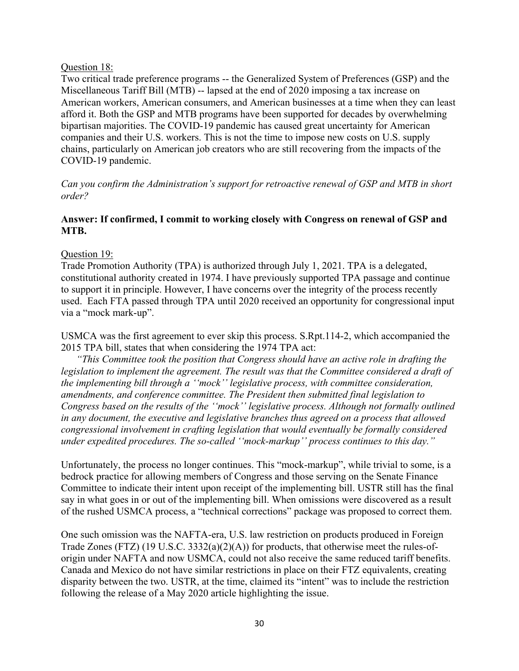#### Question 18:

Two critical trade preference programs -- the Generalized System of Preferences (GSP) and the Miscellaneous Tariff Bill (MTB) -- lapsed at the end of 2020 imposing a tax increase on American workers, American consumers, and American businesses at a time when they can least afford it. Both the GSP and MTB programs have been supported for decades by overwhelming bipartisan majorities. The COVID-19 pandemic has caused great uncertainty for American companies and their U.S. workers. This is not the time to impose new costs on U.S. supply chains, particularly on American job creators who are still recovering from the impacts of the COVID-19 pandemic.

*Can you confirm the Administration's support for retroactive renewal of GSP and MTB in short order?*

# **Answer: If confirmed, I commit to working closely with Congress on renewal of GSP and MTB.**

Question 19:

Trade Promotion Authority (TPA) is authorized through July 1, 2021. TPA is a delegated, constitutional authority created in 1974. I have previously supported TPA passage and continue to support it in principle. However, I have concerns over the integrity of the process recently used. Each FTA passed through TPA until 2020 received an opportunity for congressional input via a "mock mark-up".

USMCA was the first agreement to ever skip this process. S.Rpt.114-2, which accompanied the 2015 TPA bill, states that when considering the 1974 TPA act:

 *"This Committee took the position that Congress should have an active role in drafting the legislation to implement the agreement. The result was that the Committee considered a draft of the implementing bill through a ''mock'' legislative process, with committee consideration, amendments, and conference committee. The President then submitted final legislation to Congress based on the results of the ''mock'' legislative process. Although not formally outlined in any document, the executive and legislative branches thus agreed on a process that allowed congressional involvement in crafting legislation that would eventually be formally considered under expedited procedures. The so-called ''mock-markup'' process continues to this day."*

Unfortunately, the process no longer continues. This "mock-markup", while trivial to some, is a bedrock practice for allowing members of Congress and those serving on the Senate Finance Committee to indicate their intent upon receipt of the implementing bill. USTR still has the final say in what goes in or out of the implementing bill. When omissions were discovered as a result of the rushed USMCA process, a "technical corrections" package was proposed to correct them.

One such omission was the NAFTA-era, U.S. law restriction on products produced in Foreign Trade Zones (FTZ) (19 U.S.C. 3332(a)(2)(A)) for products, that otherwise meet the rules-oforigin under NAFTA and now USMCA, could not also receive the same reduced tariff benefits. Canada and Mexico do not have similar restrictions in place on their FTZ equivalents, creating disparity between the two. USTR, at the time, claimed its "intent" was to include the restriction following the release of a May 2020 article highlighting the issue.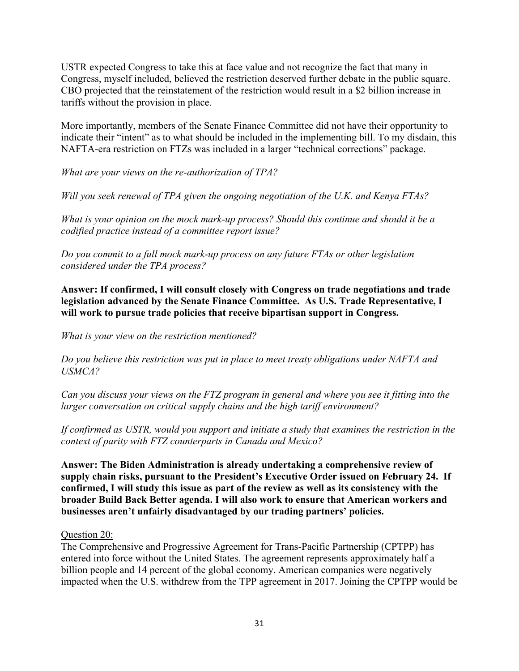USTR expected Congress to take this at face value and not recognize the fact that many in Congress, myself included, believed the restriction deserved further debate in the public square. CBO projected that the reinstatement of the restriction would result in a \$2 billion increase in tariffs without the provision in place.

More importantly, members of the Senate Finance Committee did not have their opportunity to indicate their "intent" as to what should be included in the implementing bill. To my disdain, this NAFTA-era restriction on FTZs was included in a larger "technical corrections" package.

*What are your views on the re-authorization of TPA?*

*Will you seek renewal of TPA given the ongoing negotiation of the U.K. and Kenya FTAs?*

*What is your opinion on the mock mark-up process? Should this continue and should it be a codified practice instead of a committee report issue?*

*Do you commit to a full mock mark-up process on any future FTAs or other legislation considered under the TPA process?*

**Answer: If confirmed, I will consult closely with Congress on trade negotiations and trade legislation advanced by the Senate Finance Committee. As U.S. Trade Representative, I will work to pursue trade policies that receive bipartisan support in Congress.**

*What is your view on the restriction mentioned?*

*Do you believe this restriction was put in place to meet treaty obligations under NAFTA and USMCA?*

*Can you discuss your views on the FTZ program in general and where you see it fitting into the larger conversation on critical supply chains and the high tariff environment?*

*If confirmed as USTR, would you support and initiate a study that examines the restriction in the context of parity with FTZ counterparts in Canada and Mexico?* 

**Answer: The Biden Administration is already undertaking a comprehensive review of supply chain risks, pursuant to the President's Executive Order issued on February 24. If confirmed, I will study this issue as part of the review as well as its consistency with the broader Build Back Better agenda. I will also work to ensure that American workers and businesses aren't unfairly disadvantaged by our trading partners' policies.** 

### Question 20:

The Comprehensive and Progressive Agreement for Trans-Pacific Partnership (CPTPP) has entered into force without the United States. The agreement represents approximately half a billion people and 14 percent of the global economy. American companies were negatively impacted when the U.S. withdrew from the TPP agreement in 2017. Joining the CPTPP would be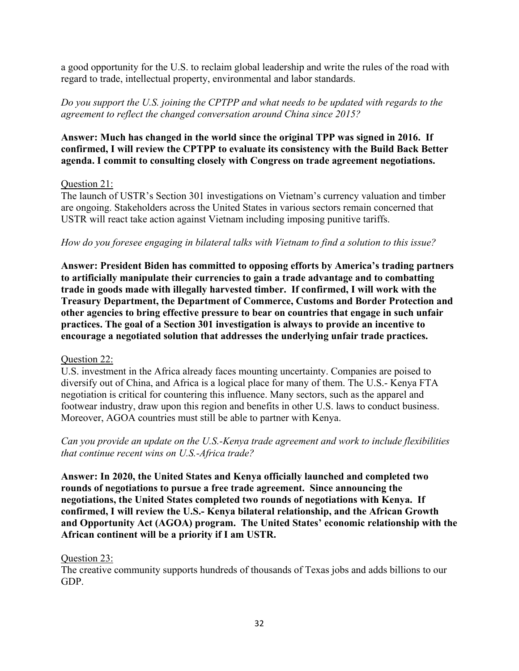a good opportunity for the U.S. to reclaim global leadership and write the rules of the road with regard to trade, intellectual property, environmental and labor standards.

*Do you support the U.S. joining the CPTPP and what needs to be updated with regards to the agreement to reflect the changed conversation around China since 2015?*

# **Answer: Much has changed in the world since the original TPP was signed in 2016. If confirmed, I will review the CPTPP to evaluate its consistency with the Build Back Better agenda. I commit to consulting closely with Congress on trade agreement negotiations.**

# Question 21:

The launch of USTR's Section 301 investigations on Vietnam's currency valuation and timber are ongoing. Stakeholders across the United States in various sectors remain concerned that USTR will react take action against Vietnam including imposing punitive tariffs.

# *How do you foresee engaging in bilateral talks with Vietnam to find a solution to this issue?*

**Answer: President Biden has committed to opposing efforts by America's trading partners to artificially manipulate their currencies to gain a trade advantage and to combatting trade in goods made with illegally harvested timber. If confirmed, I will work with the Treasury Department, the Department of Commerce, Customs and Border Protection and other agencies to bring effective pressure to bear on countries that engage in such unfair practices. The goal of a Section 301 investigation is always to provide an incentive to encourage a negotiated solution that addresses the underlying unfair trade practices.**

### Question 22:

U.S. investment in the Africa already faces mounting uncertainty. Companies are poised to diversify out of China, and Africa is a logical place for many of them. The U.S.- Kenya FTA negotiation is critical for countering this influence. Many sectors, such as the apparel and footwear industry, draw upon this region and benefits in other U.S. laws to conduct business. Moreover, AGOA countries must still be able to partner with Kenya.

*Can you provide an update on the U.S.-Kenya trade agreement and work to include flexibilities that continue recent wins on U.S.-Africa trade?*

**Answer: In 2020, the United States and Kenya officially launched and completed two rounds of negotiations to pursue a free trade agreement. Since announcing the negotiations, the United States completed two rounds of negotiations with Kenya. If confirmed, I will review the U.S.- Kenya bilateral relationship, and the African Growth and Opportunity Act (AGOA) program. The United States' economic relationship with the African continent will be a priority if I am USTR.**

### Question 23:

The creative community supports hundreds of thousands of Texas jobs and adds billions to our GDP.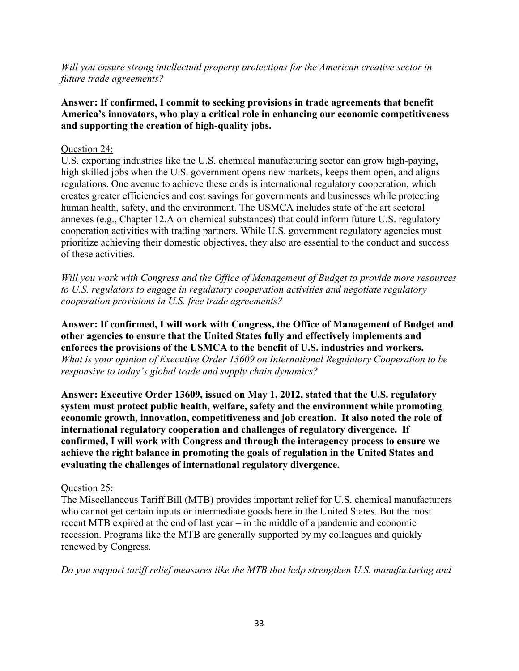*Will you ensure strong intellectual property protections for the American creative sector in future trade agreements?*

# **Answer: If confirmed, I commit to seeking provisions in trade agreements that benefit America's innovators, who play a critical role in enhancing our economic competitiveness and supporting the creation of high-quality jobs.**

# Question 24:

U.S. exporting industries like the U.S. chemical manufacturing sector can grow high-paying, high skilled jobs when the U.S. government opens new markets, keeps them open, and aligns regulations. One avenue to achieve these ends is international regulatory cooperation, which creates greater efficiencies and cost savings for governments and businesses while protecting human health, safety, and the environment. The USMCA includes state of the art sectoral annexes (e.g., Chapter 12.A on chemical substances) that could inform future U.S. regulatory cooperation activities with trading partners. While U.S. government regulatory agencies must prioritize achieving their domestic objectives, they also are essential to the conduct and success of these activities.

*Will you work with Congress and the Office of Management of Budget to provide more resources to U.S. regulators to engage in regulatory cooperation activities and negotiate regulatory cooperation provisions in U.S. free trade agreements?* 

**Answer: If confirmed, I will work with Congress, the Office of Management of Budget and other agencies to ensure that the United States fully and effectively implements and enforces the provisions of the USMCA to the benefit of U.S. industries and workers.** *What is your opinion of Executive Order 13609 on International Regulatory Cooperation to be responsive to today's global trade and supply chain dynamics?*

**Answer: Executive Order 13609, issued on May 1, 2012, stated that the U.S. regulatory system must protect public health, welfare, safety and the environment while promoting economic growth, innovation, competitiveness and job creation. It also noted the role of international regulatory cooperation and challenges of regulatory divergence. If confirmed, I will work with Congress and through the interagency process to ensure we achieve the right balance in promoting the goals of regulation in the United States and evaluating the challenges of international regulatory divergence.**

# Question 25:

The Miscellaneous Tariff Bill (MTB) provides important relief for U.S. chemical manufacturers who cannot get certain inputs or intermediate goods here in the United States. But the most recent MTB expired at the end of last year – in the middle of a pandemic and economic recession. Programs like the MTB are generally supported by my colleagues and quickly renewed by Congress.

*Do you support tariff relief measures like the MTB that help strengthen U.S. manufacturing and*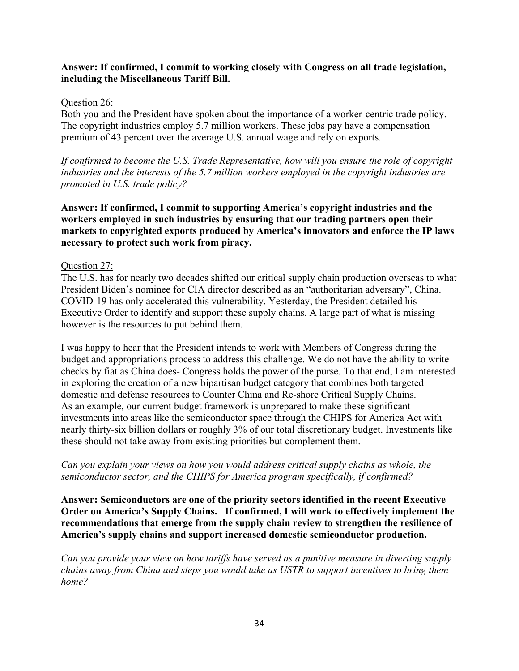# **Answer: If confirmed, I commit to working closely with Congress on all trade legislation, including the Miscellaneous Tariff Bill.**

### Question 26:

Both you and the President have spoken about the importance of a worker-centric trade policy. The copyright industries employ 5.7 million workers. These jobs pay have a compensation premium of 43 percent over the average U.S. annual wage and rely on exports.

*If confirmed to become the U.S. Trade Representative, how will you ensure the role of copyright industries and the interests of the 5.7 million workers employed in the copyright industries are promoted in U.S. trade policy?*

**Answer: If confirmed, I commit to supporting America's copyright industries and the workers employed in such industries by ensuring that our trading partners open their markets to copyrighted exports produced by America's innovators and enforce the IP laws necessary to protect such work from piracy.** 

### Question 27:

The U.S. has for nearly two decades shifted our critical supply chain production overseas to what President Biden's nominee for CIA director described as an "authoritarian adversary", China. COVID-19 has only accelerated this vulnerability. Yesterday, the President detailed his Executive Order to identify and support these supply chains. A large part of what is missing however is the resources to put behind them.

I was happy to hear that the President intends to work with Members of Congress during the budget and appropriations process to address this challenge. We do not have the ability to write checks by fiat as China does- Congress holds the power of the purse. To that end, I am interested in exploring the creation of a new bipartisan budget category that combines both targeted domestic and defense resources to Counter China and Re-shore Critical Supply Chains. As an example, our current budget framework is unprepared to make these significant investments into areas like the semiconductor space through the CHIPS for America Act with nearly thirty-six billion dollars or roughly 3% of our total discretionary budget. Investments like these should not take away from existing priorities but complement them.

# *Can you explain your views on how you would address critical supply chains as whole, the semiconductor sector, and the CHIPS for America program specifically, if confirmed?*

**Answer: Semiconductors are one of the priority sectors identified in the recent Executive Order on America's Supply Chains. If confirmed, I will work to effectively implement the recommendations that emerge from the supply chain review to strengthen the resilience of America's supply chains and support increased domestic semiconductor production.**

*Can you provide your view on how tariffs have served as a punitive measure in diverting supply chains away from China and steps you would take as USTR to support incentives to bring them home?*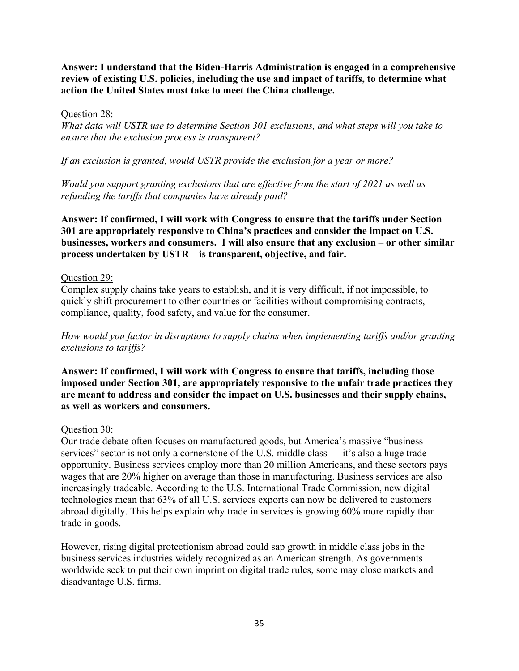**Answer: I understand that the Biden-Harris Administration is engaged in a comprehensive review of existing U.S. policies, including the use and impact of tariffs, to determine what action the United States must take to meet the China challenge.**

#### Question 28:

*What data will USTR use to determine Section 301 exclusions, and what steps will you take to ensure that the exclusion process is transparent?* 

*If an exclusion is granted, would USTR provide the exclusion for a year or more?*

*Would you support granting exclusions that are effective from the start of 2021 as well as refunding the tariffs that companies have already paid?*

**Answer: If confirmed, I will work with Congress to ensure that the tariffs under Section 301 are appropriately responsive to China's practices and consider the impact on U.S. businesses, workers and consumers. I will also ensure that any exclusion – or other similar process undertaken by USTR – is transparent, objective, and fair.**

### Question 29:

Complex supply chains take years to establish, and it is very difficult, if not impossible, to quickly shift procurement to other countries or facilities without compromising contracts, compliance, quality, food safety, and value for the consumer.

*How would you factor in disruptions to supply chains when implementing tariffs and/or granting exclusions to tariffs?*

**Answer: If confirmed, I will work with Congress to ensure that tariffs, including those imposed under Section 301, are appropriately responsive to the unfair trade practices they are meant to address and consider the impact on U.S. businesses and their supply chains, as well as workers and consumers.**

### Question 30:

Our trade debate often focuses on manufactured goods, but America's massive "business services" sector is not only a cornerstone of the U.S. middle class — it's also a huge trade opportunity. Business services employ more than 20 million Americans, and these sectors pays wages that are 20% higher on average than those in manufacturing. Business services are also increasingly tradeable. According to the U.S. International Trade Commission, new digital technologies mean that 63% of all U.S. services exports can now be delivered to customers abroad digitally. This helps explain why trade in services is growing 60% more rapidly than trade in goods.

However, rising digital protectionism abroad could sap growth in middle class jobs in the business services industries widely recognized as an American strength. As governments worldwide seek to put their own imprint on digital trade rules, some may close markets and disadvantage U.S. firms.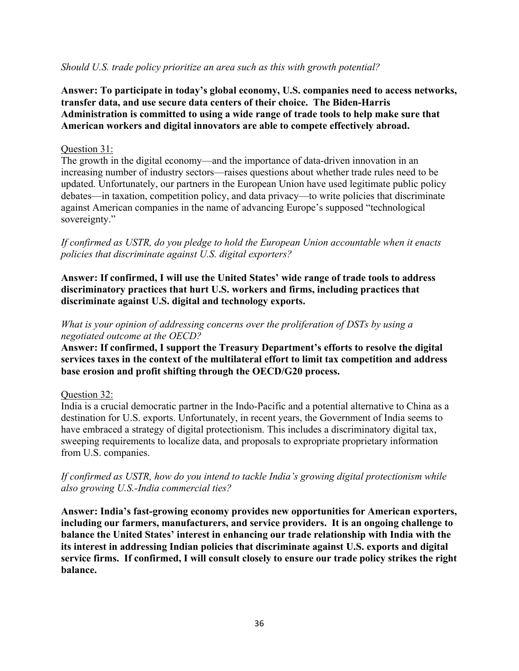# *Should U.S. trade policy prioritize an area such as this with growth potential?*

**Answer: To participate in today's global economy, U.S. companies need to access networks, transfer data, and use secure data centers of their choice. The Biden-Harris Administration is committed to using a wide range of trade tools to help make sure that American workers and digital innovators are able to compete effectively abroad.**

### Question 31:

The growth in the digital economy—and the importance of data-driven innovation in an increasing number of industry sectors—raises questions about whether trade rules need to be updated. Unfortunately, our partners in the European Union have used legitimate public policy debates—in taxation, competition policy, and data privacy—to write policies that discriminate against American companies in the name of advancing Europe's supposed "technological sovereignty."

*If confirmed as USTR, do you pledge to hold the European Union accountable when it enacts policies that discriminate against U.S. digital exporters?*

**Answer: If confirmed, I will use the United States' wide range of trade tools to address discriminatory practices that hurt U.S. workers and firms, including practices that discriminate against U.S. digital and technology exports.** 

# *What is your opinion of addressing concerns over the proliferation of DSTs by using a negotiated outcome at the OECD?*

**Answer: If confirmed, I support the Treasury Department's efforts to resolve the digital services taxes in the context of the multilateral effort to limit tax competition and address base erosion and profit shifting through the OECD/G20 process.** 

# Question 32:

India is a crucial democratic partner in the Indo-Pacific and a potential alternative to China as a destination for U.S. exports. Unfortunately, in recent years, the Government of India seems to have embraced a strategy of digital protectionism. This includes a discriminatory digital tax, sweeping requirements to localize data, and proposals to expropriate proprietary information from U.S. companies.

*If confirmed as USTR, how do you intend to tackle India's growing digital protectionism while also growing U.S.-India commercial ties?*

**Answer: India's fast-growing economy provides new opportunities for American exporters, including our farmers, manufacturers, and service providers. It is an ongoing challenge to balance the United States' interest in enhancing our trade relationship with India with the its interest in addressing Indian policies that discriminate against U.S. exports and digital service firms. If confirmed, I will consult closely to ensure our trade policy strikes the right balance.**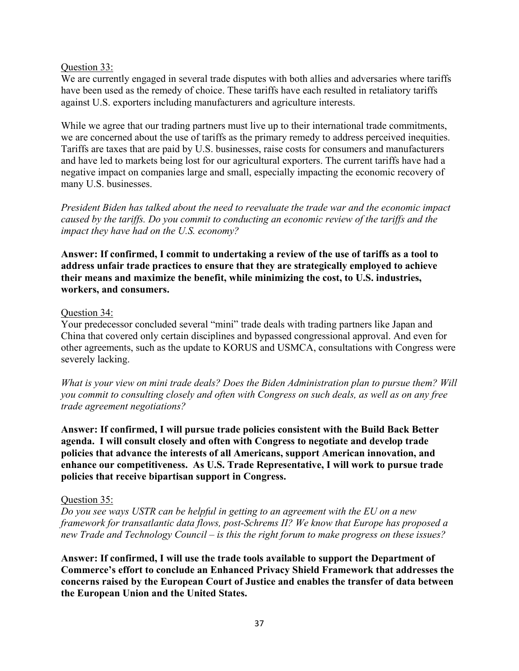## Question 33:

We are currently engaged in several trade disputes with both allies and adversaries where tariffs have been used as the remedy of choice. These tariffs have each resulted in retaliatory tariffs against U.S. exporters including manufacturers and agriculture interests.

While we agree that our trading partners must live up to their international trade commitments, we are concerned about the use of tariffs as the primary remedy to address perceived inequities. Tariffs are taxes that are paid by U.S. businesses, raise costs for consumers and manufacturers and have led to markets being lost for our agricultural exporters. The current tariffs have had a negative impact on companies large and small, especially impacting the economic recovery of many U.S. businesses.

*President Biden has talked about the need to reevaluate the trade war and the economic impact caused by the tariffs. Do you commit to conducting an economic review of the tariffs and the impact they have had on the U.S. economy?*

**Answer: If confirmed, I commit to undertaking a review of the use of tariffs as a tool to address unfair trade practices to ensure that they are strategically employed to achieve their means and maximize the benefit, while minimizing the cost, to U.S. industries, workers, and consumers.**

#### Question 34:

Your predecessor concluded several "mini" trade deals with trading partners like Japan and China that covered only certain disciplines and bypassed congressional approval. And even for other agreements, such as the update to KORUS and USMCA, consultations with Congress were severely lacking.

*What is your view on mini trade deals? Does the Biden Administration plan to pursue them? Will you commit to consulting closely and often with Congress on such deals, as well as on any free trade agreement negotiations?*

**Answer: If confirmed, I will pursue trade policies consistent with the Build Back Better agenda. I will consult closely and often with Congress to negotiate and develop trade policies that advance the interests of all Americans, support American innovation, and enhance our competitiveness. As U.S. Trade Representative, I will work to pursue trade policies that receive bipartisan support in Congress.**

## Question 35:

*Do you see ways USTR can be helpful in getting to an agreement with the EU on a new framework for transatlantic data flows, post-Schrems II? We know that Europe has proposed a new Trade and Technology Council – is this the right forum to make progress on these issues?*

**Answer: If confirmed, I will use the trade tools available to support the Department of Commerce's effort to conclude an Enhanced Privacy Shield Framework that addresses the concerns raised by the European Court of Justice and enables the transfer of data between the European Union and the United States.**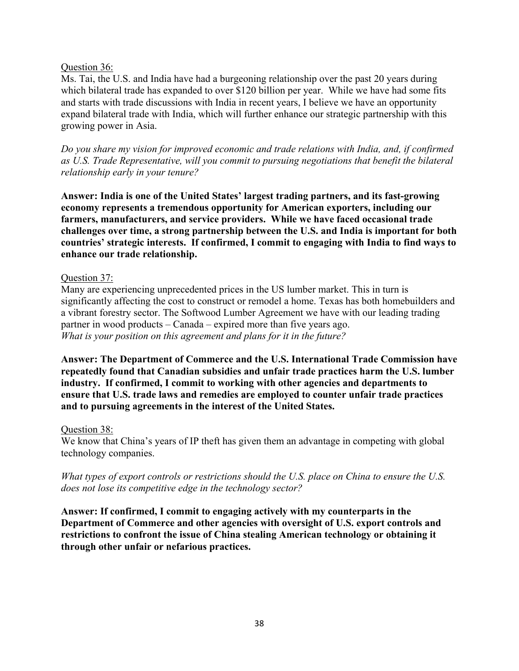## Question 36:

Ms. Tai, the U.S. and India have had a burgeoning relationship over the past 20 years during which bilateral trade has expanded to over \$120 billion per year. While we have had some fits and starts with trade discussions with India in recent years, I believe we have an opportunity expand bilateral trade with India, which will further enhance our strategic partnership with this growing power in Asia.

*Do you share my vision for improved economic and trade relations with India, and, if confirmed as U.S. Trade Representative, will you commit to pursuing negotiations that benefit the bilateral relationship early in your tenure?*

**Answer: India is one of the United States' largest trading partners, and its fast-growing economy represents a tremendous opportunity for American exporters, including our farmers, manufacturers, and service providers. While we have faced occasional trade challenges over time, a strong partnership between the U.S. and India is important for both countries' strategic interests. If confirmed, I commit to engaging with India to find ways to enhance our trade relationship.**

## Question 37:

Many are experiencing unprecedented prices in the US lumber market. This in turn is significantly affecting the cost to construct or remodel a home. Texas has both homebuilders and a vibrant forestry sector. The Softwood Lumber Agreement we have with our leading trading partner in wood products – Canada – expired more than five years ago. *What is your position on this agreement and plans for it in the future?*

**Answer: The Department of Commerce and the U.S. International Trade Commission have repeatedly found that Canadian subsidies and unfair trade practices harm the U.S. lumber industry. If confirmed, I commit to working with other agencies and departments to ensure that U.S. trade laws and remedies are employed to counter unfair trade practices and to pursuing agreements in the interest of the United States.**

## Question 38:

We know that China's years of IP theft has given them an advantage in competing with global technology companies.

*What types of export controls or restrictions should the U.S. place on China to ensure the U.S. does not lose its competitive edge in the technology sector?*

**Answer: If confirmed, I commit to engaging actively with my counterparts in the Department of Commerce and other agencies with oversight of U.S. export controls and restrictions to confront the issue of China stealing American technology or obtaining it through other unfair or nefarious practices.**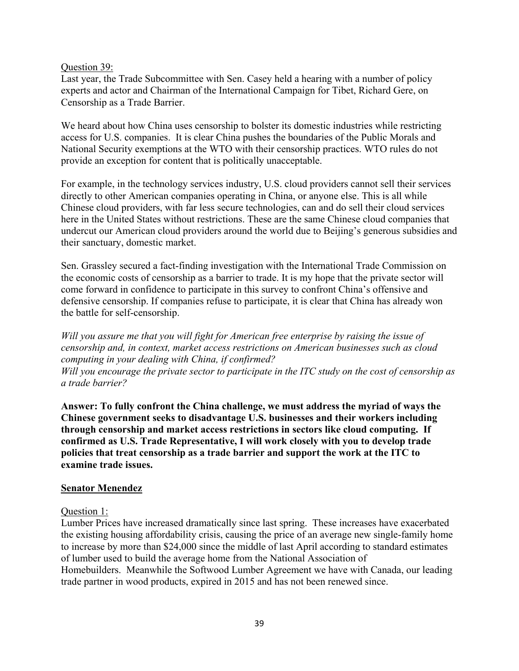### Question 39:

Last year, the Trade Subcommittee with Sen. Casey held a hearing with a number of policy experts and actor and Chairman of the International Campaign for Tibet, Richard Gere, on Censorship as a Trade Barrier.

We heard about how China uses censorship to bolster its domestic industries while restricting access for U.S. companies. It is clear China pushes the boundaries of the Public Morals and National Security exemptions at the WTO with their censorship practices. WTO rules do not provide an exception for content that is politically unacceptable.

For example, in the technology services industry, U.S. cloud providers cannot sell their services directly to other American companies operating in China, or anyone else. This is all while Chinese cloud providers, with far less secure technologies, can and do sell their cloud services here in the United States without restrictions. These are the same Chinese cloud companies that undercut our American cloud providers around the world due to Beijing's generous subsidies and their sanctuary, domestic market.

Sen. Grassley secured a fact-finding investigation with the International Trade Commission on the economic costs of censorship as a barrier to trade. It is my hope that the private sector will come forward in confidence to participate in this survey to confront China's offensive and defensive censorship. If companies refuse to participate, it is clear that China has already won the battle for self-censorship.

*Will you assure me that you will fight for American free enterprise by raising the issue of censorship and, in context, market access restrictions on American businesses such as cloud computing in your dealing with China, if confirmed? Will you encourage the private sector to participate in the ITC study on the cost of censorship as a trade barrier?*

**Answer: To fully confront the China challenge, we must address the myriad of ways the Chinese government seeks to disadvantage U.S. businesses and their workers including through censorship and market access restrictions in sectors like cloud computing. If confirmed as U.S. Trade Representative, I will work closely with you to develop trade policies that treat censorship as a trade barrier and support the work at the ITC to examine trade issues.**

## **Senator Menendez**

## Question 1:

Lumber Prices have increased dramatically since last spring. These increases have exacerbated the existing housing affordability crisis, causing the price of an average new single-family home to increase by more than \$24,000 since the middle of last April according to standard estimates of lumber used to build the average home from the National Association of Homebuilders. Meanwhile the Softwood Lumber Agreement we have with Canada, our leading trade partner in wood products, expired in 2015 and has not been renewed since.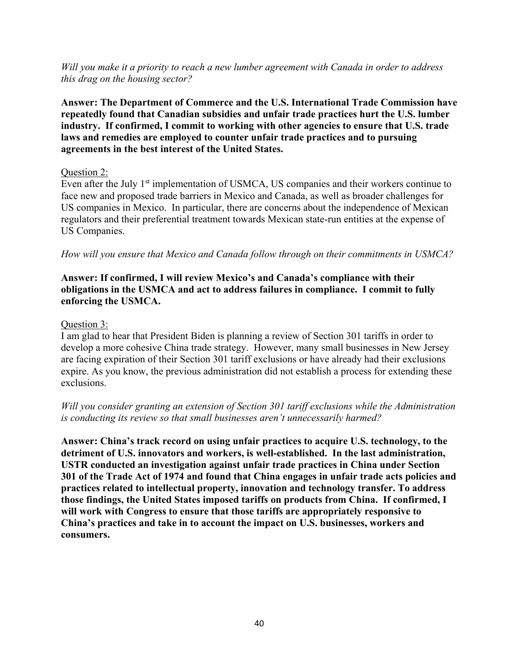*Will you make it a priority to reach a new lumber agreement with Canada in order to address this drag on the housing sector?*

**Answer: The Department of Commerce and the U.S. International Trade Commission have repeatedly found that Canadian subsidies and unfair trade practices hurt the U.S. lumber industry. If confirmed, I commit to working with other agencies to ensure that U.S. trade laws and remedies are employed to counter unfair trade practices and to pursuing agreements in the best interest of the United States.**

## Question 2:

Even after the July 1<sup>st</sup> implementation of USMCA, US companies and their workers continue to face new and proposed trade barriers in Mexico and Canada, as well as broader challenges for US companies in Mexico. In particular, there are concerns about the independence of Mexican regulators and their preferential treatment towards Mexican state-run entities at the expense of US Companies.

*How will you ensure that Mexico and Canada follow through on their commitments in USMCA?*

# **Answer: If confirmed, I will review Mexico's and Canada's compliance with their obligations in the USMCA and act to address failures in compliance. I commit to fully enforcing the USMCA.**

## Question 3:

I am glad to hear that President Biden is planning a review of Section 301 tariffs in order to develop a more cohesive China trade strategy. However, many small businesses in New Jersey are facing expiration of their Section 301 tariff exclusions or have already had their exclusions expire. As you know, the previous administration did not establish a process for extending these exclusions.

## *Will you consider granting an extension of Section 301 tariff exclusions while the Administration is conducting its review so that small businesses aren't unnecessarily harmed?*

**Answer: China's track record on using unfair practices to acquire U.S. technology, to the detriment of U.S. innovators and workers, is well-established. In the last administration, USTR conducted an investigation against unfair trade practices in China under Section 301 of the Trade Act of 1974 and found that China engages in unfair trade acts policies and practices related to intellectual property, innovation and technology transfer. To address those findings, the United States imposed tariffs on products from China. If confirmed, I will work with Congress to ensure that those tariffs are appropriately responsive to China's practices and take in to account the impact on U.S. businesses, workers and consumers.**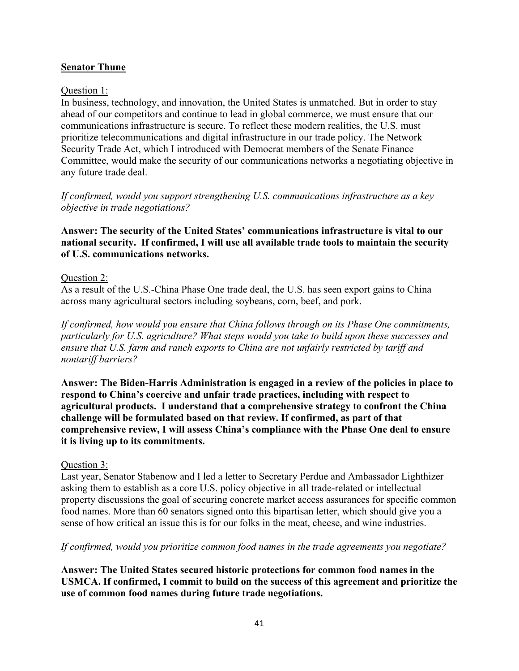# **Senator Thune**

## Question 1:

In business, technology, and innovation, the United States is unmatched. But in order to stay ahead of our competitors and continue to lead in global commerce, we must ensure that our communications infrastructure is secure. To reflect these modern realities, the U.S. must prioritize telecommunications and digital infrastructure in our trade policy. The Network Security Trade Act, which I introduced with Democrat members of the Senate Finance Committee, would make the security of our communications networks a negotiating objective in any future trade deal.

*If confirmed, would you support strengthening U.S. communications infrastructure as a key objective in trade negotiations?* 

**Answer: The security of the United States' communications infrastructure is vital to our national security. If confirmed, I will use all available trade tools to maintain the security of U.S. communications networks.**

## Question 2:

As a result of the U.S.-China Phase One trade deal, the U.S. has seen export gains to China across many agricultural sectors including soybeans, corn, beef, and pork.

*If confirmed, how would you ensure that China follows through on its Phase One commitments, particularly for U.S. agriculture? What steps would you take to build upon these successes and ensure that U.S. farm and ranch exports to China are not unfairly restricted by tariff and nontariff barriers?* 

**Answer: The Biden-Harris Administration is engaged in a review of the policies in place to respond to China's coercive and unfair trade practices, including with respect to agricultural products. I understand that a comprehensive strategy to confront the China challenge will be formulated based on that review. If confirmed, as part of that comprehensive review, I will assess China's compliance with the Phase One deal to ensure it is living up to its commitments.** 

## Question 3:

Last year, Senator Stabenow and I led a letter to Secretary Perdue and Ambassador Lighthizer asking them to establish as a core U.S. policy objective in all trade-related or intellectual property discussions the goal of securing concrete market access assurances for specific common food names. More than 60 senators signed onto this bipartisan letter, which should give you a sense of how critical an issue this is for our folks in the meat, cheese, and wine industries.

## *If confirmed, would you prioritize common food names in the trade agreements you negotiate?*

**Answer: The United States secured historic protections for common food names in the USMCA. If confirmed, I commit to build on the success of this agreement and prioritize the use of common food names during future trade negotiations.**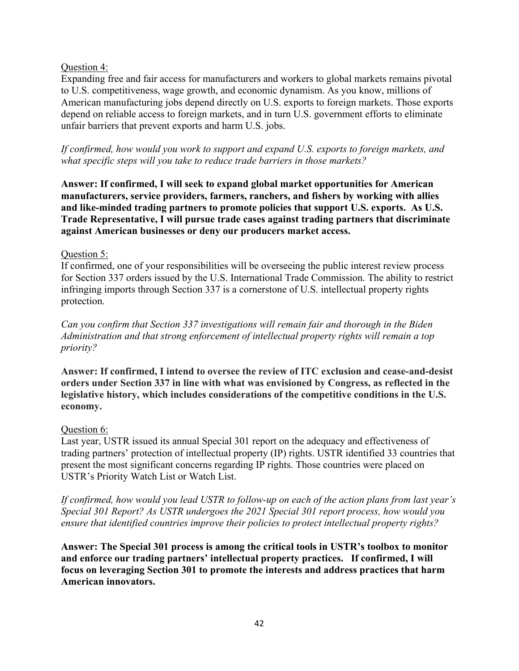## Question 4:

Expanding free and fair access for manufacturers and workers to global markets remains pivotal to U.S. competitiveness, wage growth, and economic dynamism. As you know, millions of American manufacturing jobs depend directly on U.S. exports to foreign markets. Those exports depend on reliable access to foreign markets, and in turn U.S. government efforts to eliminate unfair barriers that prevent exports and harm U.S. jobs.

*If confirmed, how would you work to support and expand U.S. exports to foreign markets, and what specific steps will you take to reduce trade barriers in those markets?*

**Answer: If confirmed, I will seek to expand global market opportunities for American manufacturers, service providers, farmers, ranchers, and fishers by working with allies and like-minded trading partners to promote policies that support U.S. exports. As U.S. Trade Representative, I will pursue trade cases against trading partners that discriminate against American businesses or deny our producers market access.**

## Question 5:

If confirmed, one of your responsibilities will be overseeing the public interest review process for Section 337 orders issued by the U.S. International Trade Commission. The ability to restrict infringing imports through Section 337 is a cornerstone of U.S. intellectual property rights protection.

*Can you confirm that Section 337 investigations will remain fair and thorough in the Biden Administration and that strong enforcement of intellectual property rights will remain a top priority?*

**Answer: If confirmed, I intend to oversee the review of ITC exclusion and cease-and-desist orders under Section 337 in line with what was envisioned by Congress, as reflected in the legislative history, which includes considerations of the competitive conditions in the U.S. economy.**

## Question 6:

Last year, USTR issued its annual Special 301 report on the adequacy and effectiveness of trading partners' protection of intellectual property (IP) rights. USTR identified 33 countries that present the most significant concerns regarding IP rights. Those countries were placed on USTR's Priority Watch List or Watch List.

*If confirmed, how would you lead USTR to follow-up on each of the action plans from last year's Special 301 Report? As USTR undergoes the 2021 Special 301 report process, how would you ensure that identified countries improve their policies to protect intellectual property rights?* 

**Answer: The Special 301 process is among the critical tools in USTR's toolbox to monitor and enforce our trading partners' intellectual property practices. If confirmed, I will focus on leveraging Section 301 to promote the interests and address practices that harm American innovators.**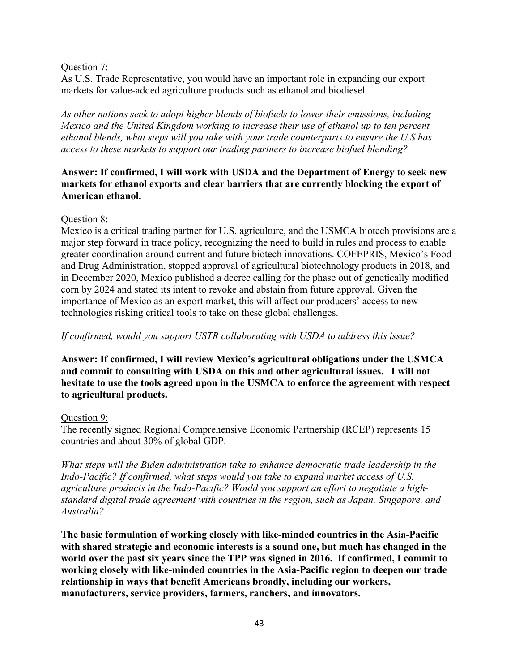## Question 7:

As U.S. Trade Representative, you would have an important role in expanding our export markets for value-added agriculture products such as ethanol and biodiesel.

*As other nations seek to adopt higher blends of biofuels to lower their emissions, including Mexico and the United Kingdom working to increase their use of ethanol up to ten percent ethanol blends, what steps will you take with your trade counterparts to ensure the U.S has access to these markets to support our trading partners to increase biofuel blending?*

## **Answer: If confirmed, I will work with USDA and the Department of Energy to seek new markets for ethanol exports and clear barriers that are currently blocking the export of American ethanol.**

## Question 8:

Mexico is a critical trading partner for U.S. agriculture, and the USMCA biotech provisions are a major step forward in trade policy, recognizing the need to build in rules and process to enable greater coordination around current and future biotech innovations. COFEPRIS, Mexico's Food and Drug Administration, stopped approval of agricultural biotechnology products in 2018, and in December 2020, Mexico published a decree calling for the phase out of genetically modified corn by 2024 and stated its intent to revoke and abstain from future approval. Given the importance of Mexico as an export market, this will affect our producers' access to new technologies risking critical tools to take on these global challenges.

*If confirmed, would you support USTR collaborating with USDA to address this issue?*

**Answer: If confirmed, I will review Mexico's agricultural obligations under the USMCA and commit to consulting with USDA on this and other agricultural issues. I will not hesitate to use the tools agreed upon in the USMCA to enforce the agreement with respect to agricultural products.**

# Question 9:

The recently signed Regional Comprehensive Economic Partnership (RCEP) represents 15 countries and about 30% of global GDP.

*What steps will the Biden administration take to enhance democratic trade leadership in the Indo-Pacific? If confirmed, what steps would you take to expand market access of U.S. agriculture products in the Indo-Pacific? Would you support an effort to negotiate a highstandard digital trade agreement with countries in the region, such as Japan, Singapore, and Australia?* 

**The basic formulation of working closely with like-minded countries in the Asia-Pacific with shared strategic and economic interests is a sound one, but much has changed in the world over the past six years since the TPP was signed in 2016. If confirmed, I commit to working closely with like-minded countries in the Asia-Pacific region to deepen our trade relationship in ways that benefit Americans broadly, including our workers, manufacturers, service providers, farmers, ranchers, and innovators.**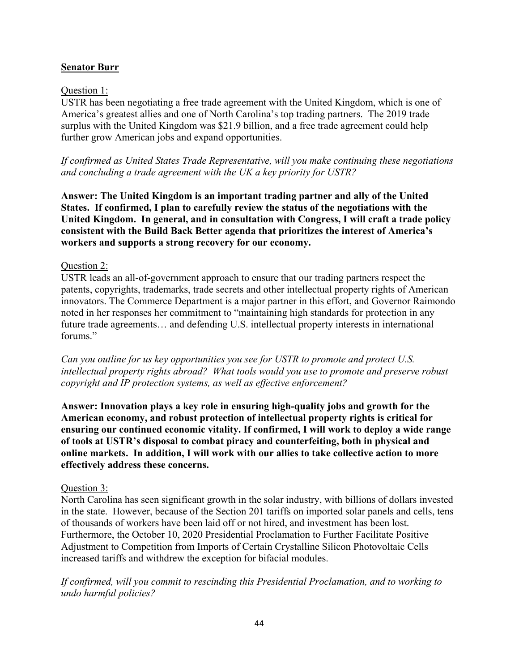# **Senator Burr**

## Question 1:

USTR has been negotiating a free trade agreement with the United Kingdom, which is one of America's greatest allies and one of North Carolina's top trading partners. The 2019 trade surplus with the United Kingdom was \$21.9 billion, and a free trade agreement could help further grow American jobs and expand opportunities.

*If confirmed as United States Trade Representative, will you make continuing these negotiations and concluding a trade agreement with the UK a key priority for USTR?* 

**Answer: The United Kingdom is an important trading partner and ally of the United States. If confirmed, I plan to carefully review the status of the negotiations with the United Kingdom. In general, and in consultation with Congress, I will craft a trade policy consistent with the Build Back Better agenda that prioritizes the interest of America's workers and supports a strong recovery for our economy.**

## Question 2:

USTR leads an all-of-government approach to ensure that our trading partners respect the patents, copyrights, trademarks, trade secrets and other intellectual property rights of American innovators. The Commerce Department is a major partner in this effort, and Governor Raimondo noted in her responses her commitment to "maintaining high standards for protection in any future trade agreements… and defending U.S. intellectual property interests in international forums."

*Can you outline for us key opportunities you see for USTR to promote and protect U.S. intellectual property rights abroad? What tools would you use to promote and preserve robust copyright and IP protection systems, as well as effective enforcement?*

**Answer: Innovation plays a key role in ensuring high-quality jobs and growth for the American economy, and robust protection of intellectual property rights is critical for ensuring our continued economic vitality. If confirmed, I will work to deploy a wide range of tools at USTR's disposal to combat piracy and counterfeiting, both in physical and online markets. In addition, I will work with our allies to take collective action to more effectively address these concerns.**

## Question 3:

North Carolina has seen significant growth in the solar industry, with billions of dollars invested in the state. However, because of the Section 201 tariffs on imported solar panels and cells, tens of thousands of workers have been laid off or not hired, and investment has been lost. Furthermore, the October 10, 2020 Presidential Proclamation to Further Facilitate Positive Adjustment to Competition from Imports of Certain Crystalline Silicon Photovoltaic Cells increased tariffs and withdrew the exception for bifacial modules.

*If confirmed, will you commit to rescinding this Presidential Proclamation, and to working to undo harmful policies?*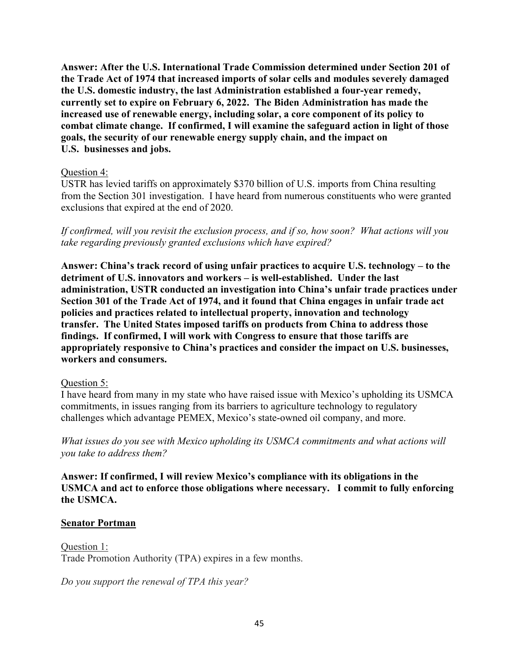**Answer: After the U.S. International Trade Commission determined under Section 201 of the Trade Act of 1974 that increased imports of solar cells and modules severely damaged the U.S. domestic industry, the last Administration established a four-year remedy, currently set to expire on February 6, 2022. The Biden Administration has made the increased use of renewable energy, including solar, a core component of its policy to combat climate change. If confirmed, I will examine the safeguard action in light of those goals, the security of our renewable energy supply chain, and the impact on U.S. businesses and jobs.**

### Question 4:

USTR has levied tariffs on approximately \$370 billion of U.S. imports from China resulting from the Section 301 investigation. I have heard from numerous constituents who were granted exclusions that expired at the end of 2020.

*If confirmed, will you revisit the exclusion process, and if so, how soon? What actions will you take regarding previously granted exclusions which have expired?*

**Answer: China's track record of using unfair practices to acquire U.S. technology – to the detriment of U.S. innovators and workers – is well-established. Under the last administration, USTR conducted an investigation into China's unfair trade practices under Section 301 of the Trade Act of 1974, and it found that China engages in unfair trade act policies and practices related to intellectual property, innovation and technology transfer. The United States imposed tariffs on products from China to address those findings. If confirmed, I will work with Congress to ensure that those tariffs are appropriately responsive to China's practices and consider the impact on U.S. businesses, workers and consumers.**

## Question 5:

I have heard from many in my state who have raised issue with Mexico's upholding its USMCA commitments, in issues ranging from its barriers to agriculture technology to regulatory challenges which advantage PEMEX, Mexico's state-owned oil company, and more.

*What issues do you see with Mexico upholding its USMCA commitments and what actions will you take to address them?*

**Answer: If confirmed, I will review Mexico's compliance with its obligations in the USMCA and act to enforce those obligations where necessary. I commit to fully enforcing the USMCA.**

## **Senator Portman**

Question 1: Trade Promotion Authority (TPA) expires in a few months.

*Do you support the renewal of TPA this year?*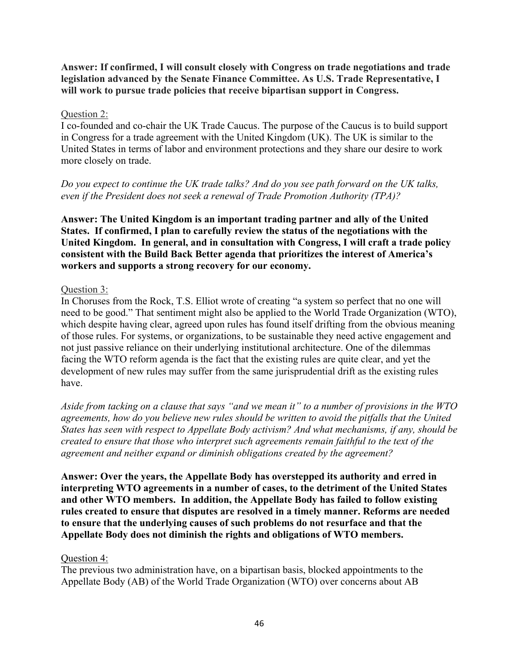**Answer: If confirmed, I will consult closely with Congress on trade negotiations and trade legislation advanced by the Senate Finance Committee. As U.S. Trade Representative, I will work to pursue trade policies that receive bipartisan support in Congress.**

## Question 2:

I co-founded and co-chair the UK Trade Caucus. The purpose of the Caucus is to build support in Congress for a trade agreement with the United Kingdom (UK). The UK is similar to the United States in terms of labor and environment protections and they share our desire to work more closely on trade.

## *Do you expect to continue the UK trade talks? And do you see path forward on the UK talks, even if the President does not seek a renewal of Trade Promotion Authority (TPA)?*

**Answer: The United Kingdom is an important trading partner and ally of the United States. If confirmed, I plan to carefully review the status of the negotiations with the United Kingdom. In general, and in consultation with Congress, I will craft a trade policy consistent with the Build Back Better agenda that prioritizes the interest of America's workers and supports a strong recovery for our economy.**

#### Question 3:

In Choruses from the Rock, T.S. Elliot wrote of creating "a system so perfect that no one will need to be good." That sentiment might also be applied to the World Trade Organization (WTO), which despite having clear, agreed upon rules has found itself drifting from the obvious meaning of those rules. For systems, or organizations, to be sustainable they need active engagement and not just passive reliance on their underlying institutional architecture. One of the dilemmas facing the WTO reform agenda is the fact that the existing rules are quite clear, and yet the development of new rules may suffer from the same jurisprudential drift as the existing rules have.

*Aside from tacking on a clause that says "and we mean it" to a number of provisions in the WTO agreements, how do you believe new rules should be written to avoid the pitfalls that the United States has seen with respect to Appellate Body activism? And what mechanisms, if any, should be created to ensure that those who interpret such agreements remain faithful to the text of the agreement and neither expand or diminish obligations created by the agreement?*

**Answer: Over the years, the Appellate Body has overstepped its authority and erred in interpreting WTO agreements in a number of cases, to the detriment of the United States and other WTO members. In addition, the Appellate Body has failed to follow existing rules created to ensure that disputes are resolved in a timely manner. Reforms are needed to ensure that the underlying causes of such problems do not resurface and that the Appellate Body does not diminish the rights and obligations of WTO members.**

#### Question 4:

The previous two administration have, on a bipartisan basis, blocked appointments to the Appellate Body (AB) of the World Trade Organization (WTO) over concerns about AB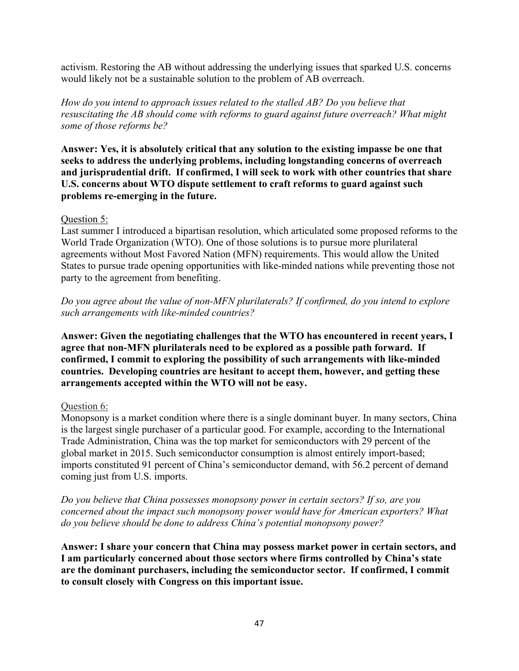activism. Restoring the AB without addressing the underlying issues that sparked U.S. concerns would likely not be a sustainable solution to the problem of AB overreach.

*How do you intend to approach issues related to the stalled AB? Do you believe that resuscitating the AB should come with reforms to guard against future overreach? What might some of those reforms be?*

**Answer: Yes, it is absolutely critical that any solution to the existing impasse be one that seeks to address the underlying problems, including longstanding concerns of overreach and jurisprudential drift. If confirmed, I will seek to work with other countries that share U.S. concerns about WTO dispute settlement to craft reforms to guard against such problems re-emerging in the future.**

## Question 5:

Last summer I introduced a bipartisan resolution, which articulated some proposed reforms to the World Trade Organization (WTO). One of those solutions is to pursue more plurilateral agreements without Most Favored Nation (MFN) requirements. This would allow the United States to pursue trade opening opportunities with like-minded nations while preventing those not party to the agreement from benefiting.

*Do you agree about the value of non-MFN plurilaterals? If confirmed, do you intend to explore such arrangements with like-minded countries?*

**Answer: Given the negotiating challenges that the WTO has encountered in recent years, I agree that non-MFN plurilaterals need to be explored as a possible path forward. If confirmed, I commit to exploring the possibility of such arrangements with like-minded countries. Developing countries are hesitant to accept them, however, and getting these arrangements accepted within the WTO will not be easy.**

# Question 6:

Monopsony is a market condition where there is a single dominant buyer. In many sectors, China is the largest single purchaser of a particular good. For example, according to the International Trade Administration, China was the top market for semiconductors with 29 percent of the global market in 2015. Such semiconductor consumption is almost entirely import-based; imports constituted 91 percent of China's semiconductor demand, with 56.2 percent of demand coming just from U.S. imports.

*Do you believe that China possesses monopsony power in certain sectors? If so, are you concerned about the impact such monopsony power would have for American exporters? What do you believe should be done to address China's potential monopsony power?*

**Answer: I share your concern that China may possess market power in certain sectors, and I am particularly concerned about those sectors where firms controlled by China's state are the dominant purchasers, including the semiconductor sector. If confirmed, I commit to consult closely with Congress on this important issue.**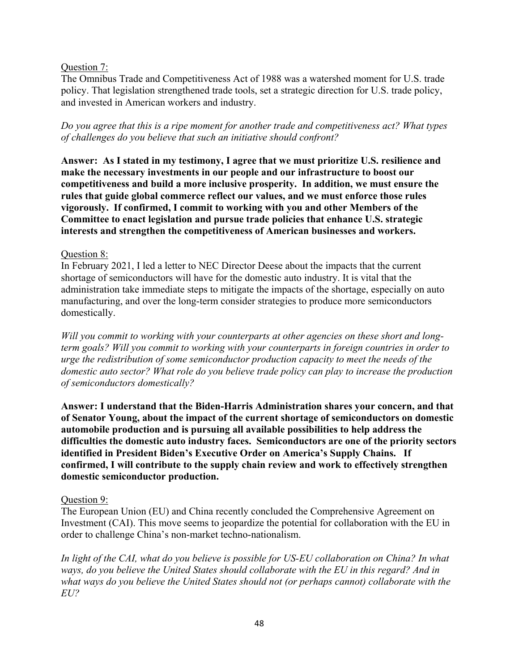## Question 7:

The Omnibus Trade and Competitiveness Act of 1988 was a watershed moment for U.S. trade policy. That legislation strengthened trade tools, set a strategic direction for U.S. trade policy, and invested in American workers and industry.

*Do you agree that this is a ripe moment for another trade and competitiveness act? What types of challenges do you believe that such an initiative should confront?*

**Answer: As I stated in my testimony, I agree that we must prioritize U.S. resilience and make the necessary investments in our people and our infrastructure to boost our competitiveness and build a more inclusive prosperity. In addition, we must ensure the rules that guide global commerce reflect our values, and we must enforce those rules vigorously. If confirmed, I commit to working with you and other Members of the Committee to enact legislation and pursue trade policies that enhance U.S. strategic interests and strengthen the competitiveness of American businesses and workers.**

## Question 8:

In February 2021, I led a letter to NEC Director Deese about the impacts that the current shortage of semiconductors will have for the domestic auto industry. It is vital that the administration take immediate steps to mitigate the impacts of the shortage, especially on auto manufacturing, and over the long-term consider strategies to produce more semiconductors domestically.

*Will you commit to working with your counterparts at other agencies on these short and longterm goals? Will you commit to working with your counterparts in foreign countries in order to urge the redistribution of some semiconductor production capacity to meet the needs of the domestic auto sector? What role do you believe trade policy can play to increase the production of semiconductors domestically?*

**Answer: I understand that the Biden-Harris Administration shares your concern, and that of Senator Young, about the impact of the current shortage of semiconductors on domestic automobile production and is pursuing all available possibilities to help address the difficulties the domestic auto industry faces. Semiconductors are one of the priority sectors identified in President Biden's Executive Order on America's Supply Chains. If confirmed, I will contribute to the supply chain review and work to effectively strengthen domestic semiconductor production.**

## Question 9:

The European Union (EU) and China recently concluded the Comprehensive Agreement on Investment (CAI). This move seems to jeopardize the potential for collaboration with the EU in order to challenge China's non-market techno-nationalism.

*In light of the CAI, what do you believe is possible for US-EU collaboration on China? In what ways, do you believe the United States should collaborate with the EU in this regard? And in what ways do you believe the United States should not (or perhaps cannot) collaborate with the EU?*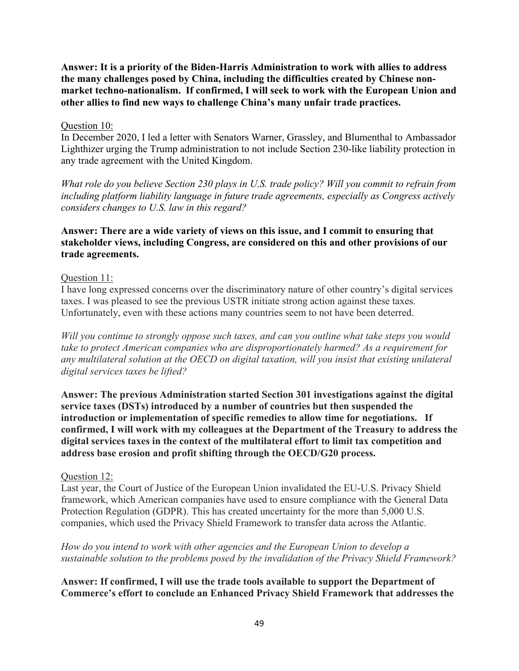**Answer: It is a priority of the Biden-Harris Administration to work with allies to address the many challenges posed by China, including the difficulties created by Chinese nonmarket techno-nationalism. If confirmed, I will seek to work with the European Union and other allies to find new ways to challenge China's many unfair trade practices.**

## Question 10:

In December 2020, I led a letter with Senators Warner, Grassley, and Blumenthal to Ambassador Lighthizer urging the Trump administration to not include Section 230-like liability protection in any trade agreement with the United Kingdom.

*What role do you believe Section 230 plays in U.S. trade policy? Will you commit to refrain from including platform liability language in future trade agreements, especially as Congress actively considers changes to U.S. law in this regard?*

## **Answer: There are a wide variety of views on this issue, and I commit to ensuring that stakeholder views, including Congress, are considered on this and other provisions of our trade agreements.**

## Question 11:

I have long expressed concerns over the discriminatory nature of other country's digital services taxes. I was pleased to see the previous USTR initiate strong action against these taxes. Unfortunately, even with these actions many countries seem to not have been deterred.

*Will you continue to strongly oppose such taxes, and can you outline what take steps you would take to protect American companies who are disproportionately harmed? As a requirement for any multilateral solution at the OECD on digital taxation, will you insist that existing unilateral digital services taxes be lifted?*

**Answer: The previous Administration started Section 301 investigations against the digital service taxes (DSTs) introduced by a number of countries but then suspended the introduction or implementation of specific remedies to allow time for negotiations. If confirmed, I will work with my colleagues at the Department of the Treasury to address the digital services taxes in the context of the multilateral effort to limit tax competition and address base erosion and profit shifting through the OECD/G20 process.** 

## Question 12:

Last year, the Court of Justice of the European Union invalidated the EU-U.S. Privacy Shield framework, which American companies have used to ensure compliance with the General Data Protection Regulation (GDPR). This has created uncertainty for the more than 5,000 U.S. companies, which used the Privacy Shield Framework to transfer data across the Atlantic.

*How do you intend to work with other agencies and the European Union to develop a sustainable solution to the problems posed by the invalidation of the Privacy Shield Framework?*

**Answer: If confirmed, I will use the trade tools available to support the Department of Commerce's effort to conclude an Enhanced Privacy Shield Framework that addresses the**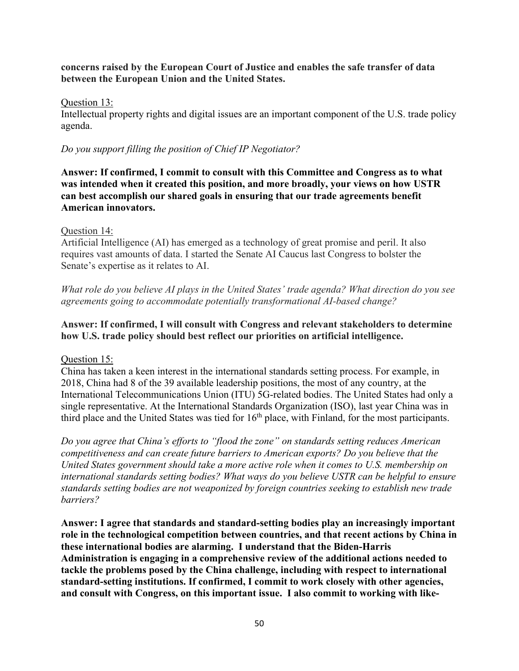## **concerns raised by the European Court of Justice and enables the safe transfer of data between the European Union and the United States.**

## Question 13:

Intellectual property rights and digital issues are an important component of the U.S. trade policy agenda.

*Do you support filling the position of Chief IP Negotiator?*

**Answer: If confirmed, I commit to consult with this Committee and Congress as to what was intended when it created this position, and more broadly, your views on how USTR can best accomplish our shared goals in ensuring that our trade agreements benefit American innovators.**

## Question 14:

Artificial Intelligence (AI) has emerged as a technology of great promise and peril. It also requires vast amounts of data. I started the Senate AI Caucus last Congress to bolster the Senate's expertise as it relates to AI.

*What role do you believe AI plays in the United States' trade agenda? What direction do you see agreements going to accommodate potentially transformational AI-based change?*

# **Answer: If confirmed, I will consult with Congress and relevant stakeholders to determine how U.S. trade policy should best reflect our priorities on artificial intelligence.**

Question 15:

China has taken a keen interest in the international standards setting process. For example, in 2018, China had 8 of the 39 available leadership positions, the most of any country, at the International Telecommunications Union (ITU) 5G-related bodies. The United States had only a single representative. At the International Standards Organization (ISO), last year China was in third place and the United States was tied for  $16<sup>th</sup>$  place, with Finland, for the most participants.

*Do you agree that China's efforts to "flood the zone" on standards setting reduces American competitiveness and can create future barriers to American exports? Do you believe that the United States government should take a more active role when it comes to U.S. membership on international standards setting bodies? What ways do you believe USTR can be helpful to ensure standards setting bodies are not weaponized by foreign countries seeking to establish new trade barriers?*

**Answer: I agree that standards and standard-setting bodies play an increasingly important role in the technological competition between countries, and that recent actions by China in these international bodies are alarming. I understand that the Biden-Harris Administration is engaging in a comprehensive review of the additional actions needed to tackle the problems posed by the China challenge, including with respect to international standard-setting institutions. If confirmed, I commit to work closely with other agencies, and consult with Congress, on this important issue. I also commit to working with like-**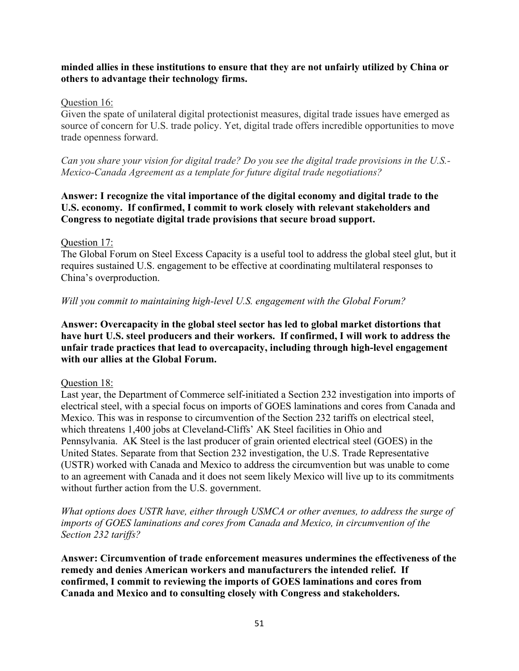## **minded allies in these institutions to ensure that they are not unfairly utilized by China or others to advantage their technology firms.**

## Question 16:

Given the spate of unilateral digital protectionist measures, digital trade issues have emerged as source of concern for U.S. trade policy. Yet, digital trade offers incredible opportunities to move trade openness forward.

*Can you share your vision for digital trade? Do you see the digital trade provisions in the U.S.- Mexico-Canada Agreement as a template for future digital trade negotiations?*

# **Answer: I recognize the vital importance of the digital economy and digital trade to the U.S. economy. If confirmed, I commit to work closely with relevant stakeholders and Congress to negotiate digital trade provisions that secure broad support.**

## Question 17:

The Global Forum on Steel Excess Capacity is a useful tool to address the global steel glut, but it requires sustained U.S. engagement to be effective at coordinating multilateral responses to China's overproduction.

## *Will you commit to maintaining high-level U.S. engagement with the Global Forum?*

## **Answer: Overcapacity in the global steel sector has led to global market distortions that have hurt U.S. steel producers and their workers. If confirmed, I will work to address the unfair trade practices that lead to overcapacity, including through high-level engagement with our allies at the Global Forum.**

## Question 18:

Last year, the Department of Commerce self-initiated a Section 232 investigation into imports of electrical steel, with a special focus on imports of GOES laminations and cores from Canada and Mexico. This was in response to circumvention of the Section 232 tariffs on electrical steel, which threatens 1,400 jobs at Cleveland-Cliffs' AK Steel facilities in Ohio and Pennsylvania. AK Steel is the last producer of grain oriented electrical steel (GOES) in the United States. Separate from that Section 232 investigation, the U.S. Trade Representative (USTR) worked with Canada and Mexico to address the circumvention but was unable to come to an agreement with Canada and it does not seem likely Mexico will live up to its commitments without further action from the U.S. government.

*What options does USTR have, either through USMCA or other avenues, to address the surge of imports of GOES laminations and cores from Canada and Mexico, in circumvention of the Section 232 tariffs?*

**Answer: Circumvention of trade enforcement measures undermines the effectiveness of the remedy and denies American workers and manufacturers the intended relief. If confirmed, I commit to reviewing the imports of GOES laminations and cores from Canada and Mexico and to consulting closely with Congress and stakeholders.**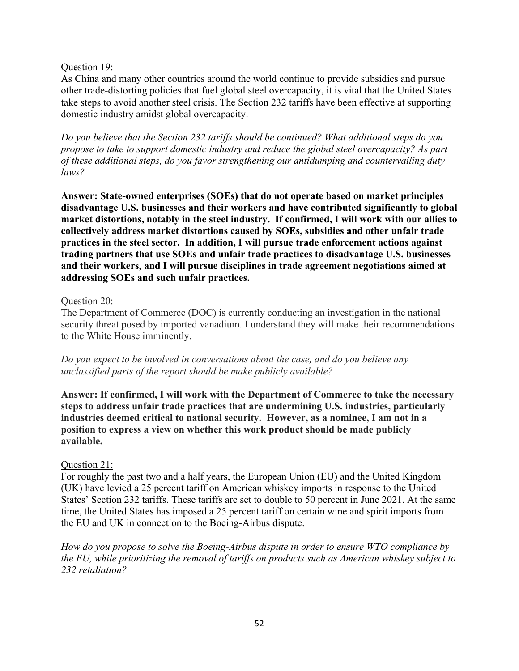# Question 19:

As China and many other countries around the world continue to provide subsidies and pursue other trade-distorting policies that fuel global steel overcapacity, it is vital that the United States take steps to avoid another steel crisis. The Section 232 tariffs have been effective at supporting domestic industry amidst global overcapacity.

*Do you believe that the Section 232 tariffs should be continued? What additional steps do you propose to take to support domestic industry and reduce the global steel overcapacity? As part of these additional steps, do you favor strengthening our antidumping and countervailing duty laws?*

**Answer: State-owned enterprises (SOEs) that do not operate based on market principles disadvantage U.S. businesses and their workers and have contributed significantly to global market distortions, notably in the steel industry. If confirmed, I will work with our allies to collectively address market distortions caused by SOEs, subsidies and other unfair trade practices in the steel sector. In addition, I will pursue trade enforcement actions against trading partners that use SOEs and unfair trade practices to disadvantage U.S. businesses and their workers, and I will pursue disciplines in trade agreement negotiations aimed at addressing SOEs and such unfair practices.**

## Question 20:

The Department of Commerce (DOC) is currently conducting an investigation in the national security threat posed by imported vanadium. I understand they will make their recommendations to the White House imminently.

*Do you expect to be involved in conversations about the case, and do you believe any unclassified parts of the report should be make publicly available?*

**Answer: If confirmed, I will work with the Department of Commerce to take the necessary steps to address unfair trade practices that are undermining U.S. industries, particularly industries deemed critical to national security. However, as a nominee, I am not in a position to express a view on whether this work product should be made publicly available.**

# Question 21:

For roughly the past two and a half years, the European Union (EU) and the United Kingdom (UK) have levied a 25 percent tariff on American whiskey imports in response to the United States' Section 232 tariffs. These tariffs are set to double to 50 percent in June 2021. At the same time, the United States has imposed a 25 percent tariff on certain wine and spirit imports from the EU and UK in connection to the Boeing-Airbus dispute.

*How do you propose to solve the Boeing-Airbus dispute in order to ensure WTO compliance by the EU, while prioritizing the removal of tariffs on products such as American whiskey subject to 232 retaliation?*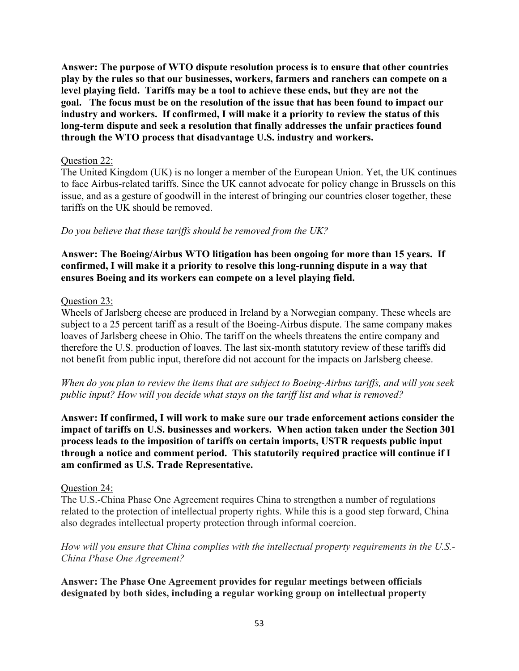**Answer: The purpose of WTO dispute resolution process is to ensure that other countries play by the rules so that our businesses, workers, farmers and ranchers can compete on a level playing field. Tariffs may be a tool to achieve these ends, but they are not the goal. The focus must be on the resolution of the issue that has been found to impact our industry and workers. If confirmed, I will make it a priority to review the status of this long-term dispute and seek a resolution that finally addresses the unfair practices found through the WTO process that disadvantage U.S. industry and workers.**

#### Question 22:

The United Kingdom (UK) is no longer a member of the European Union. Yet, the UK continues to face Airbus-related tariffs. Since the UK cannot advocate for policy change in Brussels on this issue, and as a gesture of goodwill in the interest of bringing our countries closer together, these tariffs on the UK should be removed.

## *Do you believe that these tariffs should be removed from the UK?*

**Answer: The Boeing/Airbus WTO litigation has been ongoing for more than 15 years. If confirmed, I will make it a priority to resolve this long-running dispute in a way that ensures Boeing and its workers can compete on a level playing field.**

#### Question 23:

Wheels of Jarlsberg cheese are produced in Ireland by a Norwegian company. These wheels are subject to a 25 percent tariff as a result of the Boeing-Airbus dispute. The same company makes loaves of Jarlsberg cheese in Ohio. The tariff on the wheels threatens the entire company and therefore the U.S. production of loaves. The last six-month statutory review of these tariffs did not benefit from public input, therefore did not account for the impacts on Jarlsberg cheese.

*When do you plan to review the items that are subject to Boeing-Airbus tariffs, and will you seek public input? How will you decide what stays on the tariff list and what is removed?*

**Answer: If confirmed, I will work to make sure our trade enforcement actions consider the impact of tariffs on U.S. businesses and workers. When action taken under the Section 301 process leads to the imposition of tariffs on certain imports, USTR requests public input through a notice and comment period. This statutorily required practice will continue if I am confirmed as U.S. Trade Representative.**

#### Question 24:

The U.S.-China Phase One Agreement requires China to strengthen a number of regulations related to the protection of intellectual property rights. While this is a good step forward, China also degrades intellectual property protection through informal coercion.

*How will you ensure that China complies with the intellectual property requirements in the U.S.- China Phase One Agreement?*

**Answer: The Phase One Agreement provides for regular meetings between officials designated by both sides, including a regular working group on intellectual property**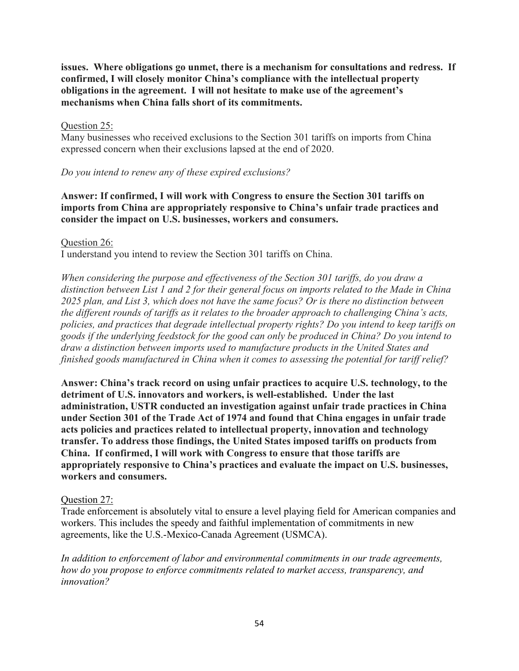**issues. Where obligations go unmet, there is a mechanism for consultations and redress. If confirmed, I will closely monitor China's compliance with the intellectual property obligations in the agreement. I will not hesitate to make use of the agreement's mechanisms when China falls short of its commitments.**

## Question 25:

Many businesses who received exclusions to the Section 301 tariffs on imports from China expressed concern when their exclusions lapsed at the end of 2020.

# *Do you intend to renew any of these expired exclusions?*

# **Answer: If confirmed, I will work with Congress to ensure the Section 301 tariffs on imports from China are appropriately responsive to China's unfair trade practices and consider the impact on U.S. businesses, workers and consumers.**

Question 26:

I understand you intend to review the Section 301 tariffs on China.

*When considering the purpose and effectiveness of the Section 301 tariffs, do you draw a distinction between List 1 and 2 for their general focus on imports related to the Made in China 2025 plan, and List 3, which does not have the same focus? Or is there no distinction between the different rounds of tariffs as it relates to the broader approach to challenging China's acts, policies, and practices that degrade intellectual property rights? Do you intend to keep tariffs on goods if the underlying feedstock for the good can only be produced in China? Do you intend to draw a distinction between imports used to manufacture products in the United States and finished goods manufactured in China when it comes to assessing the potential for tariff relief?*

**Answer: China's track record on using unfair practices to acquire U.S. technology, to the detriment of U.S. innovators and workers, is well-established. Under the last administration, USTR conducted an investigation against unfair trade practices in China under Section 301 of the Trade Act of 1974 and found that China engages in unfair trade acts policies and practices related to intellectual property, innovation and technology transfer. To address those findings, the United States imposed tariffs on products from China. If confirmed, I will work with Congress to ensure that those tariffs are appropriately responsive to China's practices and evaluate the impact on U.S. businesses, workers and consumers.**

## Question 27:

Trade enforcement is absolutely vital to ensure a level playing field for American companies and workers. This includes the speedy and faithful implementation of commitments in new agreements, like the U.S.-Mexico-Canada Agreement (USMCA).

*In addition to enforcement of labor and environmental commitments in our trade agreements, how do you propose to enforce commitments related to market access, transparency, and innovation?*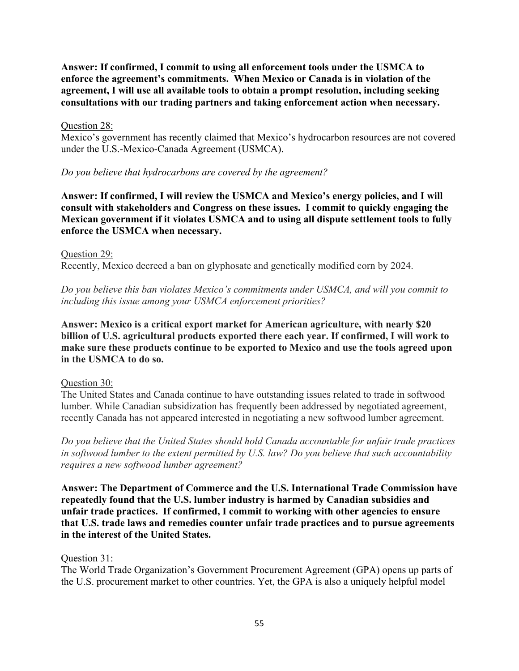**Answer: If confirmed, I commit to using all enforcement tools under the USMCA to enforce the agreement's commitments. When Mexico or Canada is in violation of the agreement, I will use all available tools to obtain a prompt resolution, including seeking consultations with our trading partners and taking enforcement action when necessary.**

## Question 28:

Mexico's government has recently claimed that Mexico's hydrocarbon resources are not covered under the U.S.-Mexico-Canada Agreement (USMCA).

## *Do you believe that hydrocarbons are covered by the agreement?*

**Answer: If confirmed, I will review the USMCA and Mexico's energy policies, and I will consult with stakeholders and Congress on these issues. I commit to quickly engaging the Mexican government if it violates USMCA and to using all dispute settlement tools to fully enforce the USMCA when necessary.**

## Question 29:

Recently, Mexico decreed a ban on glyphosate and genetically modified corn by 2024.

*Do you believe this ban violates Mexico's commitments under USMCA, and will you commit to including this issue among your USMCA enforcement priorities?*

**Answer: Mexico is a critical export market for American agriculture, with nearly \$20 billion of U.S. agricultural products exported there each year. If confirmed, I will work to make sure these products continue to be exported to Mexico and use the tools agreed upon in the USMCA to do so.**

## Question 30:

The United States and Canada continue to have outstanding issues related to trade in softwood lumber. While Canadian subsidization has frequently been addressed by negotiated agreement, recently Canada has not appeared interested in negotiating a new softwood lumber agreement.

*Do you believe that the United States should hold Canada accountable for unfair trade practices in softwood lumber to the extent permitted by U.S. law? Do you believe that such accountability requires a new softwood lumber agreement?*

**Answer: The Department of Commerce and the U.S. International Trade Commission have repeatedly found that the U.S. lumber industry is harmed by Canadian subsidies and unfair trade practices. If confirmed, I commit to working with other agencies to ensure that U.S. trade laws and remedies counter unfair trade practices and to pursue agreements in the interest of the United States.**

## Question 31:

The World Trade Organization's Government Procurement Agreement (GPA) opens up parts of the U.S. procurement market to other countries. Yet, the GPA is also a uniquely helpful model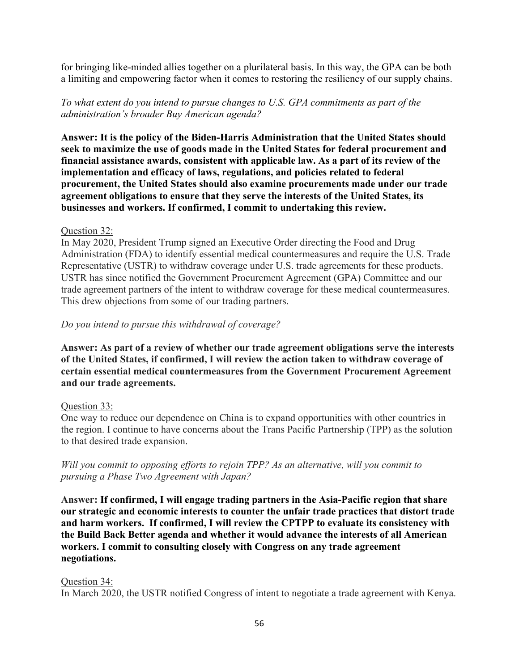for bringing like-minded allies together on a plurilateral basis. In this way, the GPA can be both a limiting and empowering factor when it comes to restoring the resiliency of our supply chains.

*To what extent do you intend to pursue changes to U.S. GPA commitments as part of the administration's broader Buy American agenda?*

**Answer: It is the policy of the Biden-Harris Administration that the United States should seek to maximize the use of goods made in the United States for federal procurement and financial assistance awards, consistent with applicable law. As a part of its review of the implementation and efficacy of laws, regulations, and policies related to federal procurement, the United States should also examine procurements made under our trade agreement obligations to ensure that they serve the interests of the United States, its businesses and workers. If confirmed, I commit to undertaking this review.**

## Question 32:

In May 2020, President Trump signed an Executive Order directing the Food and Drug Administration (FDA) to identify essential medical countermeasures and require the U.S. Trade Representative (USTR) to withdraw coverage under U.S. trade agreements for these products. USTR has since notified the Government Procurement Agreement (GPA) Committee and our trade agreement partners of the intent to withdraw coverage for these medical countermeasures. This drew objections from some of our trading partners.

## *Do you intend to pursue this withdrawal of coverage?*

**Answer: As part of a review of whether our trade agreement obligations serve the interests of the United States, if confirmed, I will review the action taken to withdraw coverage of certain essential medical countermeasures from the Government Procurement Agreement and our trade agreements.**

# Question 33:

One way to reduce our dependence on China is to expand opportunities with other countries in the region. I continue to have concerns about the Trans Pacific Partnership (TPP) as the solution to that desired trade expansion.

*Will you commit to opposing efforts to rejoin TPP? As an alternative, will you commit to pursuing a Phase Two Agreement with Japan?*

**Answer: If confirmed, I will engage trading partners in the Asia-Pacific region that share our strategic and economic interests to counter the unfair trade practices that distort trade and harm workers. If confirmed, I will review the CPTPP to evaluate its consistency with the Build Back Better agenda and whether it would advance the interests of all American workers. I commit to consulting closely with Congress on any trade agreement negotiations.** 

## Question 34:

In March 2020, the USTR notified Congress of intent to negotiate a trade agreement with Kenya.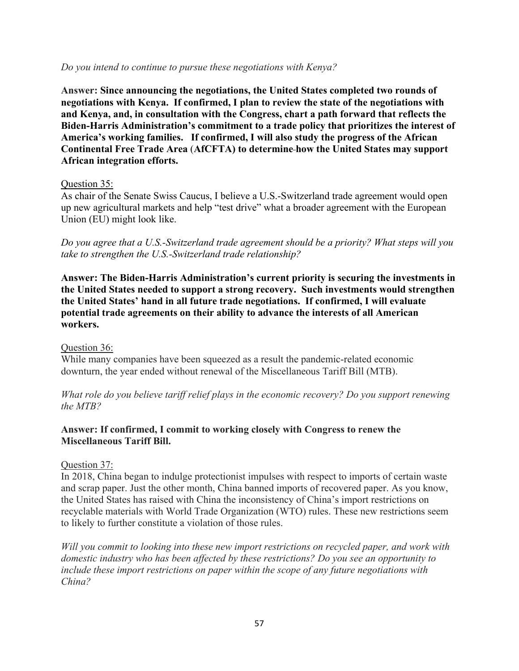### *Do you intend to continue to pursue these negotiations with Kenya?*

**Answer: Since announcing the negotiations, the United States completed two rounds of negotiations with Kenya. If confirmed, I plan to review the state of the negotiations with and Kenya, and, in consultation with the Congress, chart a path forward that reflects the Biden-Harris Administration's commitment to a trade policy that prioritizes the interest of America's working families. If confirmed, I will also study the progress of the African Continental Free Trade Area** (**AfCFTA) to determine how the United States may support African integration efforts.**

## Question 35:

As chair of the Senate Swiss Caucus, I believe a U.S.-Switzerland trade agreement would open up new agricultural markets and help "test drive" what a broader agreement with the European Union (EU) might look like.

*Do you agree that a U.S.-Switzerland trade agreement should be a priority? What steps will you take to strengthen the U.S.-Switzerland trade relationship?*

**Answer: The Biden-Harris Administration's current priority is securing the investments in the United States needed to support a strong recovery. Such investments would strengthen the United States' hand in all future trade negotiations. If confirmed, I will evaluate potential trade agreements on their ability to advance the interests of all American workers.**

## Question 36:

While many companies have been squeezed as a result the pandemic-related economic downturn, the year ended without renewal of the Miscellaneous Tariff Bill (MTB).

*What role do you believe tariff relief plays in the economic recovery? Do you support renewing the MTB?*

# **Answer: If confirmed, I commit to working closely with Congress to renew the Miscellaneous Tariff Bill.**

# Question 37:

In 2018, China began to indulge protectionist impulses with respect to imports of certain waste and scrap paper. Just the other month, China banned imports of recovered paper. As you know, the United States has raised with China the inconsistency of China's import restrictions on recyclable materials with World Trade Organization (WTO) rules. These new restrictions seem to likely to further constitute a violation of those rules.

*Will you commit to looking into these new import restrictions on recycled paper, and work with domestic industry who has been affected by these restrictions? Do you see an opportunity to include these import restrictions on paper within the scope of any future negotiations with China?*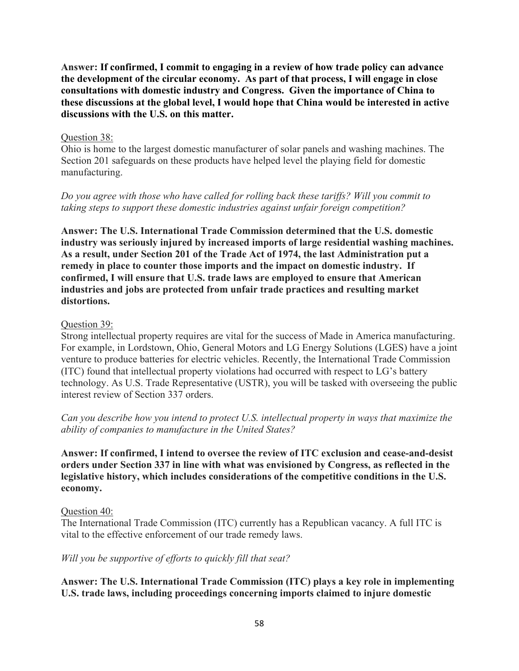**Answer: If confirmed, I commit to engaging in a review of how trade policy can advance the development of the circular economy. As part of that process, I will engage in close consultations with domestic industry and Congress. Given the importance of China to these discussions at the global level, I would hope that China would be interested in active discussions with the U.S. on this matter.** 

### Question 38:

Ohio is home to the largest domestic manufacturer of solar panels and washing machines. The Section 201 safeguards on these products have helped level the playing field for domestic manufacturing.

# *Do you agree with those who have called for rolling back these tariffs? Will you commit to taking steps to support these domestic industries against unfair foreign competition?*

**Answer: The U.S. International Trade Commission determined that the U.S. domestic industry was seriously injured by increased imports of large residential washing machines. As a result, under Section 201 of the Trade Act of 1974, the last Administration put a remedy in place to counter those imports and the impact on domestic industry. If confirmed, I will ensure that U.S. trade laws are employed to ensure that American industries and jobs are protected from unfair trade practices and resulting market distortions.**

## Question 39:

Strong intellectual property requires are vital for the success of Made in America manufacturing. For example, in Lordstown, Ohio, General Motors and LG Energy Solutions (LGES) have a joint venture to produce batteries for electric vehicles. Recently, the International Trade Commission (ITC) found that intellectual property violations had occurred with respect to LG's battery technology. As U.S. Trade Representative (USTR), you will be tasked with overseeing the public interest review of Section 337 orders.

*Can you describe how you intend to protect U.S. intellectual property in ways that maximize the ability of companies to manufacture in the United States?*

**Answer: If confirmed, I intend to oversee the review of ITC exclusion and cease-and-desist orders under Section 337 in line with what was envisioned by Congress, as reflected in the legislative history, which includes considerations of the competitive conditions in the U.S. economy.** 

## Question 40:

The International Trade Commission (ITC) currently has a Republican vacancy. A full ITC is vital to the effective enforcement of our trade remedy laws.

## *Will you be supportive of efforts to quickly fill that seat?*

**Answer: The U.S. International Trade Commission (ITC) plays a key role in implementing U.S. trade laws, including proceedings concerning imports claimed to injure domestic**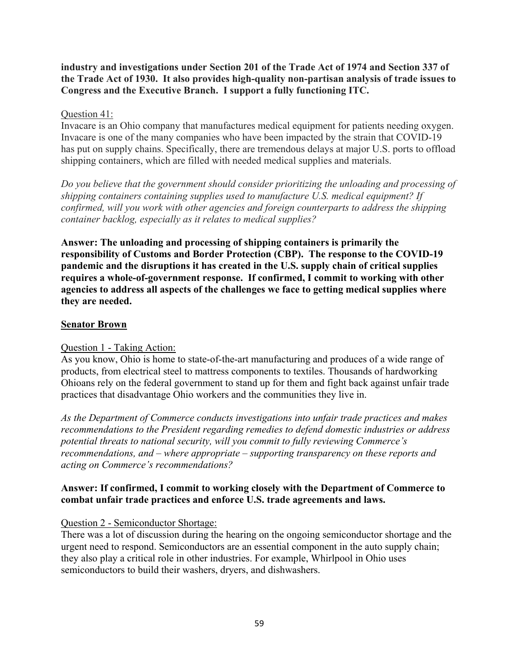**industry and investigations under Section 201 of the Trade Act of 1974 and Section 337 of the Trade Act of 1930. It also provides high-quality non-partisan analysis of trade issues to Congress and the Executive Branch. I support a fully functioning ITC.**

## Question 41:

Invacare is an Ohio company that manufactures medical equipment for patients needing oxygen. Invacare is one of the many companies who have been impacted by the strain that COVID-19 has put on supply chains. Specifically, there are tremendous delays at major U.S. ports to offload shipping containers, which are filled with needed medical supplies and materials.

*Do you believe that the government should consider prioritizing the unloading and processing of shipping containers containing supplies used to manufacture U.S. medical equipment? If confirmed, will you work with other agencies and foreign counterparts to address the shipping container backlog, especially as it relates to medical supplies?*

**Answer: The unloading and processing of shipping containers is primarily the responsibility of Customs and Border Protection (CBP). The response to the COVID-19 pandemic and the disruptions it has created in the U.S. supply chain of critical supplies requires a whole-of-government response. If confirmed, I commit to working with other agencies to address all aspects of the challenges we face to getting medical supplies where they are needed.**

## **Senator Brown**

## Question 1 - Taking Action:

As you know, Ohio is home to state-of-the-art manufacturing and produces of a wide range of products, from electrical steel to mattress components to textiles. Thousands of hardworking Ohioans rely on the federal government to stand up for them and fight back against unfair trade practices that disadvantage Ohio workers and the communities they live in.

*As the Department of Commerce conducts investigations into unfair trade practices and makes recommendations to the President regarding remedies to defend domestic industries or address potential threats to national security, will you commit to fully reviewing Commerce's recommendations, and – where appropriate – supporting transparency on these reports and acting on Commerce's recommendations?*

## **Answer: If confirmed, I commit to working closely with the Department of Commerce to combat unfair trade practices and enforce U.S. trade agreements and laws.**

## Question 2 - Semiconductor Shortage:

There was a lot of discussion during the hearing on the ongoing semiconductor shortage and the urgent need to respond. Semiconductors are an essential component in the auto supply chain; they also play a critical role in other industries. For example, Whirlpool in Ohio uses semiconductors to build their washers, dryers, and dishwashers.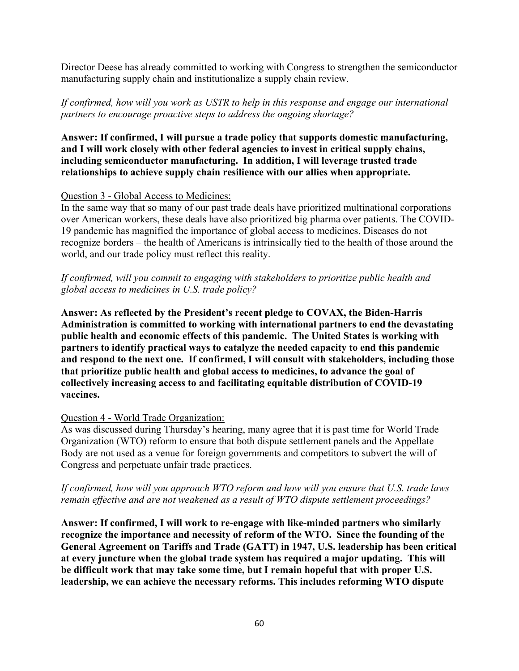Director Deese has already committed to working with Congress to strengthen the semiconductor manufacturing supply chain and institutionalize a supply chain review.

*If confirmed, how will you work as USTR to help in this response and engage our international partners to encourage proactive steps to address the ongoing shortage?*

**Answer: If confirmed, I will pursue a trade policy that supports domestic manufacturing, and I will work closely with other federal agencies to invest in critical supply chains, including semiconductor manufacturing. In addition, I will leverage trusted trade relationships to achieve supply chain resilience with our allies when appropriate.**

## Question 3 - Global Access to Medicines:

In the same way that so many of our past trade deals have prioritized multinational corporations over American workers, these deals have also prioritized big pharma over patients. The COVID-19 pandemic has magnified the importance of global access to medicines. Diseases do not recognize borders – the health of Americans is intrinsically tied to the health of those around the world, and our trade policy must reflect this reality.

# *If confirmed, will you commit to engaging with stakeholders to prioritize public health and global access to medicines in U.S. trade policy?*

**Answer: As reflected by the President's recent pledge to COVAX, the Biden-Harris Administration is committed to working with international partners to end the devastating public health and economic effects of this pandemic. The United States is working with partners to identify practical ways to catalyze the needed capacity to end this pandemic and respond to the next one. If confirmed, I will consult with stakeholders, including those that prioritize public health and global access to medicines, to advance the goal of collectively increasing access to and facilitating equitable distribution of COVID-19 vaccines.**

## Question 4 - World Trade Organization:

As was discussed during Thursday's hearing, many agree that it is past time for World Trade Organization (WTO) reform to ensure that both dispute settlement panels and the Appellate Body are not used as a venue for foreign governments and competitors to subvert the will of Congress and perpetuate unfair trade practices.

*If confirmed, how will you approach WTO reform and how will you ensure that U.S. trade laws remain effective and are not weakened as a result of WTO dispute settlement proceedings?* 

**Answer: If confirmed, I will work to re-engage with like-minded partners who similarly recognize the importance and necessity of reform of the WTO. Since the founding of the General Agreement on Tariffs and Trade (GATT) in 1947, U.S. leadership has been critical at every juncture when the global trade system has required a major updating. This will be difficult work that may take some time, but I remain hopeful that with proper U.S. leadership, we can achieve the necessary reforms. This includes reforming WTO dispute**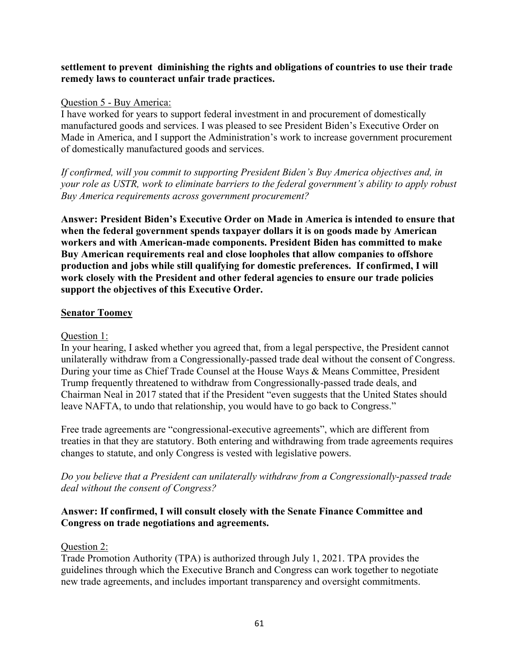## **settlement to prevent diminishing the rights and obligations of countries to use their trade remedy laws to counteract unfair trade practices.**

## Question 5 - Buy America:

I have worked for years to support federal investment in and procurement of domestically manufactured goods and services. I was pleased to see President Biden's Executive Order on Made in America, and I support the Administration's work to increase government procurement of domestically manufactured goods and services.

*If confirmed, will you commit to supporting President Biden's Buy America objectives and, in your role as USTR, work to eliminate barriers to the federal government's ability to apply robust Buy America requirements across government procurement?*

**Answer: President Biden's Executive Order on Made in America is intended to ensure that when the federal government spends taxpayer dollars it is on goods made by American workers and with American-made components. President Biden has committed to make Buy American requirements real and close loopholes that allow companies to offshore production and jobs while still qualifying for domestic preferences. If confirmed, I will work closely with the President and other federal agencies to ensure our trade policies support the objectives of this Executive Order.**

## **Senator Toomey**

# Question 1:

In your hearing, I asked whether you agreed that, from a legal perspective, the President cannot unilaterally withdraw from a Congressionally-passed trade deal without the consent of Congress. During your time as Chief Trade Counsel at the House Ways & Means Committee, President Trump frequently threatened to withdraw from Congressionally-passed trade deals, and Chairman Neal in 2017 stated that if the President "even suggests that the United States should leave NAFTA, to undo that relationship, you would have to go back to Congress."

Free trade agreements are "congressional-executive agreements", which are different from treaties in that they are statutory. Both entering and withdrawing from trade agreements requires changes to statute, and only Congress is vested with legislative powers.

*Do you believe that a President can unilaterally withdraw from a Congressionally-passed trade deal without the consent of Congress?*

## **Answer: If confirmed, I will consult closely with the Senate Finance Committee and Congress on trade negotiations and agreements.**

## Question 2:

Trade Promotion Authority (TPA) is authorized through July 1, 2021. TPA provides the guidelines through which the Executive Branch and Congress can work together to negotiate new trade agreements, and includes important transparency and oversight commitments.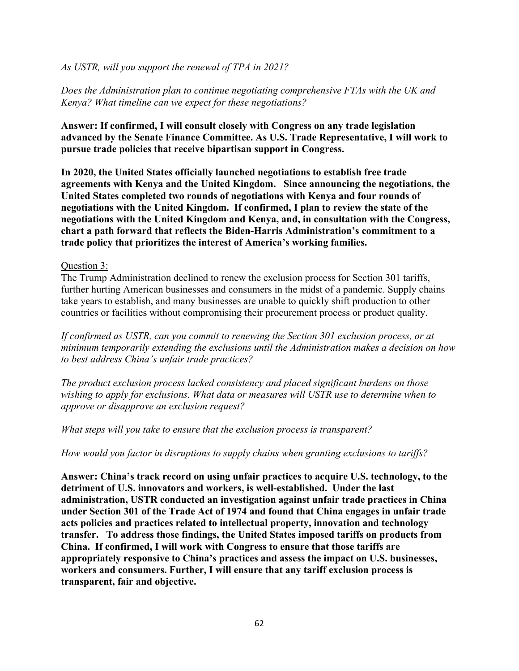### *As USTR, will you support the renewal of TPA in 2021?*

*Does the Administration plan to continue negotiating comprehensive FTAs with the UK and Kenya? What timeline can we expect for these negotiations?*

**Answer: If confirmed, I will consult closely with Congress on any trade legislation advanced by the Senate Finance Committee. As U.S. Trade Representative, I will work to pursue trade policies that receive bipartisan support in Congress.**

**In 2020, the United States officially launched negotiations to establish free trade agreements with Kenya and the United Kingdom. Since announcing the negotiations, the United States completed two rounds of negotiations with Kenya and four rounds of negotiations with the United Kingdom. If confirmed, I plan to review the state of the negotiations with the United Kingdom and Kenya, and, in consultation with the Congress, chart a path forward that reflects the Biden-Harris Administration's commitment to a trade policy that prioritizes the interest of America's working families.** 

#### Question 3:

The Trump Administration declined to renew the exclusion process for Section 301 tariffs, further hurting American businesses and consumers in the midst of a pandemic. Supply chains take years to establish, and many businesses are unable to quickly shift production to other countries or facilities without compromising their procurement process or product quality.

*If confirmed as USTR, can you commit to renewing the Section 301 exclusion process, or at minimum temporarily extending the exclusions until the Administration makes a decision on how to best address China's unfair trade practices?*

*The product exclusion process lacked consistency and placed significant burdens on those wishing to apply for exclusions. What data or measures will USTR use to determine when to approve or disapprove an exclusion request?*

*What steps will you take to ensure that the exclusion process is transparent?*

*How would you factor in disruptions to supply chains when granting exclusions to tariffs?*

**Answer: China's track record on using unfair practices to acquire U.S. technology, to the detriment of U.S. innovators and workers, is well-established. Under the last administration, USTR conducted an investigation against unfair trade practices in China under Section 301 of the Trade Act of 1974 and found that China engages in unfair trade acts policies and practices related to intellectual property, innovation and technology transfer. To address those findings, the United States imposed tariffs on products from China. If confirmed, I will work with Congress to ensure that those tariffs are appropriately responsive to China's practices and assess the impact on U.S. businesses, workers and consumers. Further, I will ensure that any tariff exclusion process is transparent, fair and objective.**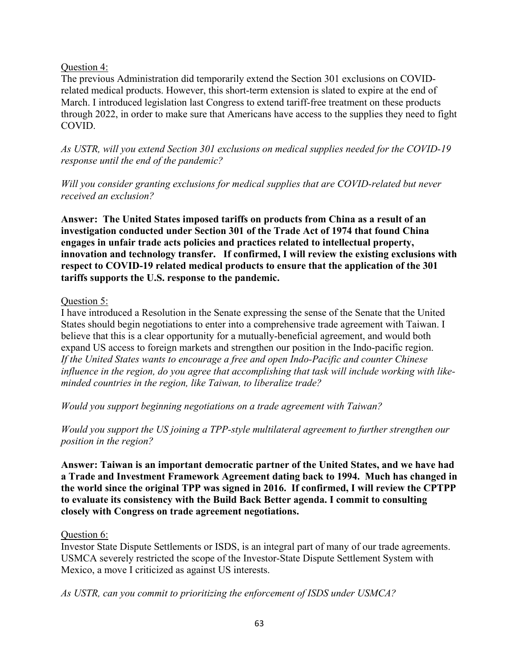## Question 4:

The previous Administration did temporarily extend the Section 301 exclusions on COVIDrelated medical products. However, this short-term extension is slated to expire at the end of March. I introduced legislation last Congress to extend tariff-free treatment on these products through 2022, in order to make sure that Americans have access to the supplies they need to fight COVID.

*As USTR, will you extend Section 301 exclusions on medical supplies needed for the COVID-19 response until the end of the pandemic?*

*Will you consider granting exclusions for medical supplies that are COVID-related but never received an exclusion?*

**Answer: The United States imposed tariffs on products from China as a result of an investigation conducted under Section 301 of the Trade Act of 1974 that found China engages in unfair trade acts policies and practices related to intellectual property, innovation and technology transfer. If confirmed, I will review the existing exclusions with respect to COVID-19 related medical products to ensure that the application of the 301 tariffs supports the U.S. response to the pandemic.**

# Question 5:

I have introduced a Resolution in the Senate expressing the sense of the Senate that the United States should begin negotiations to enter into a comprehensive trade agreement with Taiwan. I believe that this is a clear opportunity for a mutually-beneficial agreement, and would both expand US access to foreign markets and strengthen our position in the Indo-pacific region. *If the United States wants to encourage a free and open Indo-Pacific and counter Chinese influence in the region, do you agree that accomplishing that task will include working with likeminded countries in the region, like Taiwan, to liberalize trade?*

*Would you support beginning negotiations on a trade agreement with Taiwan?*

*Would you support the US joining a TPP-style multilateral agreement to further strengthen our position in the region?*

**Answer: Taiwan is an important democratic partner of the United States, and we have had a Trade and Investment Framework Agreement dating back to 1994. Much has changed in the world since the original TPP was signed in 2016. If confirmed, I will review the CPTPP to evaluate its consistency with the Build Back Better agenda. I commit to consulting closely with Congress on trade agreement negotiations.**

## Question 6:

Investor State Dispute Settlements or ISDS, is an integral part of many of our trade agreements. USMCA severely restricted the scope of the Investor-State Dispute Settlement System with Mexico, a move I criticized as against US interests.

*As USTR, can you commit to prioritizing the enforcement of ISDS under USMCA?*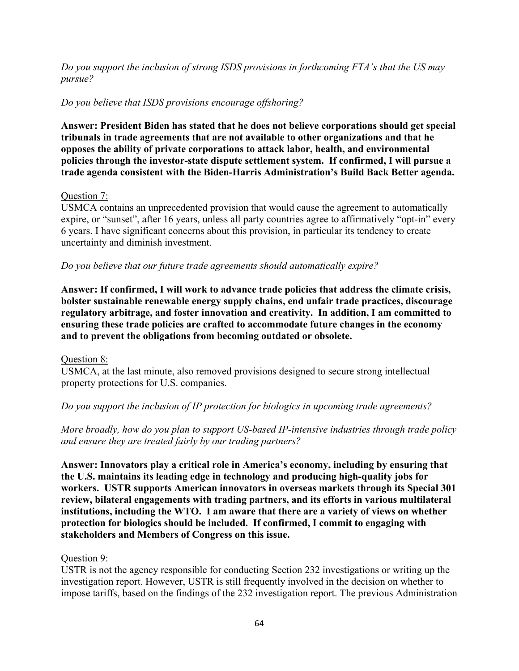*Do you support the inclusion of strong ISDS provisions in forthcoming FTA's that the US may pursue?*

# *Do you believe that ISDS provisions encourage offshoring?*

**Answer: President Biden has stated that he does not believe corporations should get special tribunals in trade agreements that are not available to other organizations and that he opposes the ability of private corporations to attack labor, health, and environmental policies through the investor-state dispute settlement system. If confirmed, I will pursue a trade agenda consistent with the Biden-Harris Administration's Build Back Better agenda.**

## Question 7:

USMCA contains an unprecedented provision that would cause the agreement to automatically expire, or "sunset", after 16 years, unless all party countries agree to affirmatively "opt-in" every 6 years. I have significant concerns about this provision, in particular its tendency to create uncertainty and diminish investment.

## *Do you believe that our future trade agreements should automatically expire?*

**Answer: If confirmed, I will work to advance trade policies that address the climate crisis, bolster sustainable renewable energy supply chains, end unfair trade practices, discourage regulatory arbitrage, and foster innovation and creativity. In addition, I am committed to ensuring these trade policies are crafted to accommodate future changes in the economy and to prevent the obligations from becoming outdated or obsolete.**

## Question 8:

USMCA, at the last minute, also removed provisions designed to secure strong intellectual property protections for U.S. companies.

## *Do you support the inclusion of IP protection for biologics in upcoming trade agreements?*

*More broadly, how do you plan to support US-based IP-intensive industries through trade policy and ensure they are treated fairly by our trading partners?*

**Answer: Innovators play a critical role in America's economy, including by ensuring that the U.S. maintains its leading edge in technology and producing high-quality jobs for workers. USTR supports American innovators in overseas markets through its Special 301 review, bilateral engagements with trading partners, and its efforts in various multilateral institutions, including the WTO. I am aware that there are a variety of views on whether protection for biologics should be included. If confirmed, I commit to engaging with stakeholders and Members of Congress on this issue.**

## Question 9:

USTR is not the agency responsible for conducting Section 232 investigations or writing up the investigation report. However, USTR is still frequently involved in the decision on whether to impose tariffs, based on the findings of the 232 investigation report. The previous Administration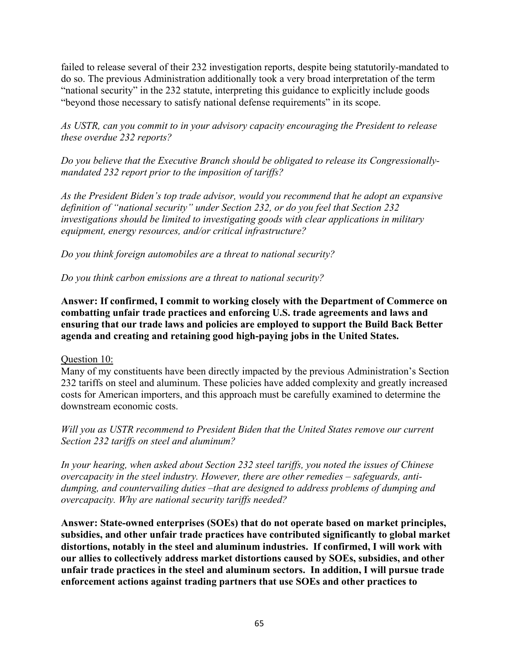failed to release several of their 232 investigation reports, despite being statutorily-mandated to do so. The previous Administration additionally took a very broad interpretation of the term "national security" in the 232 statute, interpreting this guidance to explicitly include goods "beyond those necessary to satisfy national defense requirements" in its scope.

*As USTR, can you commit to in your advisory capacity encouraging the President to release these overdue 232 reports?*

*Do you believe that the Executive Branch should be obligated to release its Congressionallymandated 232 report prior to the imposition of tariffs?* 

*As the President Biden's top trade advisor, would you recommend that he adopt an expansive definition of "national security" under Section 232, or do you feel that Section 232 investigations should be limited to investigating goods with clear applications in military equipment, energy resources, and/or critical infrastructure?*

*Do you think foreign automobiles are a threat to national security?*

*Do you think carbon emissions are a threat to national security?*

**Answer: If confirmed, I commit to working closely with the Department of Commerce on combatting unfair trade practices and enforcing U.S. trade agreements and laws and ensuring that our trade laws and policies are employed to support the Build Back Better agenda and creating and retaining good high-paying jobs in the United States.**

Question 10:

Many of my constituents have been directly impacted by the previous Administration's Section 232 tariffs on steel and aluminum. These policies have added complexity and greatly increased costs for American importers, and this approach must be carefully examined to determine the downstream economic costs.

*Will you as USTR recommend to President Biden that the United States remove our current Section 232 tariffs on steel and aluminum?*

*In your hearing, when asked about Section 232 steel tariffs, you noted the issues of Chinese overcapacity in the steel industry. However, there are other remedies – safeguards, antidumping, and countervailing duties –that are designed to address problems of dumping and overcapacity. Why are national security tariffs needed?*

**Answer: State-owned enterprises (SOEs) that do not operate based on market principles, subsidies, and other unfair trade practices have contributed significantly to global market distortions, notably in the steel and aluminum industries. If confirmed, I will work with our allies to collectively address market distortions caused by SOEs, subsidies, and other unfair trade practices in the steel and aluminum sectors. In addition, I will pursue trade enforcement actions against trading partners that use SOEs and other practices to**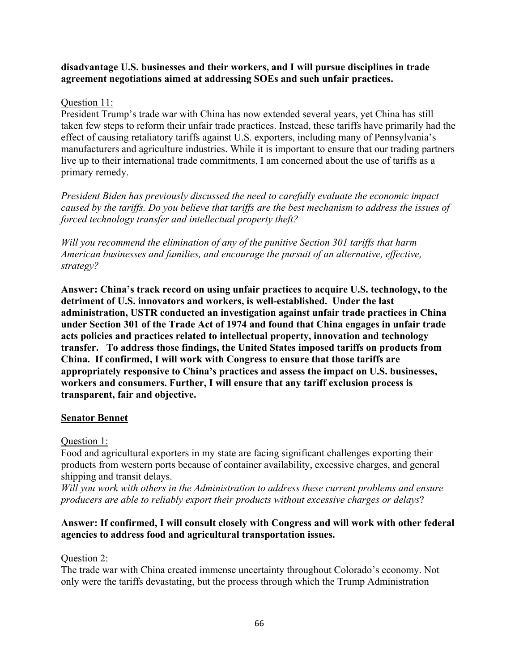## **disadvantage U.S. businesses and their workers, and I will pursue disciplines in trade agreement negotiations aimed at addressing SOEs and such unfair practices.**

## Question 11:

President Trump's trade war with China has now extended several years, yet China has still taken few steps to reform their unfair trade practices. Instead, these tariffs have primarily had the effect of causing retaliatory tariffs against U.S. exporters, including many of Pennsylvania's manufacturers and agriculture industries. While it is important to ensure that our trading partners live up to their international trade commitments, I am concerned about the use of tariffs as a primary remedy.

*President Biden has previously discussed the need to carefully evaluate the economic impact caused by the tariffs. Do you believe that tariffs are the best mechanism to address the issues of forced technology transfer and intellectual property theft?*

*Will you recommend the elimination of any of the punitive Section 301 tariffs that harm American businesses and families, and encourage the pursuit of an alternative, effective, strategy?*

**Answer: China's track record on using unfair practices to acquire U.S. technology, to the detriment of U.S. innovators and workers, is well-established. Under the last administration, USTR conducted an investigation against unfair trade practices in China under Section 301 of the Trade Act of 1974 and found that China engages in unfair trade acts policies and practices related to intellectual property, innovation and technology transfer. To address those findings, the United States imposed tariffs on products from China. If confirmed, I will work with Congress to ensure that those tariffs are appropriately responsive to China's practices and assess the impact on U.S. businesses, workers and consumers. Further, I will ensure that any tariff exclusion process is transparent, fair and objective.**

## **Senator Bennet**

# Question 1:

Food and agricultural exporters in my state are facing significant challenges exporting their products from western ports because of container availability, excessive charges, and general shipping and transit delays.

*Will you work with others in the Administration to address these current problems and ensure producers are able to reliably export their products without excessive charges or delays*?

# **Answer: If confirmed, I will consult closely with Congress and will work with other federal agencies to address food and agricultural transportation issues.**

# Question 2:

The trade war with China created immense uncertainty throughout Colorado's economy. Not only were the tariffs devastating, but the process through which the Trump Administration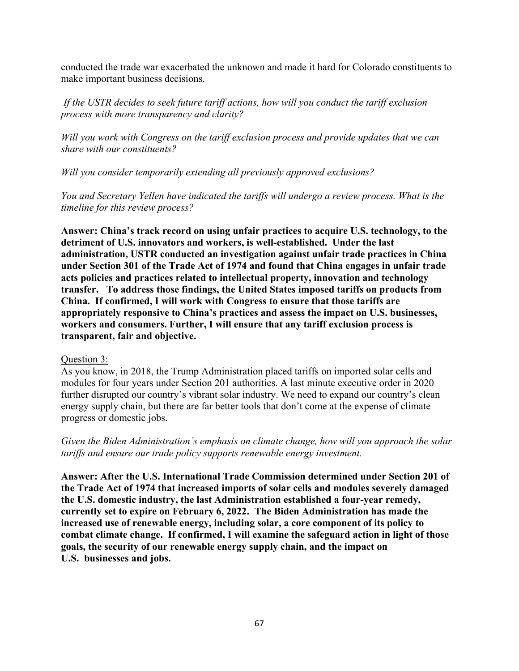conducted the trade war exacerbated the unknown and made it hard for Colorado constituents to make important business decisions.

*If the USTR decides to seek future tariff actions, how will you conduct the tariff exclusion process with more transparency and clarity?*

*Will you work with Congress on the tariff exclusion process and provide updates that we can share with our constituents?*

*Will you consider temporarily extending all previously approved exclusions?*

*You and Secretary Yellen have indicated the tariffs will undergo a review process. What is the timeline for this review process?* 

**Answer: China's track record on using unfair practices to acquire U.S. technology, to the detriment of U.S. innovators and workers, is well-established. Under the last administration, USTR conducted an investigation against unfair trade practices in China under Section 301 of the Trade Act of 1974 and found that China engages in unfair trade acts policies and practices related to intellectual property, innovation and technology transfer. To address those findings, the United States imposed tariffs on products from China. If confirmed, I will work with Congress to ensure that those tariffs are appropriately responsive to China's practices and assess the impact on U.S. businesses, workers and consumers. Further, I will ensure that any tariff exclusion process is transparent, fair and objective.**

## Question 3:

As you know, in 2018, the Trump Administration placed tariffs on imported solar cells and modules for four years under Section 201 authorities. A last minute executive order in 2020 further disrupted our country's vibrant solar industry. We need to expand our country's clean energy supply chain, but there are far better tools that don't come at the expense of climate progress or domestic jobs.

*Given the Biden Administration's emphasis on climate change, how will you approach the solar tariffs and ensure our trade policy supports renewable energy investment.*

**Answer: After the U.S. International Trade Commission determined under Section 201 of the Trade Act of 1974 that increased imports of solar cells and modules severely damaged the U.S. domestic industry, the last Administration established a four-year remedy, currently set to expire on February 6, 2022. The Biden Administration has made the increased use of renewable energy, including solar, a core component of its policy to combat climate change. If confirmed, I will examine the safeguard action in light of those goals, the security of our renewable energy supply chain, and the impact on U.S. businesses and jobs.**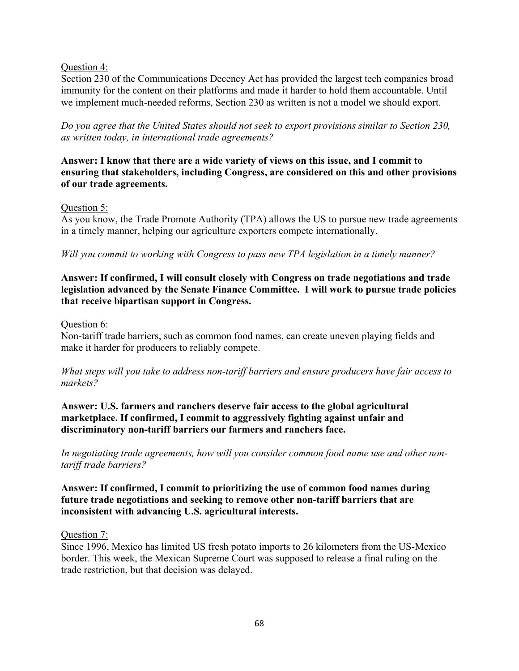## Question 4:

Section 230 of the Communications Decency Act has provided the largest tech companies broad immunity for the content on their platforms and made it harder to hold them accountable. Until we implement much-needed reforms, Section 230 as written is not a model we should export.

*Do you agree that the United States should not seek to export provisions similar to Section 230, as written today, in international trade agreements?* 

**Answer: I know that there are a wide variety of views on this issue, and I commit to ensuring that stakeholders, including Congress, are considered on this and other provisions of our trade agreements.** 

## Question 5:

As you know, the Trade Promote Authority (TPA) allows the US to pursue new trade agreements in a timely manner, helping our agriculture exporters compete internationally.

*Will you commit to working with Congress to pass new TPA legislation in a timely manner?*

# **Answer: If confirmed, I will consult closely with Congress on trade negotiations and trade legislation advanced by the Senate Finance Committee. I will work to pursue trade policies that receive bipartisan support in Congress.**

## Question 6:

Non-tariff trade barriers, such as common food names, can create uneven playing fields and make it harder for producers to reliably compete.

## *What steps will you take to address non-tariff barriers and ensure producers have fair access to markets?*

**Answer: U.S. farmers and ranchers deserve fair access to the global agricultural marketplace. If confirmed, I commit to aggressively fighting against unfair and discriminatory non-tariff barriers our farmers and ranchers face.**

*In negotiating trade agreements, how will you consider common food name use and other nontariff trade barriers?*

# **Answer: If confirmed, I commit to prioritizing the use of common food names during future trade negotiations and seeking to remove other non-tariff barriers that are inconsistent with advancing U.S. agricultural interests.**

## Question 7:

Since 1996, Mexico has limited US fresh potato imports to 26 kilometers from the US-Mexico border. This week, the Mexican Supreme Court was supposed to release a final ruling on the trade restriction, but that decision was delayed.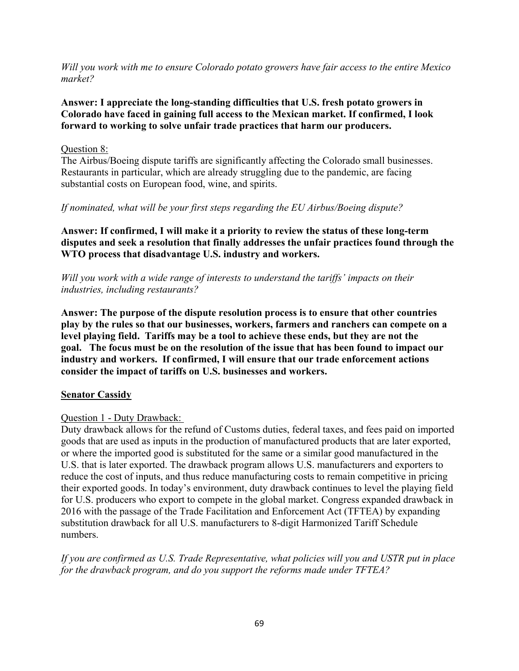*Will you work with me to ensure Colorado potato growers have fair access to the entire Mexico market?*

# **Answer: I appreciate the long-standing difficulties that U.S. fresh potato growers in Colorado have faced in gaining full access to the Mexican market. If confirmed, I look forward to working to solve unfair trade practices that harm our producers.**

## Question 8:

The Airbus/Boeing dispute tariffs are significantly affecting the Colorado small businesses. Restaurants in particular, which are already struggling due to the pandemic, are facing substantial costs on European food, wine, and spirits.

## *If nominated, what will be your first steps regarding the EU Airbus/Boeing dispute?*

**Answer: If confirmed, I will make it a priority to review the status of these long-term disputes and seek a resolution that finally addresses the unfair practices found through the WTO process that disadvantage U.S. industry and workers.**

*Will you work with a wide range of interests to understand the tariffs' impacts on their industries, including restaurants?* 

**Answer: The purpose of the dispute resolution process is to ensure that other countries play by the rules so that our businesses, workers, farmers and ranchers can compete on a level playing field. Tariffs may be a tool to achieve these ends, but they are not the goal. The focus must be on the resolution of the issue that has been found to impact our industry and workers. If confirmed, I will ensure that our trade enforcement actions consider the impact of tariffs on U.S. businesses and workers.**

# **Senator Cassidy**

# Question 1 - Duty Drawback:

Duty drawback allows for the refund of Customs duties, federal taxes, and fees paid on imported goods that are used as inputs in the production of manufactured products that are later exported, or where the imported good is substituted for the same or a similar good manufactured in the U.S. that is later exported. The drawback program allows U.S. manufacturers and exporters to reduce the cost of inputs, and thus reduce manufacturing costs to remain competitive in pricing their exported goods. In today's environment, duty drawback continues to level the playing field for U.S. producers who export to compete in the global market. Congress expanded drawback in 2016 with the passage of the Trade Facilitation and Enforcement Act (TFTEA) by expanding substitution drawback for all U.S. manufacturers to 8-digit Harmonized Tariff Schedule numbers.

*If you are confirmed as U.S. Trade Representative, what policies will you and USTR put in place for the drawback program, and do you support the reforms made under TFTEA?*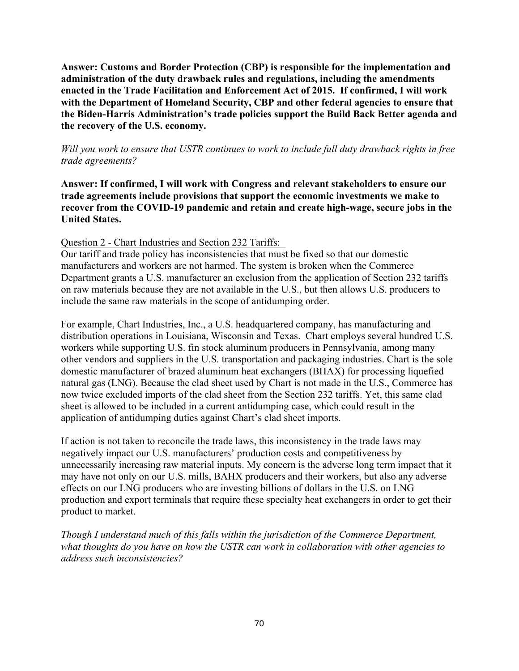**Answer: Customs and Border Protection (CBP) is responsible for the implementation and administration of the duty drawback rules and regulations, including the amendments enacted in the Trade Facilitation and Enforcement Act of 2015. If confirmed, I will work with the Department of Homeland Security, CBP and other federal agencies to ensure that the Biden-Harris Administration's trade policies support the Build Back Better agenda and the recovery of the U.S. economy.**

*Will you work to ensure that USTR continues to work to include full duty drawback rights in free trade agreements?* 

**Answer: If confirmed, I will work with Congress and relevant stakeholders to ensure our trade agreements include provisions that support the economic investments we make to recover from the COVID-19 pandemic and retain and create high-wage, secure jobs in the United States.**

## Question 2 - Chart Industries and Section 232 Tariffs:

Our tariff and trade policy has inconsistencies that must be fixed so that our domestic manufacturers and workers are not harmed. The system is broken when the Commerce Department grants a U.S. manufacturer an exclusion from the application of Section 232 tariffs on raw materials because they are not available in the U.S., but then allows U.S. producers to include the same raw materials in the scope of antidumping order.

For example, Chart Industries, Inc., a U.S. headquartered company, has manufacturing and distribution operations in Louisiana, Wisconsin and Texas. Chart employs several hundred U.S. workers while supporting U.S. fin stock aluminum producers in Pennsylvania, among many other vendors and suppliers in the U.S. transportation and packaging industries. Chart is the sole domestic manufacturer of brazed aluminum heat exchangers (BHAX) for processing liquefied natural gas (LNG). Because the clad sheet used by Chart is not made in the U.S., Commerce has now twice excluded imports of the clad sheet from the Section 232 tariffs. Yet, this same clad sheet is allowed to be included in a current antidumping case, which could result in the application of antidumping duties against Chart's clad sheet imports.

If action is not taken to reconcile the trade laws, this inconsistency in the trade laws may negatively impact our U.S. manufacturers' production costs and competitiveness by unnecessarily increasing raw material inputs. My concern is the adverse long term impact that it may have not only on our U.S. mills, BAHX producers and their workers, but also any adverse effects on our LNG producers who are investing billions of dollars in the U.S. on LNG production and export terminals that require these specialty heat exchangers in order to get their product to market.

*Though I understand much of this falls within the jurisdiction of the Commerce Department, what thoughts do you have on how the USTR can work in collaboration with other agencies to address such inconsistencies?*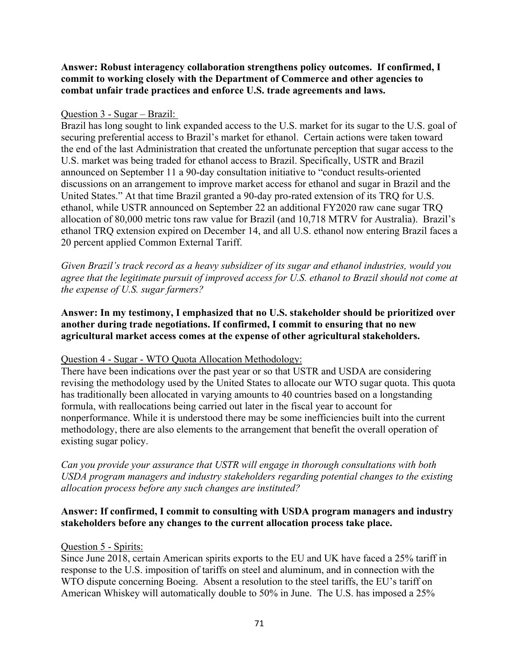# **Answer: Robust interagency collaboration strengthens policy outcomes. If confirmed, I commit to working closely with the Department of Commerce and other agencies to combat unfair trade practices and enforce U.S. trade agreements and laws.**

## Question 3 - Sugar – Brazil:

Brazil has long sought to link expanded access to the U.S. market for its sugar to the U.S. goal of securing preferential access to Brazil's market for ethanol. Certain actions were taken toward the end of the last Administration that created the unfortunate perception that sugar access to the U.S. market was being traded for ethanol access to Brazil. Specifically, USTR and Brazil announced on September 11 a 90-day consultation initiative to "conduct results-oriented discussions on an arrangement to improve market access for ethanol and sugar in Brazil and the United States." At that time Brazil granted a 90-day pro-rated extension of its TRQ for U.S. ethanol, while USTR announced on September 22 an additional FY2020 raw cane sugar TRQ allocation of 80,000 metric tons raw value for Brazil (and 10,718 MTRV for Australia). Brazil's ethanol TRQ extension expired on December 14, and all U.S. ethanol now entering Brazil faces a 20 percent applied Common External Tariff.

*Given Brazil's track record as a heavy subsidizer of its sugar and ethanol industries, would you agree that the legitimate pursuit of improved access for U.S. ethanol to Brazil should not come at the expense of U.S. sugar farmers?*

# **Answer: In my testimony, I emphasized that no U.S. stakeholder should be prioritized over another during trade negotiations. If confirmed, I commit to ensuring that no new agricultural market access comes at the expense of other agricultural stakeholders.**

## Question 4 - Sugar - WTO Quota Allocation Methodology:

There have been indications over the past year or so that USTR and USDA are considering revising the methodology used by the United States to allocate our WTO sugar quota. This quota has traditionally been allocated in varying amounts to 40 countries based on a longstanding formula, with reallocations being carried out later in the fiscal year to account for nonperformance. While it is understood there may be some inefficiencies built into the current methodology, there are also elements to the arrangement that benefit the overall operation of existing sugar policy.

*Can you provide your assurance that USTR will engage in thorough consultations with both USDA program managers and industry stakeholders regarding potential changes to the existing allocation process before any such changes are instituted?*

## **Answer: If confirmed, I commit to consulting with USDA program managers and industry stakeholders before any changes to the current allocation process take place.**

## Question 5 - Spirits:

Since June 2018, certain American spirits exports to the EU and UK have faced a 25% tariff in response to the U.S. imposition of tariffs on steel and aluminum, and in connection with the WTO dispute concerning Boeing. Absent a resolution to the steel tariffs, the EU's tariff on American Whiskey will automatically double to 50% in June. The U.S. has imposed a 25%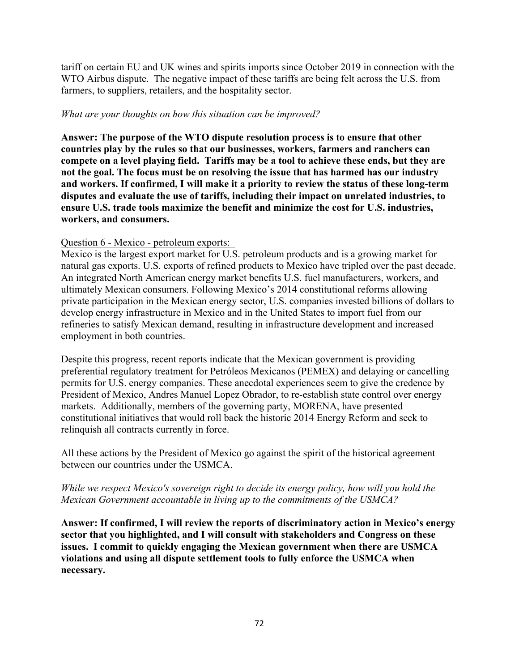tariff on certain EU and UK wines and spirits imports since October 2019 in connection with the WTO Airbus dispute. The negative impact of these tariffs are being felt across the U.S. from farmers, to suppliers, retailers, and the hospitality sector.

## *What are your thoughts on how this situation can be improved?*

**Answer: The purpose of the WTO dispute resolution process is to ensure that other countries play by the rules so that our businesses, workers, farmers and ranchers can compete on a level playing field. Tariffs may be a tool to achieve these ends, but they are not the goal. The focus must be on resolving the issue that has harmed has our industry and workers. If confirmed, I will make it a priority to review the status of these long-term disputes and evaluate the use of tariffs, including their impact on unrelated industries, to ensure U.S. trade tools maximize the benefit and minimize the cost for U.S. industries, workers, and consumers.**

## Question 6 - Mexico - petroleum exports:

Mexico is the largest export market for U.S. petroleum products and is a growing market for natural gas exports. U.S. exports of refined products to Mexico have tripled over the past decade. An integrated North American energy market benefits U.S. fuel manufacturers, workers, and ultimately Mexican consumers. Following Mexico's 2014 constitutional reforms allowing private participation in the Mexican energy sector, U.S. companies invested billions of dollars to develop energy infrastructure in Mexico and in the United States to import fuel from our refineries to satisfy Mexican demand, resulting in infrastructure development and increased employment in both countries.

Despite this progress, recent reports indicate that the Mexican government is providing preferential regulatory treatment for Petróleos Mexicanos (PEMEX) and delaying or cancelling permits for U.S. energy companies. These anecdotal experiences seem to give the credence by President of Mexico, Andres Manuel Lopez Obrador, to re-establish state control over energy markets. Additionally, members of the governing party, MORENA, have presented constitutional initiatives that would roll back the historic 2014 Energy Reform and seek to relinquish all contracts currently in force.

All these actions by the President of Mexico go against the spirit of the historical agreement between our countries under the USMCA.

## *While we respect Mexico's sovereign right to decide its energy policy, how will you hold the Mexican Government accountable in living up to the commitments of the USMCA?*

**Answer: If confirmed, I will review the reports of discriminatory action in Mexico's energy sector that you highlighted, and I will consult with stakeholders and Congress on these issues. I commit to quickly engaging the Mexican government when there are USMCA violations and using all dispute settlement tools to fully enforce the USMCA when necessary.**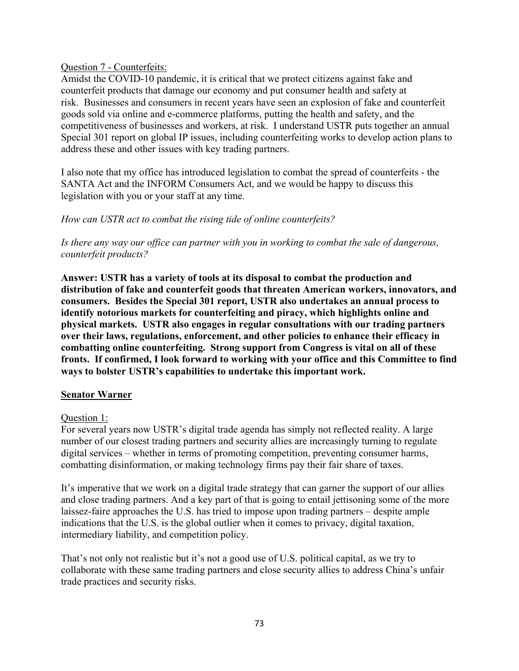Question 7 - Counterfeits:

Amidst the COVID-10 pandemic, it is critical that we protect citizens against fake and counterfeit products that damage our economy and put consumer health and safety at risk. Businesses and consumers in recent years have seen an explosion of fake and counterfeit goods sold via online and e-commerce platforms, putting the health and safety, and the competitiveness of businesses and workers, at risk. I understand USTR puts together an annual Special 301 report on global IP issues, including counterfeiting works to develop action plans to address these and other issues with key trading partners.

I also note that my office has introduced legislation to combat the spread of counterfeits - the SANTA Act and the INFORM Consumers Act, and we would be happy to discuss this legislation with you or your staff at any time.

# *How can USTR act to combat the rising tide of online counterfeits?*

*Is there any way our office can partner with you in working to combat the sale of dangerous, counterfeit products?*

**Answer: USTR has a variety of tools at its disposal to combat the production and distribution of fake and counterfeit goods that threaten American workers, innovators, and consumers. Besides the Special 301 report, USTR also undertakes an annual process to identify notorious markets for counterfeiting and piracy, which highlights online and physical markets. USTR also engages in regular consultations with our trading partners over their laws, regulations, enforcement, and other policies to enhance their efficacy in combatting online counterfeiting. Strong support from Congress is vital on all of these fronts. If confirmed, I look forward to working with your office and this Committee to find ways to bolster USTR's capabilities to undertake this important work.**

### **Senator Warner**

# Question 1:

For several years now USTR's digital trade agenda has simply not reflected reality. A large number of our closest trading partners and security allies are increasingly turning to regulate digital services – whether in terms of promoting competition, preventing consumer harms, combatting disinformation, or making technology firms pay their fair share of taxes.

It's imperative that we work on a digital trade strategy that can garner the support of our allies and close trading partners. And a key part of that is going to entail jettisoning some of the more laissez-faire approaches the U.S. has tried to impose upon trading partners – despite ample indications that the U.S. is the global outlier when it comes to privacy, digital taxation, intermediary liability, and competition policy.

That's not only not realistic but it's not a good use of U.S. political capital, as we try to collaborate with these same trading partners and close security allies to address China's unfair trade practices and security risks.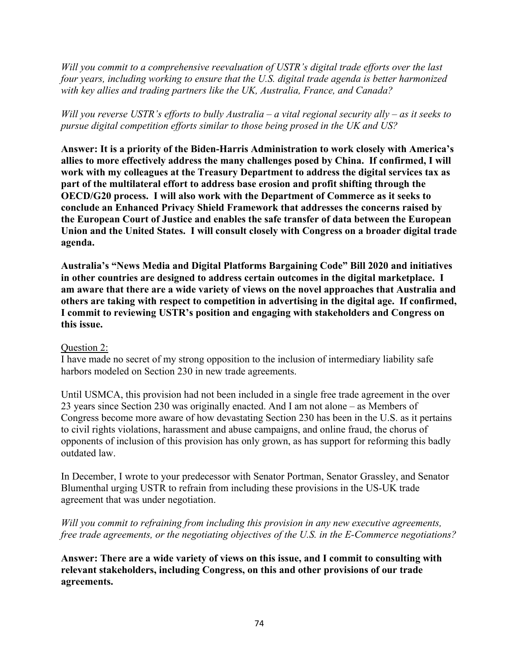*Will you commit to a comprehensive reevaluation of USTR's digital trade efforts over the last four years, including working to ensure that the U.S. digital trade agenda is better harmonized with key allies and trading partners like the UK, Australia, France, and Canada?*

# *Will you reverse USTR's efforts to bully Australia – a vital regional security ally – as it seeks to pursue digital competition efforts similar to those being prosed in the UK and US?*

**Answer: It is a priority of the Biden-Harris Administration to work closely with America's allies to more effectively address the many challenges posed by China. If confirmed, I will work with my colleagues at the Treasury Department to address the digital services tax as part of the multilateral effort to address base erosion and profit shifting through the OECD/G20 process. I will also work with the Department of Commerce as it seeks to conclude an Enhanced Privacy Shield Framework that addresses the concerns raised by the European Court of Justice and enables the safe transfer of data between the European Union and the United States. I will consult closely with Congress on a broader digital trade agenda.**

**Australia's "News Media and Digital Platforms Bargaining Code" Bill 2020 and initiatives in other countries are designed to address certain outcomes in the digital marketplace. I am aware that there are a wide variety of views on the novel approaches that Australia and others are taking with respect to competition in advertising in the digital age. If confirmed, I commit to reviewing USTR's position and engaging with stakeholders and Congress on this issue.**

### Question 2:

I have made no secret of my strong opposition to the inclusion of intermediary liability safe harbors modeled on Section 230 in new trade agreements.

Until USMCA, this provision had not been included in a single free trade agreement in the over 23 years since Section 230 was originally enacted. And I am not alone – as Members of Congress become more aware of how devastating Section 230 has been in the U.S. as it pertains to civil rights violations, harassment and abuse campaigns, and online fraud, the chorus of opponents of inclusion of this provision has only grown, as has support for reforming this badly outdated law.

In December, I wrote to your predecessor with Senator Portman, Senator Grassley, and Senator Blumenthal urging USTR to refrain from including these provisions in the US-UK trade agreement that was under negotiation.

# *Will you commit to refraining from including this provision in any new executive agreements, free trade agreements, or the negotiating objectives of the U.S. in the E-Commerce negotiations?*

**Answer: There are a wide variety of views on this issue, and I commit to consulting with relevant stakeholders, including Congress, on this and other provisions of our trade agreements.**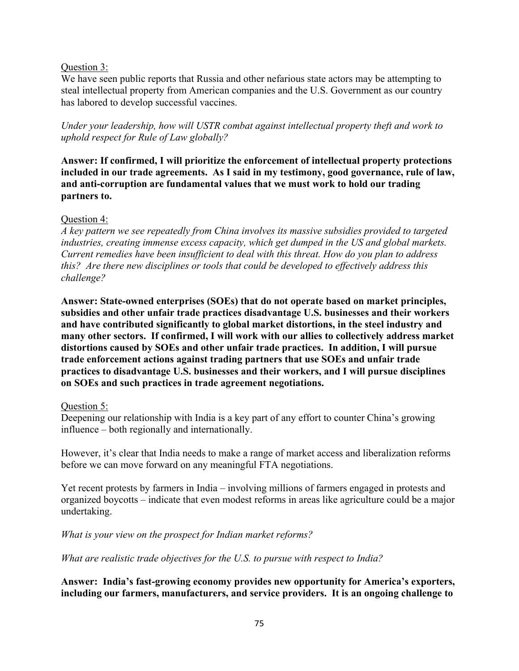## Question 3:

We have seen public reports that Russia and other nefarious state actors may be attempting to steal intellectual property from American companies and the U.S. Government as our country has labored to develop successful vaccines.

*Under your leadership, how will USTR combat against intellectual property theft and work to uphold respect for Rule of Law globally?*

**Answer: If confirmed, I will prioritize the enforcement of intellectual property protections included in our trade agreements. As I said in my testimony, good governance, rule of law, and anti-corruption are fundamental values that we must work to hold our trading partners to.** 

## Question 4:

*A key pattern we see repeatedly from China involves its massive subsidies provided to targeted industries, creating immense excess capacity, which get dumped in the US and global markets. Current remedies have been insufficient to deal with this threat. How do you plan to address this? Are there new disciplines or tools that could be developed to effectively address this challenge?*

**Answer: State-owned enterprises (SOEs) that do not operate based on market principles, subsidies and other unfair trade practices disadvantage U.S. businesses and their workers and have contributed significantly to global market distortions, in the steel industry and many other sectors. If confirmed, I will work with our allies to collectively address market distortions caused by SOEs and other unfair trade practices. In addition, I will pursue trade enforcement actions against trading partners that use SOEs and unfair trade practices to disadvantage U.S. businesses and their workers, and I will pursue disciplines on SOEs and such practices in trade agreement negotiations.**

### Question 5:

Deepening our relationship with India is a key part of any effort to counter China's growing influence – both regionally and internationally.

However, it's clear that India needs to make a range of market access and liberalization reforms before we can move forward on any meaningful FTA negotiations.

Yet recent protests by farmers in India – involving millions of farmers engaged in protests and organized boycotts – indicate that even modest reforms in areas like agriculture could be a major undertaking.

*What is your view on the prospect for Indian market reforms?* 

*What are realistic trade objectives for the U.S. to pursue with respect to India?*

**Answer: India's fast-growing economy provides new opportunity for America's exporters, including our farmers, manufacturers, and service providers. It is an ongoing challenge to**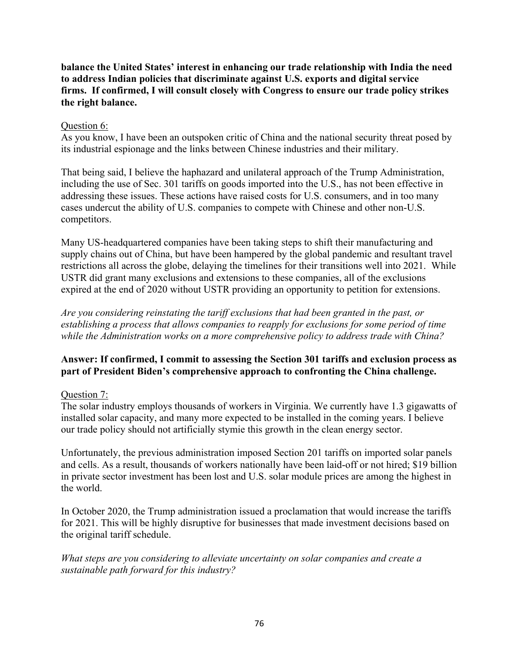# **balance the United States' interest in enhancing our trade relationship with India the need to address Indian policies that discriminate against U.S. exports and digital service firms. If confirmed, I will consult closely with Congress to ensure our trade policy strikes the right balance.**

## Question 6:

As you know, I have been an outspoken critic of China and the national security threat posed by its industrial espionage and the links between Chinese industries and their military.

That being said, I believe the haphazard and unilateral approach of the Trump Administration, including the use of Sec. 301 tariffs on goods imported into the U.S., has not been effective in addressing these issues. These actions have raised costs for U.S. consumers, and in too many cases undercut the ability of U.S. companies to compete with Chinese and other non-U.S. competitors.

Many US-headquartered companies have been taking steps to shift their manufacturing and supply chains out of China, but have been hampered by the global pandemic and resultant travel restrictions all across the globe, delaying the timelines for their transitions well into 2021. While USTR did grant many exclusions and extensions to these companies, all of the exclusions expired at the end of 2020 without USTR providing an opportunity to petition for extensions.

*Are you considering reinstating the tariff exclusions that had been granted in the past, or establishing a process that allows companies to reapply for exclusions for some period of time while the Administration works on a more comprehensive policy to address trade with China?*

# **Answer: If confirmed, I commit to assessing the Section 301 tariffs and exclusion process as part of President Biden's comprehensive approach to confronting the China challenge.**

### Question 7:

The solar industry employs thousands of workers in Virginia. We currently have 1.3 gigawatts of installed solar capacity, and many more expected to be installed in the coming years. I believe our trade policy should not artificially stymie this growth in the clean energy sector.

Unfortunately, the previous administration imposed Section 201 tariffs on imported solar panels and cells. As a result, thousands of workers nationally have been laid-off or not hired; \$19 billion in private sector investment has been lost and U.S. solar module prices are among the highest in the world.

In October 2020, the Trump administration issued a proclamation that would increase the tariffs for 2021. This will be highly disruptive for businesses that made investment decisions based on the original tariff schedule.

*What steps are you considering to alleviate uncertainty on solar companies and create a sustainable path forward for this industry?*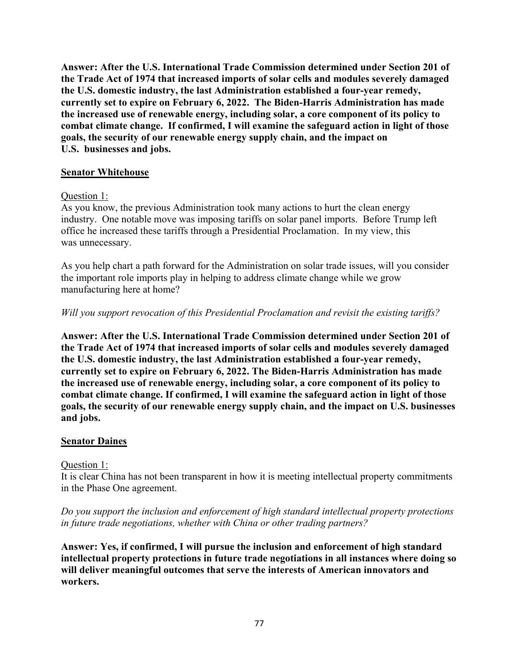**Answer: After the U.S. International Trade Commission determined under Section 201 of the Trade Act of 1974 that increased imports of solar cells and modules severely damaged the U.S. domestic industry, the last Administration established a four-year remedy, currently set to expire on February 6, 2022. The Biden-Harris Administration has made the increased use of renewable energy, including solar, a core component of its policy to combat climate change. If confirmed, I will examine the safeguard action in light of those goals, the security of our renewable energy supply chain, and the impact on U.S. businesses and jobs.**

### **Senator Whitehouse**

### Question 1:

As you know, the previous Administration took many actions to hurt the clean energy industry. One notable move was imposing tariffs on solar panel imports. Before Trump left office he increased these tariffs through a Presidential Proclamation. In my view, this was unnecessary.

As you help chart a path forward for the Administration on solar trade issues, will you consider the important role imports play in helping to address climate change while we grow manufacturing here at home?

### *Will you support revocation of this Presidential Proclamation and revisit the existing tariffs?*

**Answer: After the U.S. International Trade Commission determined under Section 201 of the Trade Act of 1974 that increased imports of solar cells and modules severely damaged the U.S. domestic industry, the last Administration established a four-year remedy, currently set to expire on February 6, 2022. The Biden-Harris Administration has made the increased use of renewable energy, including solar, a core component of its policy to combat climate change. If confirmed, I will examine the safeguard action in light of those goals, the security of our renewable energy supply chain, and the impact on U.S. businesses and jobs.**

### **Senator Daines**

### Question 1:

It is clear China has not been transparent in how it is meeting intellectual property commitments in the Phase One agreement.

## *Do you support the inclusion and enforcement of high standard intellectual property protections in future trade negotiations, whether with China or other trading partners?*

**Answer: Yes, if confirmed, I will pursue the inclusion and enforcement of high standard intellectual property protections in future trade negotiations in all instances where doing so will deliver meaningful outcomes that serve the interests of American innovators and workers.**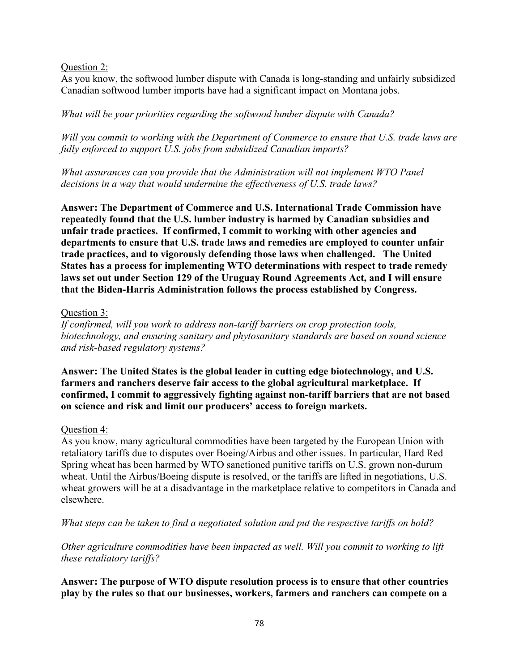Question 2:

As you know, the softwood lumber dispute with Canada is long-standing and unfairly subsidized Canadian softwood lumber imports have had a significant impact on Montana jobs.

*What will be your priorities regarding the softwood lumber dispute with Canada?* 

*Will you commit to working with the Department of Commerce to ensure that U.S. trade laws are fully enforced to support U.S. jobs from subsidized Canadian imports?* 

*What assurances can you provide that the Administration will not implement WTO Panel decisions in a way that would undermine the effectiveness of U.S. trade laws?*

**Answer: The Department of Commerce and U.S. International Trade Commission have repeatedly found that the U.S. lumber industry is harmed by Canadian subsidies and unfair trade practices. If confirmed, I commit to working with other agencies and departments to ensure that U.S. trade laws and remedies are employed to counter unfair trade practices, and to vigorously defending those laws when challenged. The United States has a process for implementing WTO determinations with respect to trade remedy laws set out under Section 129 of the Uruguay Round Agreements Act, and I will ensure that the Biden-Harris Administration follows the process established by Congress.**

## Question 3:

*If confirmed, will you work to address non-tariff barriers on crop protection tools, biotechnology, and ensuring sanitary and phytosanitary standards are based on sound science and risk-based regulatory systems?*

**Answer: The United States is the global leader in cutting edge biotechnology, and U.S. farmers and ranchers deserve fair access to the global agricultural marketplace. If confirmed, I commit to aggressively fighting against non-tariff barriers that are not based on science and risk and limit our producers' access to foreign markets.** 

# Question 4:

As you know, many agricultural commodities have been targeted by the European Union with retaliatory tariffs due to disputes over Boeing/Airbus and other issues. In particular, Hard Red Spring wheat has been harmed by WTO sanctioned punitive tariffs on U.S. grown non-durum wheat. Until the Airbus/Boeing dispute is resolved, or the tariffs are lifted in negotiations, U.S. wheat growers will be at a disadvantage in the marketplace relative to competitors in Canada and elsewhere.

*What steps can be taken to find a negotiated solution and put the respective tariffs on hold?* 

*Other agriculture commodities have been impacted as well. Will you commit to working to lift these retaliatory tariffs?*

**Answer: The purpose of WTO dispute resolution process is to ensure that other countries play by the rules so that our businesses, workers, farmers and ranchers can compete on a**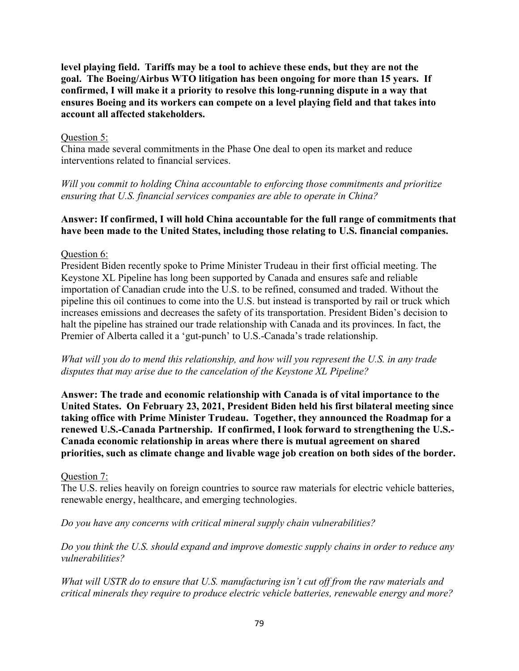**level playing field. Tariffs may be a tool to achieve these ends, but they are not the goal. The Boeing/Airbus WTO litigation has been ongoing for more than 15 years. If confirmed, I will make it a priority to resolve this long-running dispute in a way that ensures Boeing and its workers can compete on a level playing field and that takes into account all affected stakeholders.** 

### Question 5:

China made several commitments in the Phase One deal to open its market and reduce interventions related to financial services.

*Will you commit to holding China accountable to enforcing those commitments and prioritize ensuring that U.S. financial services companies are able to operate in China?*

### **Answer: If confirmed, I will hold China accountable for the full range of commitments that have been made to the United States, including those relating to U.S. financial companies.**

#### Question 6:

President Biden recently spoke to Prime Minister Trudeau in their first official meeting. The Keystone XL Pipeline has long been supported by Canada and ensures safe and reliable importation of Canadian crude into the U.S. to be refined, consumed and traded. Without the pipeline this oil continues to come into the U.S. but instead is transported by rail or truck which increases emissions and decreases the safety of its transportation. President Biden's decision to halt the pipeline has strained our trade relationship with Canada and its provinces. In fact, the Premier of Alberta called it a 'gut-punch' to U.S.-Canada's trade relationship.

*What will you do to mend this relationship, and how will you represent the U.S. in any trade disputes that may arise due to the cancelation of the Keystone XL Pipeline?*

**Answer: The trade and economic relationship with Canada is of vital importance to the United States. On February 23, 2021, President Biden held his first bilateral meeting since taking office with Prime Minister Trudeau. Together, they announced the Roadmap for a renewed U.S.-Canada Partnership. If confirmed, I look forward to strengthening the U.S.- Canada economic relationship in areas where there is mutual agreement on shared priorities, such as climate change and livable wage job creation on both sides of the border.**

### Question 7:

The U.S. relies heavily on foreign countries to source raw materials for electric vehicle batteries, renewable energy, healthcare, and emerging technologies.

*Do you have any concerns with critical mineral supply chain vulnerabilities?* 

*Do you think the U.S. should expand and improve domestic supply chains in order to reduce any vulnerabilities?* 

*What will USTR do to ensure that U.S. manufacturing isn't cut off from the raw materials and critical minerals they require to produce electric vehicle batteries, renewable energy and more?*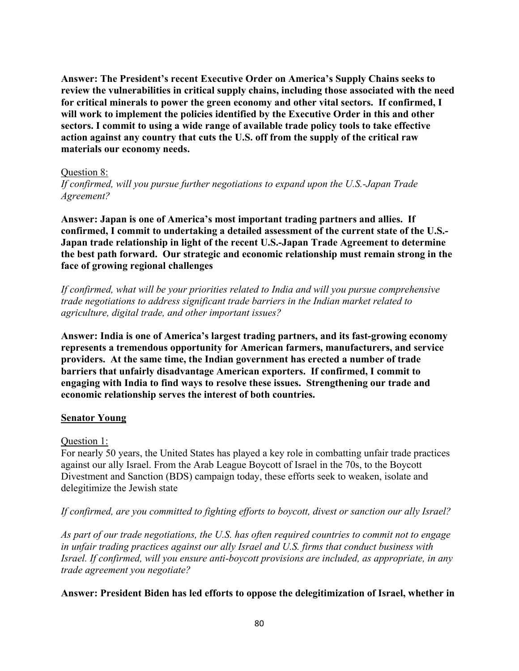**Answer: The President's recent Executive Order on America's Supply Chains seeks to review the vulnerabilities in critical supply chains, including those associated with the need for critical minerals to power the green economy and other vital sectors. If confirmed, I will work to implement the policies identified by the Executive Order in this and other sectors. I commit to using a wide range of available trade policy tools to take effective action against any country that cuts the U.S. off from the supply of the critical raw materials our economy needs.**

#### Question 8:

*If confirmed, will you pursue further negotiations to expand upon the U.S.-Japan Trade Agreement?* 

**Answer: Japan is one of America's most important trading partners and allies. If confirmed, I commit to undertaking a detailed assessment of the current state of the U.S.- Japan trade relationship in light of the recent U.S.-Japan Trade Agreement to determine the best path forward. Our strategic and economic relationship must remain strong in the face of growing regional challenges**

*If confirmed, what will be your priorities related to India and will you pursue comprehensive trade negotiations to address significant trade barriers in the Indian market related to agriculture, digital trade, and other important issues?* 

**Answer: India is one of America's largest trading partners, and its fast-growing economy represents a tremendous opportunity for American farmers, manufacturers, and service providers. At the same time, the Indian government has erected a number of trade barriers that unfairly disadvantage American exporters. If confirmed, I commit to engaging with India to find ways to resolve these issues. Strengthening our trade and economic relationship serves the interest of both countries.**

### **Senator Young**

### Question 1:

For nearly 50 years, the United States has played a key role in combatting unfair trade practices against our ally Israel. From the Arab League Boycott of Israel in the 70s, to the Boycott Divestment and Sanction (BDS) campaign today, these efforts seek to weaken, isolate and delegitimize the Jewish state

### *If confirmed, are you committed to fighting efforts to boycott, divest or sanction our ally Israel?*

*As part of our trade negotiations, the U.S. has often required countries to commit not to engage in unfair trading practices against our ally Israel and U.S. firms that conduct business with Israel. If confirmed, will you ensure anti-boycott provisions are included, as appropriate, in any trade agreement you negotiate?*

### **Answer: President Biden has led efforts to oppose the delegitimization of Israel, whether in**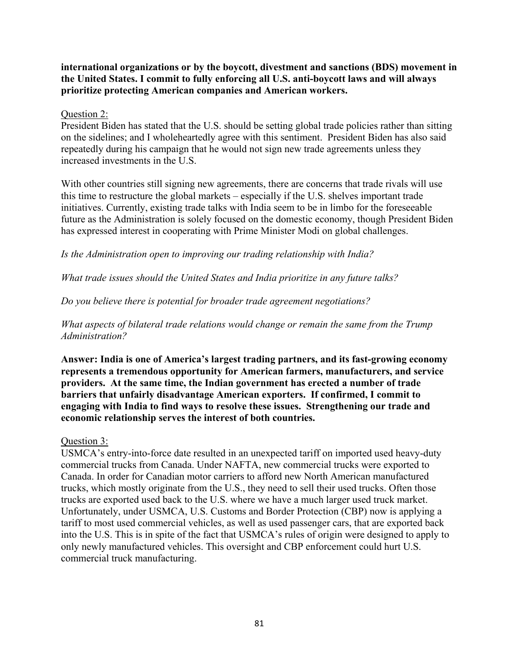**international organizations or by the boycott, divestment and sanctions (BDS) movement in the United States. I commit to fully enforcing all U.S. anti-boycott laws and will always prioritize protecting American companies and American workers.**

Question 2:

President Biden has stated that the U.S. should be setting global trade policies rather than sitting on the sidelines; and I wholeheartedly agree with this sentiment. President Biden has also said repeatedly during his campaign that he would not sign new trade agreements unless they increased investments in the U.S.

With other countries still signing new agreements, there are concerns that trade rivals will use this time to restructure the global markets – especially if the U.S. shelves important trade initiatives. Currently, existing trade talks with India seem to be in limbo for the foreseeable future as the Administration is solely focused on the domestic economy, though President Biden has expressed interest in cooperating with Prime Minister Modi on global challenges.

*Is the Administration open to improving our trading relationship with India?* 

*What trade issues should the United States and India prioritize in any future talks?* 

*Do you believe there is potential for broader trade agreement negotiations?*

*What aspects of bilateral trade relations would change or remain the same from the Trump Administration?* 

**Answer: India is one of America's largest trading partners, and its fast-growing economy represents a tremendous opportunity for American farmers, manufacturers, and service providers. At the same time, the Indian government has erected a number of trade barriers that unfairly disadvantage American exporters. If confirmed, I commit to engaging with India to find ways to resolve these issues. Strengthening our trade and economic relationship serves the interest of both countries.**

# Question 3:

USMCA's entry-into-force date resulted in an unexpected tariff on imported used heavy-duty commercial trucks from Canada. Under NAFTA, new commercial trucks were exported to Canada. In order for Canadian motor carriers to afford new North American manufactured trucks, which mostly originate from the U.S., they need to sell their used trucks. Often those trucks are exported used back to the U.S. where we have a much larger used truck market. Unfortunately, under USMCA, U.S. Customs and Border Protection (CBP) now is applying a tariff to most used commercial vehicles, as well as used passenger cars, that are exported back into the U.S. This is in spite of the fact that USMCA's rules of origin were designed to apply to only newly manufactured vehicles. This oversight and CBP enforcement could hurt U.S. commercial truck manufacturing.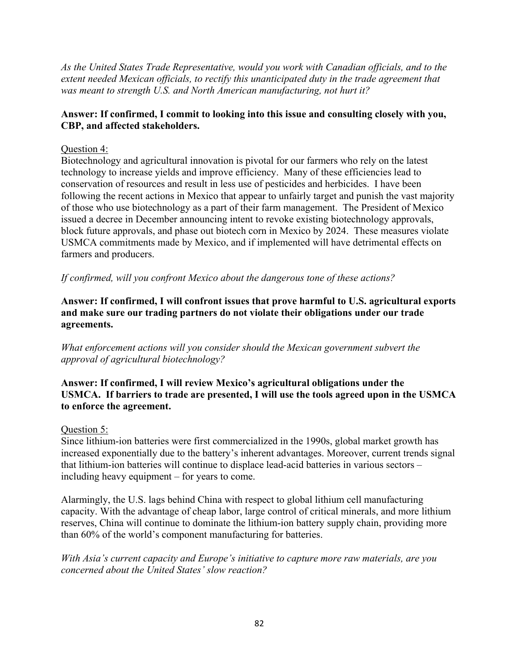*As the United States Trade Representative, would you work with Canadian officials, and to the extent needed Mexican officials, to rectify this unanticipated duty in the trade agreement that was meant to strength U.S. and North American manufacturing, not hurt it?*

# **Answer: If confirmed, I commit to looking into this issue and consulting closely with you, CBP, and affected stakeholders.**

# Question 4:

Biotechnology and agricultural innovation is pivotal for our farmers who rely on the latest technology to increase yields and improve efficiency. Many of these efficiencies lead to conservation of resources and result in less use of pesticides and herbicides. I have been following the recent actions in Mexico that appear to unfairly target and punish the vast majority of those who use biotechnology as a part of their farm management. The President of Mexico issued a decree in December announcing intent to revoke existing biotechnology approvals, block future approvals, and phase out biotech corn in Mexico by 2024. These measures violate USMCA commitments made by Mexico, and if implemented will have detrimental effects on farmers and producers.

*If confirmed, will you confront Mexico about the dangerous tone of these actions?*

**Answer: If confirmed, I will confront issues that prove harmful to U.S. agricultural exports and make sure our trading partners do not violate their obligations under our trade agreements.**

*What enforcement actions will you consider should the Mexican government subvert the approval of agricultural biotechnology?*

**Answer: If confirmed, I will review Mexico's agricultural obligations under the USMCA. If barriers to trade are presented, I will use the tools agreed upon in the USMCA to enforce the agreement.**

# Question 5:

Since lithium-ion batteries were first commercialized in the 1990s, global market growth has increased exponentially due to the battery's inherent advantages. Moreover, current trends signal that lithium-ion batteries will continue to displace lead-acid batteries in various sectors – including heavy equipment – for years to come.

Alarmingly, the U.S. lags behind China with respect to global lithium cell manufacturing capacity. With the advantage of cheap labor, large control of critical minerals, and more lithium reserves, China will continue to dominate the lithium-ion battery supply chain, providing more than 60% of the world's component manufacturing for batteries.

*With Asia's current capacity and Europe's initiative to capture more raw materials, are you concerned about the United States' slow reaction?*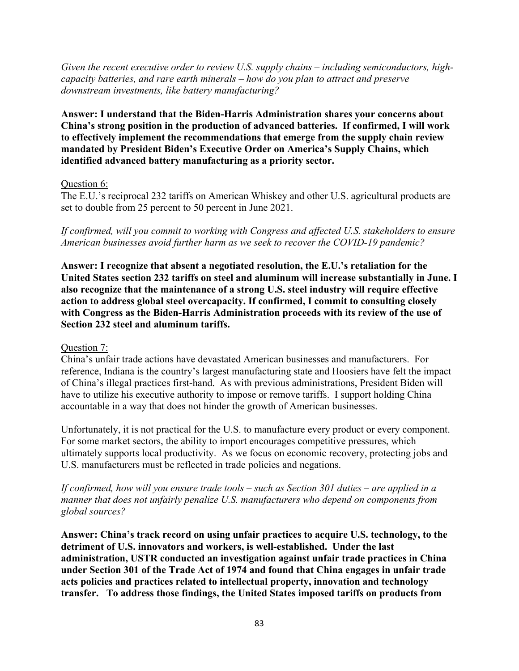*Given the recent executive order to review U.S. supply chains – including semiconductors, highcapacity batteries, and rare earth minerals – how do you plan to attract and preserve downstream investments, like battery manufacturing?*

**Answer: I understand that the Biden-Harris Administration shares your concerns about China's strong position in the production of advanced batteries. If confirmed, I will work to effectively implement the recommendations that emerge from the supply chain review mandated by President Biden's Executive Order on America's Supply Chains, which identified advanced battery manufacturing as a priority sector.**

### Question 6:

The E.U.'s reciprocal 232 tariffs on American Whiskey and other U.S. agricultural products are set to double from 25 percent to 50 percent in June 2021.

*If confirmed, will you commit to working with Congress and affected U.S. stakeholders to ensure American businesses avoid further harm as we seek to recover the COVID-19 pandemic?*

**Answer: I recognize that absent a negotiated resolution, the E.U.'s retaliation for the United States section 232 tariffs on steel and aluminum will increase substantially in June. I also recognize that the maintenance of a strong U.S. steel industry will require effective action to address global steel overcapacity. If confirmed, I commit to consulting closely with Congress as the Biden-Harris Administration proceeds with its review of the use of Section 232 steel and aluminum tariffs.** 

### Question 7:

China's unfair trade actions have devastated American businesses and manufacturers. For reference, Indiana is the country's largest manufacturing state and Hoosiers have felt the impact of China's illegal practices first-hand. As with previous administrations, President Biden will have to utilize his executive authority to impose or remove tariffs. I support holding China accountable in a way that does not hinder the growth of American businesses.

Unfortunately, it is not practical for the U.S. to manufacture every product or every component. For some market sectors, the ability to import encourages competitive pressures, which ultimately supports local productivity. As we focus on economic recovery, protecting jobs and U.S. manufacturers must be reflected in trade policies and negations.

*If confirmed, how will you ensure trade tools – such as Section 301 duties – are applied in a manner that does not unfairly penalize U.S. manufacturers who depend on components from global sources?*

**Answer: China's track record on using unfair practices to acquire U.S. technology, to the detriment of U.S. innovators and workers, is well-established. Under the last administration, USTR conducted an investigation against unfair trade practices in China under Section 301 of the Trade Act of 1974 and found that China engages in unfair trade acts policies and practices related to intellectual property, innovation and technology transfer. To address those findings, the United States imposed tariffs on products from**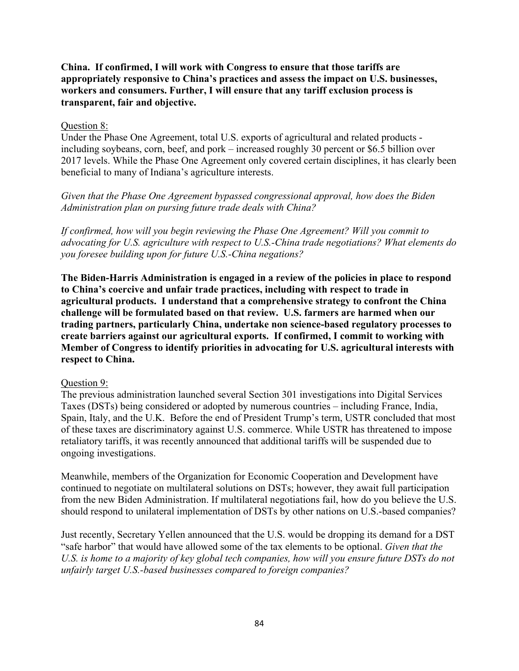**China. If confirmed, I will work with Congress to ensure that those tariffs are appropriately responsive to China's practices and assess the impact on U.S. businesses, workers and consumers. Further, I will ensure that any tariff exclusion process is transparent, fair and objective.**

## Question 8:

Under the Phase One Agreement, total U.S. exports of agricultural and related products including soybeans, corn, beef, and pork – increased roughly 30 percent or \$6.5 billion over 2017 levels. While the Phase One Agreement only covered certain disciplines, it has clearly been beneficial to many of Indiana's agriculture interests.

*Given that the Phase One Agreement bypassed congressional approval, how does the Biden Administration plan on pursing future trade deals with China?* 

*If confirmed, how will you begin reviewing the Phase One Agreement? Will you commit to advocating for U.S. agriculture with respect to U.S.-China trade negotiations? What elements do you foresee building upon for future U.S.-China negations?*

**The Biden-Harris Administration is engaged in a review of the policies in place to respond to China's coercive and unfair trade practices, including with respect to trade in agricultural products. I understand that a comprehensive strategy to confront the China challenge will be formulated based on that review. U.S. farmers are harmed when our trading partners, particularly China, undertake non science-based regulatory processes to create barriers against our agricultural exports. If confirmed, I commit to working with Member of Congress to identify priorities in advocating for U.S. agricultural interests with respect to China.**

### Question 9:

The previous administration launched several Section 301 investigations into Digital Services Taxes (DSTs) being considered or adopted by numerous countries – including France, India, Spain, Italy, and the U.K. Before the end of President Trump's term, USTR concluded that most of these taxes are discriminatory against U.S. commerce. While USTR has threatened to impose retaliatory tariffs, it was recently announced that additional tariffs will be suspended due to ongoing investigations.

Meanwhile, members of the Organization for Economic Cooperation and Development have continued to negotiate on multilateral solutions on DSTs; however, they await full participation from the new Biden Administration. If multilateral negotiations fail, how do you believe the U.S. should respond to unilateral implementation of DSTs by other nations on U.S.-based companies?

Just recently, Secretary Yellen announced that the U.S. would be dropping its demand for a DST "safe harbor" that would have allowed some of the tax elements to be optional. *Given that the U.S. is home to a majority of key global tech companies, how will you ensure future DSTs do not unfairly target U.S.-based businesses compared to foreign companies?*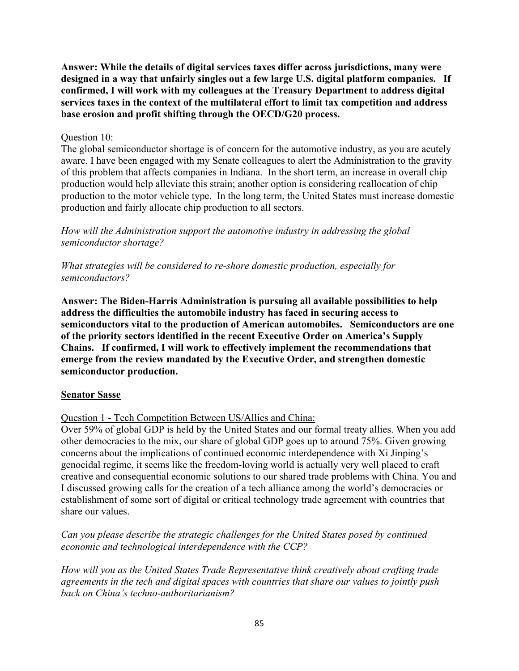**Answer: While the details of digital services taxes differ across jurisdictions, many were designed in a way that unfairly singles out a few large U.S. digital platform companies. If confirmed, I will work with my colleagues at the Treasury Department to address digital services taxes in the context of the multilateral effort to limit tax competition and address base erosion and profit shifting through the OECD/G20 process.**

### Question 10:

The global semiconductor shortage is of concern for the automotive industry, as you are acutely aware. I have been engaged with my Senate colleagues to alert the Administration to the gravity of this problem that affects companies in Indiana. In the short term, an increase in overall chip production would help alleviate this strain; another option is considering reallocation of chip production to the motor vehicle type. In the long term, the United States must increase domestic production and fairly allocate chip production to all sectors.

*How will the Administration support the automotive industry in addressing the global semiconductor shortage?*

*What strategies will be considered to re-shore domestic production, especially for semiconductors?*

**Answer: The Biden-Harris Administration is pursuing all available possibilities to help address the difficulties the automobile industry has faced in securing access to semiconductors vital to the production of American automobiles. Semiconductors are one of the priority sectors identified in the recent Executive Order on America's Supply Chains. If confirmed, I will work to effectively implement the recommendations that emerge from the review mandated by the Executive Order, and strengthen domestic semiconductor production.**

### **Senator Sasse**

Question 1 - Tech Competition Between US/Allies and China:

Over 59% of global GDP is held by the United States and our formal treaty allies. When you add other democracies to the mix, our share of global GDP goes up to around 75%. Given growing concerns about the implications of continued economic interdependence with Xi Jinping's genocidal regime, it seems like the freedom-loving world is actually very well placed to craft creative and consequential economic solutions to our shared trade problems with China. You and I discussed growing calls for the creation of a tech alliance among the world's democracies or establishment of some sort of digital or critical technology trade agreement with countries that share our values.

*Can you please describe the strategic challenges for the United States posed by continued economic and technological interdependence with the CCP?* 

*How will you as the United States Trade Representative think creatively about crafting trade agreements in the tech and digital spaces with countries that share our values to jointly push back on China's techno-authoritarianism?*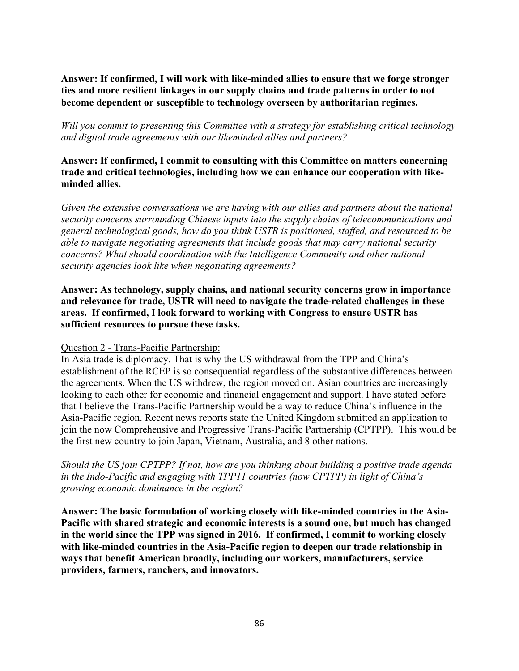**Answer: If confirmed, I will work with like-minded allies to ensure that we forge stronger ties and more resilient linkages in our supply chains and trade patterns in order to not become dependent or susceptible to technology overseen by authoritarian regimes.**

*Will you commit to presenting this Committee with a strategy for establishing critical technology and digital trade agreements with our likeminded allies and partners?* 

## **Answer: If confirmed, I commit to consulting with this Committee on matters concerning trade and critical technologies, including how we can enhance our cooperation with likeminded allies.**

*Given the extensive conversations we are having with our allies and partners about the national security concerns surrounding Chinese inputs into the supply chains of telecommunications and general technological goods, how do you think USTR is positioned, staffed, and resourced to be able to navigate negotiating agreements that include goods that may carry national security concerns? What should coordination with the Intelligence Community and other national security agencies look like when negotiating agreements?* 

**Answer: As technology, supply chains, and national security concerns grow in importance and relevance for trade, USTR will need to navigate the trade-related challenges in these areas. If confirmed, I look forward to working with Congress to ensure USTR has sufficient resources to pursue these tasks.**

### Question 2 - Trans-Pacific Partnership:

In Asia trade is diplomacy. That is why the US withdrawal from the TPP and China's establishment of the RCEP is so consequential regardless of the substantive differences between the agreements. When the US withdrew, the region moved on. Asian countries are increasingly looking to each other for economic and financial engagement and support. I have stated before that I believe the Trans-Pacific Partnership would be a way to reduce China's influence in the Asia-Pacific region. Recent news reports state the United Kingdom submitted an application to join the now Comprehensive and Progressive Trans-Pacific Partnership (CPTPP). This would be the first new country to join Japan, Vietnam, Australia, and 8 other nations.

*Should the US join CPTPP? If not, how are you thinking about building a positive trade agenda in the Indo-Pacific and engaging with TPP11 countries (now CPTPP) in light of China's growing economic dominance in the region?*

**Answer: The basic formulation of working closely with like-minded countries in the Asia-Pacific with shared strategic and economic interests is a sound one, but much has changed in the world since the TPP was signed in 2016. If confirmed, I commit to working closely with like-minded countries in the Asia-Pacific region to deepen our trade relationship in ways that benefit American broadly, including our workers, manufacturers, service providers, farmers, ranchers, and innovators.**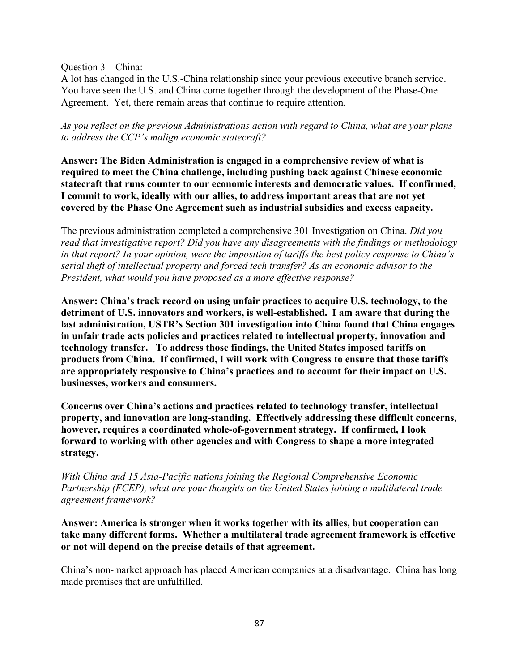Question 3 – China:

A lot has changed in the U.S.-China relationship since your previous executive branch service. You have seen the U.S. and China come together through the development of the Phase-One Agreement. Yet, there remain areas that continue to require attention.

*As you reflect on the previous Administrations action with regard to China, what are your plans to address the CCP's malign economic statecraft?* 

**Answer: The Biden Administration is engaged in a comprehensive review of what is required to meet the China challenge, including pushing back against Chinese economic statecraft that runs counter to our economic interests and democratic values. If confirmed, I commit to work, ideally with our allies, to address important areas that are not yet covered by the Phase One Agreement such as industrial subsidies and excess capacity.**

The previous administration completed a comprehensive 301 Investigation on China. *Did you read that investigative report? Did you have any disagreements with the findings or methodology in that report? In your opinion, were the imposition of tariffs the best policy response to China's serial theft of intellectual property and forced tech transfer? As an economic advisor to the President, what would you have proposed as a more effective response?* 

**Answer: China's track record on using unfair practices to acquire U.S. technology, to the detriment of U.S. innovators and workers, is well-established. I am aware that during the last administration, USTR's Section 301 investigation into China found that China engages in unfair trade acts policies and practices related to intellectual property, innovation and technology transfer. To address those findings, the United States imposed tariffs on products from China. If confirmed, I will work with Congress to ensure that those tariffs are appropriately responsive to China's practices and to account for their impact on U.S. businesses, workers and consumers.**

**Concerns over China's actions and practices related to technology transfer, intellectual property, and innovation are long-standing. Effectively addressing these difficult concerns, however, requires a coordinated whole-of-government strategy. If confirmed, I look forward to working with other agencies and with Congress to shape a more integrated strategy.**

*With China and 15 Asia-Pacific nations joining the Regional Comprehensive Economic Partnership (FCEP), what are your thoughts on the United States joining a multilateral trade agreement framework?*

**Answer: America is stronger when it works together with its allies, but cooperation can take many different forms. Whether a multilateral trade agreement framework is effective or not will depend on the precise details of that agreement.**

China's non-market approach has placed American companies at a disadvantage. China has long made promises that are unfulfilled.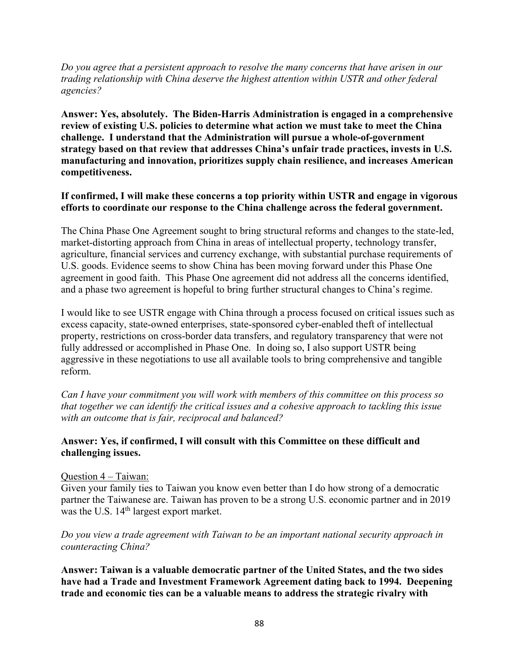*Do you agree that a persistent approach to resolve the many concerns that have arisen in our trading relationship with China deserve the highest attention within USTR and other federal agencies?* 

**Answer: Yes, absolutely. The Biden-Harris Administration is engaged in a comprehensive review of existing U.S. policies to determine what action we must take to meet the China challenge. I understand that the Administration will pursue a whole-of-government strategy based on that review that addresses China's unfair trade practices, invests in U.S. manufacturing and innovation, prioritizes supply chain resilience, and increases American competitiveness.**

### **If confirmed, I will make these concerns a top priority within USTR and engage in vigorous efforts to coordinate our response to the China challenge across the federal government.**

The China Phase One Agreement sought to bring structural reforms and changes to the state-led, market-distorting approach from China in areas of intellectual property, technology transfer, agriculture, financial services and currency exchange, with substantial purchase requirements of U.S. goods. Evidence seems to show China has been moving forward under this Phase One agreement in good faith. This Phase One agreement did not address all the concerns identified, and a phase two agreement is hopeful to bring further structural changes to China's regime.

I would like to see USTR engage with China through a process focused on critical issues such as excess capacity, state-owned enterprises, state-sponsored cyber-enabled theft of intellectual property, restrictions on cross-border data transfers, and regulatory transparency that were not fully addressed or accomplished in Phase One. In doing so, I also support USTR being aggressive in these negotiations to use all available tools to bring comprehensive and tangible reform.

*Can I have your commitment you will work with members of this committee on this process so that together we can identify the critical issues and a cohesive approach to tackling this issue with an outcome that is fair, reciprocal and balanced?* 

## **Answer: Yes, if confirmed, I will consult with this Committee on these difficult and challenging issues.**

### Question 4 – Taiwan:

Given your family ties to Taiwan you know even better than I do how strong of a democratic partner the Taiwanese are. Taiwan has proven to be a strong U.S. economic partner and in 2019 was the U.S. 14<sup>th</sup> largest export market.

### *Do you view a trade agreement with Taiwan to be an important national security approach in counteracting China?*

**Answer: Taiwan is a valuable democratic partner of the United States, and the two sides have had a Trade and Investment Framework Agreement dating back to 1994. Deepening trade and economic ties can be a valuable means to address the strategic rivalry with**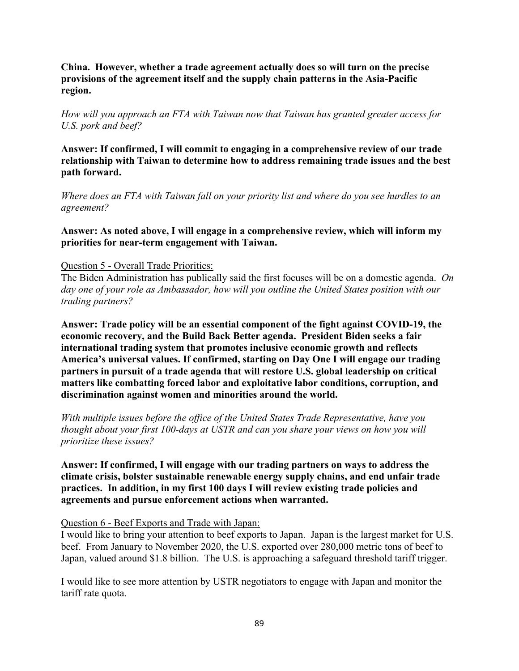**China. However, whether a trade agreement actually does so will turn on the precise provisions of the agreement itself and the supply chain patterns in the Asia-Pacific region.**

*How will you approach an FTA with Taiwan now that Taiwan has granted greater access for U.S. pork and beef?* 

**Answer: If confirmed, I will commit to engaging in a comprehensive review of our trade relationship with Taiwan to determine how to address remaining trade issues and the best path forward.** 

*Where does an FTA with Taiwan fall on your priority list and where do you see hurdles to an agreement?*

**Answer: As noted above, I will engage in a comprehensive review, which will inform my priorities for near-term engagement with Taiwan.**

### Question 5 - Overall Trade Priorities:

The Biden Administration has publically said the first focuses will be on a domestic agenda. *On day one of your role as Ambassador, how will you outline the United States position with our trading partners?*

**Answer: Trade policy will be an essential component of the fight against COVID-19, the economic recovery, and the Build Back Better agenda. President Biden seeks a fair international trading system that promotes inclusive economic growth and reflects America's universal values. If confirmed, starting on Day One I will engage our trading partners in pursuit of a trade agenda that will restore U.S. global leadership on critical matters like combatting forced labor and exploitative labor conditions, corruption, and discrimination against women and minorities around the world.**

*With multiple issues before the office of the United States Trade Representative, have you thought about your first 100-days at USTR and can you share your views on how you will prioritize these issues?*

**Answer: If confirmed, I will engage with our trading partners on ways to address the climate crisis, bolster sustainable renewable energy supply chains, and end unfair trade practices. In addition, in my first 100 days I will review existing trade policies and agreements and pursue enforcement actions when warranted.**

### Question 6 - Beef Exports and Trade with Japan:

I would like to bring your attention to beef exports to Japan. Japan is the largest market for U.S. beef. From January to November 2020, the U.S. exported over 280,000 metric tons of beef to Japan, valued around \$1.8 billion. The U.S. is approaching a safeguard threshold tariff trigger.

I would like to see more attention by USTR negotiators to engage with Japan and monitor the tariff rate quota.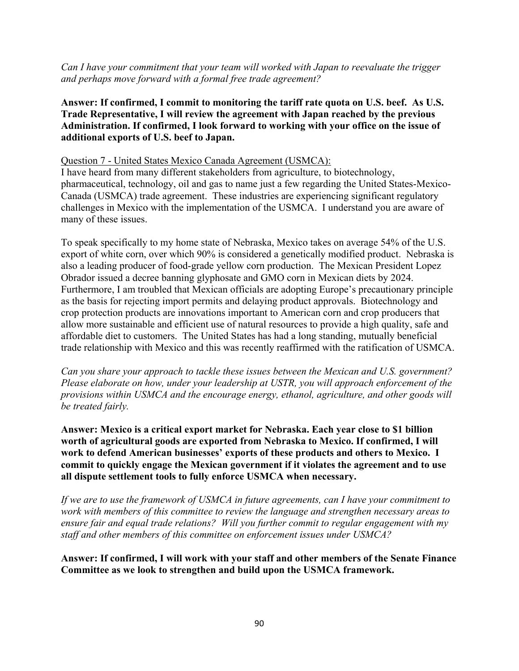*Can I have your commitment that your team will worked with Japan to reevaluate the trigger and perhaps move forward with a formal free trade agreement?* 

**Answer: If confirmed, I commit to monitoring the tariff rate quota on U.S. beef. As U.S. Trade Representative, I will review the agreement with Japan reached by the previous Administration. If confirmed, I look forward to working with your office on the issue of additional exports of U.S. beef to Japan.**

### Question 7 - United States Mexico Canada Agreement (USMCA):

I have heard from many different stakeholders from agriculture, to biotechnology, pharmaceutical, technology, oil and gas to name just a few regarding the United States-Mexico-Canada (USMCA) trade agreement. These industries are experiencing significant regulatory challenges in Mexico with the implementation of the USMCA. I understand you are aware of many of these issues.

To speak specifically to my home state of Nebraska, Mexico takes on average 54% of the U.S. export of white corn, over which 90% is considered a genetically modified product. Nebraska is also a leading producer of food-grade yellow corn production. The Mexican President Lopez Obrador issued a decree banning glyphosate and GMO corn in Mexican diets by 2024. Furthermore, I am troubled that Mexican officials are adopting Europe's precautionary principle as the basis for rejecting import permits and delaying product approvals. Biotechnology and crop protection products are innovations important to American corn and crop producers that allow more sustainable and efficient use of natural resources to provide a high quality, safe and affordable diet to customers. The United States has had a long standing, mutually beneficial trade relationship with Mexico and this was recently reaffirmed with the ratification of USMCA.

*Can you share your approach to tackle these issues between the Mexican and U.S. government? Please elaborate on how, under your leadership at USTR, you will approach enforcement of the provisions within USMCA and the encourage energy, ethanol, agriculture, and other goods will be treated fairly.* 

**Answer: Mexico is a critical export market for Nebraska. Each year close to \$1 billion worth of agricultural goods are exported from Nebraska to Mexico. If confirmed, I will work to defend American businesses' exports of these products and others to Mexico. I commit to quickly engage the Mexican government if it violates the agreement and to use all dispute settlement tools to fully enforce USMCA when necessary.** 

*If we are to use the framework of USMCA in future agreements, can I have your commitment to work with members of this committee to review the language and strengthen necessary areas to ensure fair and equal trade relations? Will you further commit to regular engagement with my staff and other members of this committee on enforcement issues under USMCA?*

**Answer: If confirmed, I will work with your staff and other members of the Senate Finance Committee as we look to strengthen and build upon the USMCA framework.**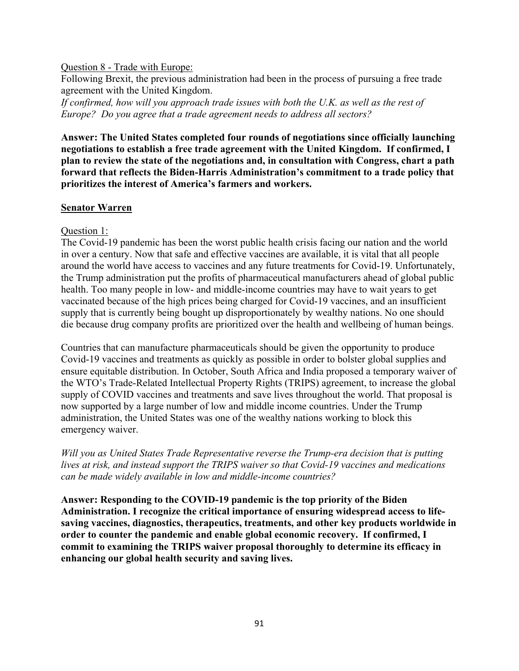#### Question 8 - Trade with Europe:

Following Brexit, the previous administration had been in the process of pursuing a free trade agreement with the United Kingdom.

*If confirmed, how will you approach trade issues with both the U.K. as well as the rest of Europe? Do you agree that a trade agreement needs to address all sectors?*

**Answer: The United States completed four rounds of negotiations since officially launching negotiations to establish a free trade agreement with the United Kingdom. If confirmed, I plan to review the state of the negotiations and, in consultation with Congress, chart a path forward that reflects the Biden-Harris Administration's commitment to a trade policy that prioritizes the interest of America's farmers and workers.**

### **Senator Warren**

### Question 1:

The Covid-19 pandemic has been the worst public health crisis facing our nation and the world in over a century. Now that safe and effective vaccines are available, it is vital that all people around the world have access to vaccines and any future treatments for Covid-19. Unfortunately, the Trump administration put the profits of pharmaceutical manufacturers ahead of global public health. Too many people in low- and middle-income countries may have to wait years to get vaccinated because of the high prices being charged for Covid-19 vaccines, and an insufficient supply that is currently being bought up disproportionately by wealthy nations. No one should die because drug company profits are prioritized over the health and wellbeing of human beings.

Countries that can manufacture pharmaceuticals should be given the opportunity to produce Covid-19 vaccines and treatments as quickly as possible in order to bolster global supplies and ensure equitable distribution. In October, South Africa and India proposed a temporary waiver of the WTO's Trade-Related Intellectual Property Rights (TRIPS) agreement, to increase the global supply of COVID vaccines and treatments and save lives throughout the world. That proposal is now supported by a large number of low and middle income countries. Under the Trump administration, the United States was one of the wealthy nations working to block this emergency waiver.

*Will you as United States Trade Representative reverse the Trump-era decision that is putting lives at risk, and instead support the TRIPS waiver so that Covid-19 vaccines and medications can be made widely available in low and middle-income countries?*

**Answer: Responding to the COVID-19 pandemic is the top priority of the Biden Administration. I recognize the critical importance of ensuring widespread access to lifesaving vaccines, diagnostics, therapeutics, treatments, and other key products worldwide in order to counter the pandemic and enable global economic recovery. If confirmed, I commit to examining the TRIPS waiver proposal thoroughly to determine its efficacy in enhancing our global health security and saving lives.**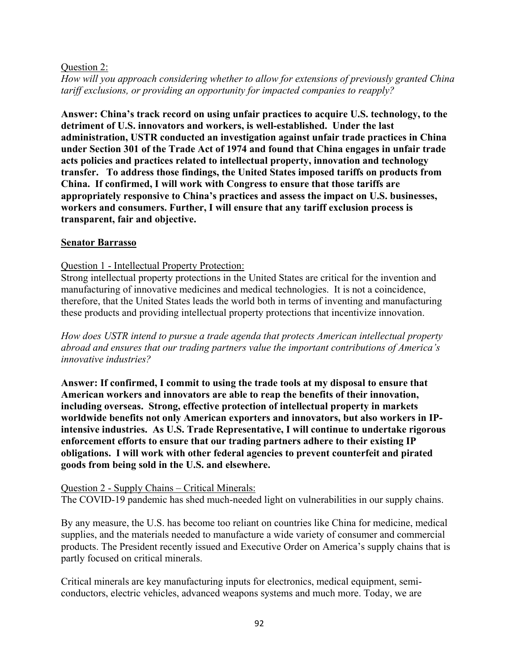### Question 2:

*How will you approach considering whether to allow for extensions of previously granted China tariff exclusions, or providing an opportunity for impacted companies to reapply?*

**Answer: China's track record on using unfair practices to acquire U.S. technology, to the detriment of U.S. innovators and workers, is well-established. Under the last administration, USTR conducted an investigation against unfair trade practices in China under Section 301 of the Trade Act of 1974 and found that China engages in unfair trade acts policies and practices related to intellectual property, innovation and technology transfer. To address those findings, the United States imposed tariffs on products from China. If confirmed, I will work with Congress to ensure that those tariffs are appropriately responsive to China's practices and assess the impact on U.S. businesses, workers and consumers. Further, I will ensure that any tariff exclusion process is transparent, fair and objective.**

### **Senator Barrasso**

## Question 1 - Intellectual Property Protection:

Strong intellectual property protections in the United States are critical for the invention and manufacturing of innovative medicines and medical technologies. It is not a coincidence, therefore, that the United States leads the world both in terms of inventing and manufacturing these products and providing intellectual property protections that incentivize innovation.

*How does USTR intend to pursue a trade agenda that protects American intellectual property abroad and ensures that our trading partners value the important contributions of America's innovative industries?*

**Answer: If confirmed, I commit to using the trade tools at my disposal to ensure that American workers and innovators are able to reap the benefits of their innovation, including overseas. Strong, effective protection of intellectual property in markets worldwide benefits not only American exporters and innovators, but also workers in IPintensive industries. As U.S. Trade Representative, I will continue to undertake rigorous enforcement efforts to ensure that our trading partners adhere to their existing IP obligations. I will work with other federal agencies to prevent counterfeit and pirated goods from being sold in the U.S. and elsewhere.**

### Question 2 - Supply Chains – Critical Minerals:

The COVID-19 pandemic has shed much-needed light on vulnerabilities in our supply chains.

By any measure, the U.S. has become too reliant on countries like China for medicine, medical supplies, and the materials needed to manufacture a wide variety of consumer and commercial products. The President recently issued and Executive Order on America's supply chains that is partly focused on critical minerals.

Critical minerals are key manufacturing inputs for electronics, medical equipment, semiconductors, electric vehicles, advanced weapons systems and much more. Today, we are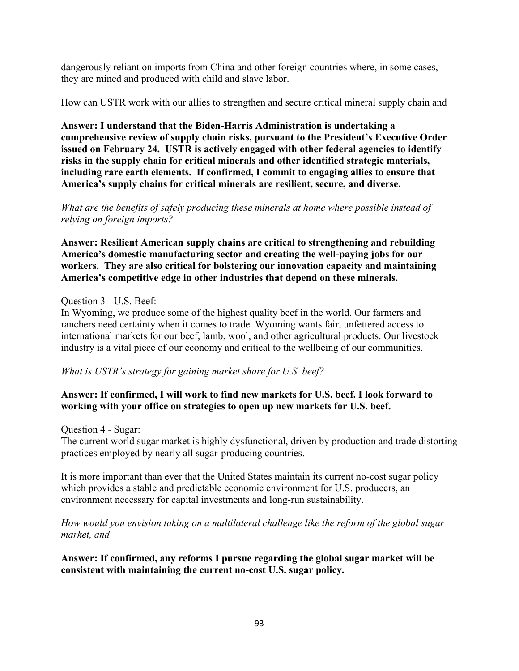dangerously reliant on imports from China and other foreign countries where, in some cases, they are mined and produced with child and slave labor.

How can USTR work with our allies to strengthen and secure critical mineral supply chain and

**Answer: I understand that the Biden-Harris Administration is undertaking a comprehensive review of supply chain risks, pursuant to the President's Executive Order issued on February 24. USTR is actively engaged with other federal agencies to identify risks in the supply chain for critical minerals and other identified strategic materials, including rare earth elements. If confirmed, I commit to engaging allies to ensure that America's supply chains for critical minerals are resilient, secure, and diverse.**

*What are the benefits of safely producing these minerals at home where possible instead of relying on foreign imports?*

**Answer: Resilient American supply chains are critical to strengthening and rebuilding America's domestic manufacturing sector and creating the well-paying jobs for our workers. They are also critical for bolstering our innovation capacity and maintaining America's competitive edge in other industries that depend on these minerals.**

### Question 3 - U.S. Beef:

In Wyoming, we produce some of the highest quality beef in the world. Our farmers and ranchers need certainty when it comes to trade. Wyoming wants fair, unfettered access to international markets for our beef, lamb, wool, and other agricultural products. Our livestock industry is a vital piece of our economy and critical to the wellbeing of our communities.

*What is USTR's strategy for gaining market share for U.S. beef?*

# **Answer: If confirmed, I will work to find new markets for U.S. beef. I look forward to working with your office on strategies to open up new markets for U.S. beef.**

### Question 4 - Sugar:

The current world sugar market is highly dysfunctional, driven by production and trade distorting practices employed by nearly all sugar-producing countries.

It is more important than ever that the United States maintain its current no-cost sugar policy which provides a stable and predictable economic environment for U.S. producers, an environment necessary for capital investments and long-run sustainability.

*How would you envision taking on a multilateral challenge like the reform of the global sugar market, and* 

**Answer: If confirmed, any reforms I pursue regarding the global sugar market will be consistent with maintaining the current no-cost U.S. sugar policy.**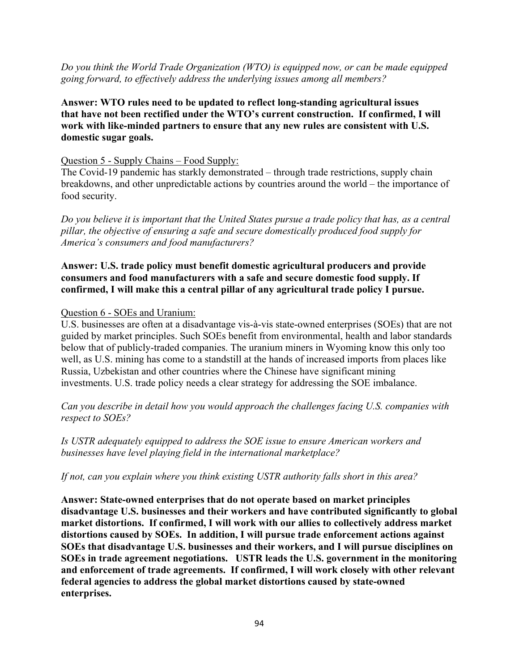*Do you think the World Trade Organization (WTO) is equipped now, or can be made equipped going forward, to effectively address the underlying issues among all members?*

**Answer: WTO rules need to be updated to reflect long-standing agricultural issues that have not been rectified under the WTO's current construction. If confirmed, I will work with like-minded partners to ensure that any new rules are consistent with U.S. domestic sugar goals.**

### Question 5 - Supply Chains – Food Supply:

The Covid-19 pandemic has starkly demonstrated – through trade restrictions, supply chain breakdowns, and other unpredictable actions by countries around the world – the importance of food security.

*Do you believe it is important that the United States pursue a trade policy that has, as a central pillar, the objective of ensuring a safe and secure domestically produced food supply for America's consumers and food manufacturers?*

### **Answer: U.S. trade policy must benefit domestic agricultural producers and provide consumers and food manufacturers with a safe and secure domestic food supply. If confirmed, I will make this a central pillar of any agricultural trade policy I pursue.**

### Question 6 - SOEs and Uranium:

U.S. businesses are often at a disadvantage vis-à-vis state-owned enterprises (SOEs) that are not guided by market principles. Such SOEs benefit from environmental, health and labor standards below that of publicly-traded companies. The uranium miners in Wyoming know this only too well, as U.S. mining has come to a standstill at the hands of increased imports from places like Russia, Uzbekistan and other countries where the Chinese have significant mining investments. U.S. trade policy needs a clear strategy for addressing the SOE imbalance.

*Can you describe in detail how you would approach the challenges facing U.S. companies with respect to SOEs?*

*Is USTR adequately equipped to address the SOE issue to ensure American workers and businesses have level playing field in the international marketplace?*

*If not, can you explain where you think existing USTR authority falls short in this area?* 

**Answer: State-owned enterprises that do not operate based on market principles disadvantage U.S. businesses and their workers and have contributed significantly to global market distortions. If confirmed, I will work with our allies to collectively address market distortions caused by SOEs. In addition, I will pursue trade enforcement actions against SOEs that disadvantage U.S. businesses and their workers, and I will pursue disciplines on SOEs in trade agreement negotiations. USTR leads the U.S. government in the monitoring and enforcement of trade agreements. If confirmed, I will work closely with other relevant federal agencies to address the global market distortions caused by state-owned enterprises.**